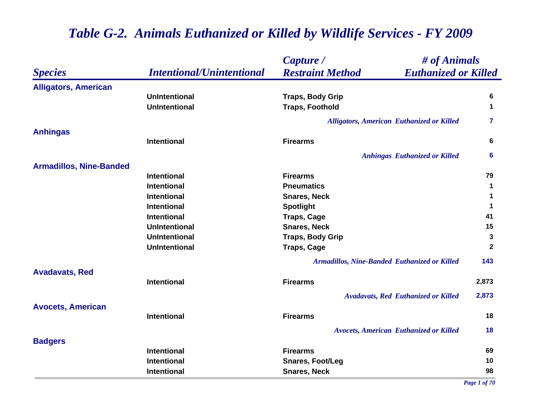|                                |                                  | Capture /                                    | # of Animals                                     |              |
|--------------------------------|----------------------------------|----------------------------------------------|--------------------------------------------------|--------------|
| <b>Species</b>                 | <b>Intentional/Unintentional</b> | <b>Restraint Method</b>                      | <b>Euthanized or Killed</b>                      |              |
| <b>Alligators, American</b>    |                                  |                                              |                                                  |              |
|                                | <b>UnIntentional</b>             | <b>Traps, Body Grip</b>                      |                                                  | 6            |
|                                | <b>UnIntentional</b>             | <b>Traps, Foothold</b>                       |                                                  | $\mathbf 1$  |
|                                |                                  |                                              | <b>Alligators, American Euthanized or Killed</b> | 7            |
| <b>Anhingas</b>                |                                  |                                              |                                                  |              |
|                                | <b>Intentional</b>               | <b>Firearms</b>                              |                                                  | 6            |
|                                |                                  |                                              | <b>Anhingas Euthanized or Killed</b>             | 6            |
| <b>Armadillos, Nine-Banded</b> |                                  |                                              |                                                  |              |
|                                | <b>Intentional</b>               | <b>Firearms</b>                              |                                                  | 79           |
|                                | <b>Intentional</b>               | <b>Pneumatics</b>                            |                                                  | $\mathbf 1$  |
|                                | <b>Intentional</b>               | <b>Snares, Neck</b>                          |                                                  | 1            |
|                                | <b>Intentional</b>               | <b>Spotlight</b>                             |                                                  | $\mathbf 1$  |
|                                | <b>Intentional</b>               | <b>Traps, Cage</b>                           |                                                  | 41           |
|                                | <b>UnIntentional</b>             | <b>Snares, Neck</b>                          |                                                  | 15           |
|                                | <b>UnIntentional</b>             | <b>Traps, Body Grip</b>                      |                                                  | $\mathbf{3}$ |
|                                | <b>UnIntentional</b>             | <b>Traps, Cage</b>                           |                                                  | $\mathbf{2}$ |
|                                |                                  | Armadillos, Nine-Banded Euthanized or Killed |                                                  | 143          |
| <b>Avadavats, Red</b>          |                                  |                                              |                                                  |              |
|                                | <b>Intentional</b>               | <b>Firearms</b>                              |                                                  | 2,873        |
|                                |                                  |                                              | <b>Avadavats, Red Euthanized or Killed</b>       | 2,873        |
| <b>Avocets, American</b>       |                                  |                                              |                                                  |              |
|                                | <b>Intentional</b>               | <b>Firearms</b>                              |                                                  | 18           |
|                                |                                  |                                              | <b>Avocets, American Euthanized or Killed</b>    | 18           |
| <b>Badgers</b>                 |                                  |                                              |                                                  |              |
|                                | <b>Intentional</b>               | <b>Firearms</b>                              |                                                  | 69           |
|                                | <b>Intentional</b>               | <b>Snares, Foot/Leg</b>                      |                                                  | 10           |
|                                | <b>Intentional</b>               | <b>Snares, Neck</b>                          |                                                  | 98           |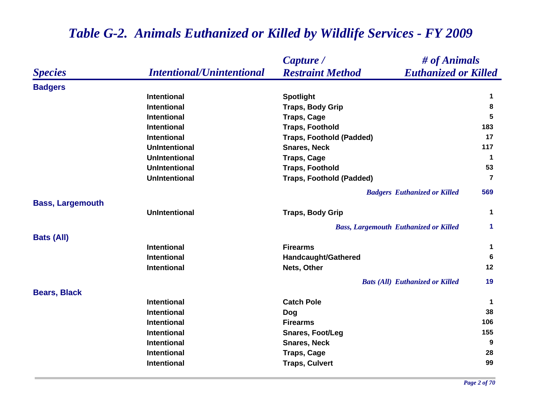|                         |                                  | # of Animals<br>Capture /                              |                      |
|-------------------------|----------------------------------|--------------------------------------------------------|----------------------|
| <b>Species</b>          | <b>Intentional/Unintentional</b> | <b>Restraint Method</b><br><b>Euthanized or Killed</b> |                      |
| <b>Badgers</b>          |                                  |                                                        |                      |
|                         | <b>Intentional</b>               | <b>Spotlight</b>                                       | $\mathbf 1$          |
|                         | <b>Intentional</b>               | <b>Traps, Body Grip</b>                                | 8                    |
|                         | <b>Intentional</b>               | <b>Traps, Cage</b>                                     | 5                    |
|                         | <b>Intentional</b>               | <b>Traps, Foothold</b>                                 | 183                  |
|                         | <b>Intentional</b>               | <b>Traps, Foothold (Padded)</b>                        | 17                   |
|                         | <b>UnIntentional</b>             | <b>Snares, Neck</b>                                    | 117                  |
|                         | <b>UnIntentional</b>             | <b>Traps, Cage</b>                                     | $\mathbf 1$          |
|                         | <b>UnIntentional</b>             | <b>Traps, Foothold</b>                                 | 53                   |
|                         | <b>UnIntentional</b>             | <b>Traps, Foothold (Padded)</b>                        | $\overline{7}$       |
|                         |                                  | <b>Badgers Euthanized or Killed</b>                    | 569                  |
| <b>Bass, Largemouth</b> |                                  |                                                        |                      |
|                         | <b>UnIntentional</b>             | <b>Traps, Body Grip</b>                                | $\mathbf 1$          |
|                         |                                  | <b>Bass, Largemouth Euthanized or Killed</b>           | $\blacktriangleleft$ |
| <b>Bats (All)</b>       |                                  |                                                        |                      |
|                         | Intentional                      | <b>Firearms</b>                                        | $\mathbf 1$          |
|                         | <b>Intentional</b>               | Handcaught/Gathered                                    | 6                    |
|                         | Intentional                      | Nets, Other                                            | 12                   |
|                         |                                  | <b>Bats (All) Euthanized or Killed</b>                 | 19                   |
| <b>Bears, Black</b>     |                                  |                                                        |                      |
|                         | <b>Intentional</b>               | <b>Catch Pole</b>                                      | $\mathbf 1$          |
|                         | Intentional                      | Dog                                                    | 38                   |
|                         | <b>Intentional</b>               | <b>Firearms</b>                                        | 106                  |
|                         | <b>Intentional</b>               | <b>Snares, Foot/Leg</b>                                | 155                  |
|                         | <b>Intentional</b>               | <b>Snares, Neck</b>                                    | 9                    |
|                         | <b>Intentional</b>               | <b>Traps, Cage</b>                                     | 28                   |
|                         | Intentional                      | <b>Traps, Culvert</b>                                  | 99                   |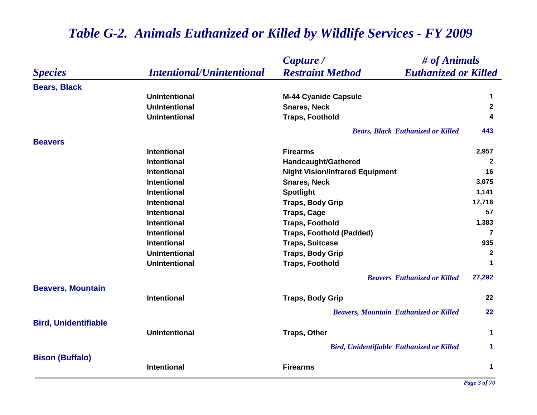|                             |                                  | Capture /                                              | # of Animals         |  |
|-----------------------------|----------------------------------|--------------------------------------------------------|----------------------|--|
| <b>Species</b>              | <b>Intentional/Unintentional</b> | <b>Euthanized or Killed</b><br><b>Restraint Method</b> |                      |  |
| <b>Bears, Black</b>         |                                  |                                                        |                      |  |
|                             | <b>UnIntentional</b>             | <b>M-44 Cyanide Capsule</b>                            | $\mathbf 1$          |  |
|                             | <b>UnIntentional</b>             | <b>Snares, Neck</b>                                    | $\mathbf{2}$         |  |
|                             | <b>UnIntentional</b>             | <b>Traps, Foothold</b>                                 | 4                    |  |
|                             |                                  | <b>Bears, Black Euthanized or Killed</b>               | 443                  |  |
| <b>Beavers</b>              |                                  |                                                        |                      |  |
|                             | <b>Intentional</b>               | <b>Firearms</b>                                        | 2,957                |  |
|                             | <b>Intentional</b>               | Handcaught/Gathered                                    | $\mathbf{2}$         |  |
|                             | <b>Intentional</b>               | <b>Night Vision/Infrared Equipment</b>                 | 16                   |  |
|                             | <b>Intentional</b>               | <b>Snares, Neck</b>                                    | 3,075                |  |
|                             | Intentional                      | <b>Spotlight</b>                                       | 1,141                |  |
|                             | <b>Intentional</b>               | <b>Traps, Body Grip</b>                                | 17,716               |  |
|                             | <b>Intentional</b>               | <b>Traps, Cage</b>                                     | 57                   |  |
|                             | <b>Intentional</b>               | <b>Traps, Foothold</b>                                 | 1,383                |  |
|                             | <b>Intentional</b>               | <b>Traps, Foothold (Padded)</b>                        | 7                    |  |
|                             | <b>Intentional</b>               | <b>Traps, Suitcase</b>                                 | 935                  |  |
|                             | <b>UnIntentional</b>             | <b>Traps, Body Grip</b>                                | $\overline{2}$       |  |
|                             | <b>UnIntentional</b>             | <b>Traps, Foothold</b>                                 | $\mathbf 1$          |  |
|                             |                                  | <b>Beavers</b> Euthanized or Killed                    | 27,292               |  |
| <b>Beavers, Mountain</b>    | <b>Intentional</b>               | <b>Traps, Body Grip</b>                                | 22                   |  |
|                             |                                  | <b>Beavers, Mountain Euthanized or Killed</b>          | 22                   |  |
| <b>Bird, Unidentifiable</b> |                                  |                                                        |                      |  |
|                             | <b>UnIntentional</b>             | <b>Traps, Other</b>                                    | 1                    |  |
|                             |                                  | <b>Bird, Unidentifiable Euthanized or Killed</b>       | $\blacktriangleleft$ |  |
| <b>Bison (Buffalo)</b>      | <b>Intentional</b>               | <b>Firearms</b>                                        | 1                    |  |
|                             |                                  |                                                        |                      |  |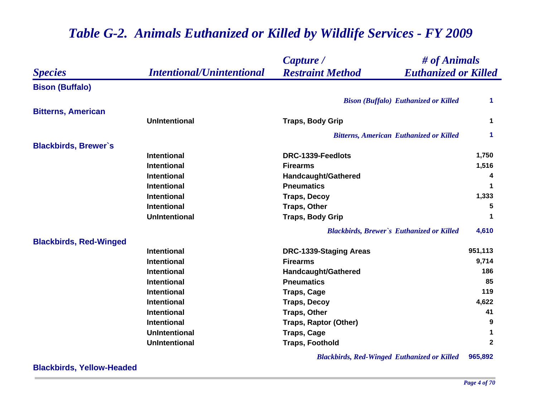|                               |                                  | Capture /                                              | # of Animals |  |
|-------------------------------|----------------------------------|--------------------------------------------------------|--------------|--|
| <b>Species</b>                | <b>Intentional/Unintentional</b> | <b>Restraint Method</b><br><b>Euthanized or Killed</b> |              |  |
| <b>Bison (Buffalo)</b>        |                                  |                                                        |              |  |
|                               |                                  | <b>Bison (Buffalo) Euthanized or Killed</b>            | 1.           |  |
| <b>Bitterns, American</b>     |                                  |                                                        |              |  |
|                               | <b>UnIntentional</b>             | <b>Traps, Body Grip</b>                                | 1            |  |
|                               |                                  | <b>Bitterns, American Euthanized or Killed</b>         | 1            |  |
| <b>Blackbirds, Brewer's</b>   |                                  |                                                        |              |  |
|                               | <b>Intentional</b>               | DRC-1339-Feedlots                                      | 1,750        |  |
|                               | <b>Intentional</b>               | <b>Firearms</b>                                        | 1,516        |  |
|                               | <b>Intentional</b>               | Handcaught/Gathered                                    | 4            |  |
|                               | <b>Intentional</b>               | <b>Pneumatics</b>                                      | 1            |  |
|                               | <b>Intentional</b>               | <b>Traps, Decoy</b>                                    | 1,333        |  |
|                               | Intentional                      | <b>Traps, Other</b>                                    | 5            |  |
|                               | <b>UnIntentional</b>             | <b>Traps, Body Grip</b>                                | 1            |  |
|                               |                                  | <b>Blackbirds, Brewer's Euthanized or Killed</b>       | 4,610        |  |
| <b>Blackbirds, Red-Winged</b> |                                  |                                                        |              |  |
|                               | <b>Intentional</b>               | <b>DRC-1339-Staging Areas</b>                          | 951,113      |  |
|                               | <b>Intentional</b>               | <b>Firearms</b>                                        | 9,714        |  |
|                               | <b>Intentional</b>               | Handcaught/Gathered                                    | 186          |  |
|                               | <b>Intentional</b>               | <b>Pneumatics</b>                                      | 85           |  |
|                               | Intentional                      | <b>Traps, Cage</b>                                     | 119          |  |
|                               | <b>Intentional</b>               | <b>Traps, Decoy</b>                                    | 4,622        |  |
|                               | Intentional                      | <b>Traps, Other</b>                                    | 41           |  |
|                               | <b>Intentional</b>               | <b>Traps, Raptor (Other)</b>                           | 9            |  |
|                               | <b>UnIntentional</b>             | <b>Traps, Cage</b>                                     | 1            |  |
|                               | <b>UnIntentional</b>             | <b>Traps, Foothold</b>                                 | $\mathbf{2}$ |  |

*Blackbirds, Red-Winged Euthanized or Killed* **965,892**

**Blackbirds, Yellow-Headed**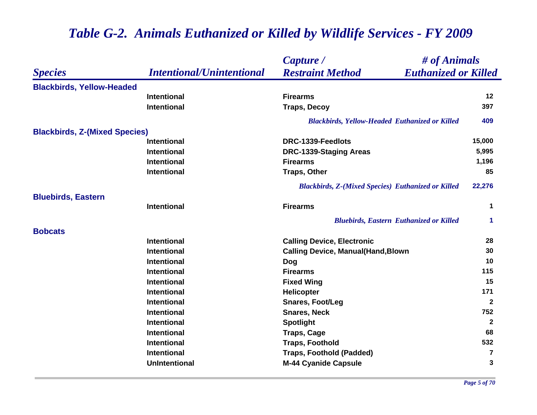|                                      |                                  | Capture /                                                 | # of Animals            |  |
|--------------------------------------|----------------------------------|-----------------------------------------------------------|-------------------------|--|
| <b>Species</b>                       | <b>Intentional/Unintentional</b> | <b>Restraint Method</b><br><b>Euthanized or Killed</b>    |                         |  |
| <b>Blackbirds, Yellow-Headed</b>     |                                  |                                                           |                         |  |
|                                      | <b>Intentional</b>               | <b>Firearms</b>                                           | $12 \,$                 |  |
|                                      | <b>Intentional</b>               | <b>Traps, Decoy</b>                                       | 397                     |  |
|                                      |                                  | <b>Blackbirds, Yellow-Headed Euthanized or Killed</b>     | 409                     |  |
| <b>Blackbirds, Z-(Mixed Species)</b> |                                  |                                                           |                         |  |
|                                      | <b>Intentional</b>               | DRC-1339-Feedlots                                         | 15,000                  |  |
|                                      | <b>Intentional</b>               | <b>DRC-1339-Staging Areas</b>                             | 5,995                   |  |
|                                      | <b>Intentional</b>               | <b>Firearms</b>                                           | 1,196                   |  |
|                                      | <b>Intentional</b>               | <b>Traps, Other</b>                                       | 85                      |  |
|                                      |                                  | <b>Blackbirds, Z-(Mixed Species) Euthanized or Killed</b> | 22,276                  |  |
| <b>Bluebirds, Eastern</b>            |                                  |                                                           |                         |  |
|                                      | <b>Intentional</b>               | <b>Firearms</b>                                           | 1                       |  |
|                                      |                                  | <b>Bluebirds, Eastern Euthanized or Killed</b>            | 1                       |  |
| <b>Bobcats</b>                       |                                  |                                                           |                         |  |
|                                      | <b>Intentional</b>               | <b>Calling Device, Electronic</b>                         | 28                      |  |
|                                      | <b>Intentional</b>               | <b>Calling Device, Manual(Hand, Blown</b>                 | 30                      |  |
|                                      | <b>Intentional</b>               | Dog                                                       | 10                      |  |
|                                      | <b>Intentional</b>               | <b>Firearms</b>                                           | 115                     |  |
|                                      | <b>Intentional</b>               | <b>Fixed Wing</b>                                         | 15                      |  |
|                                      | <b>Intentional</b>               | <b>Helicopter</b>                                         | 171                     |  |
|                                      | <b>Intentional</b>               | <b>Snares, Foot/Leg</b>                                   | $\mathbf{2}$            |  |
|                                      | <b>Intentional</b>               | <b>Snares, Neck</b>                                       | 752                     |  |
|                                      | <b>Intentional</b>               | <b>Spotlight</b>                                          | $\mathbf{2}$            |  |
|                                      | <b>Intentional</b>               | <b>Traps, Cage</b>                                        | 68                      |  |
|                                      | <b>Intentional</b>               | <b>Traps, Foothold</b>                                    | 532                     |  |
|                                      | <b>Intentional</b>               | <b>Traps, Foothold (Padded)</b>                           | $\overline{\mathbf{7}}$ |  |
|                                      | <b>UnIntentional</b>             | <b>M-44 Cyanide Capsule</b>                               | 3                       |  |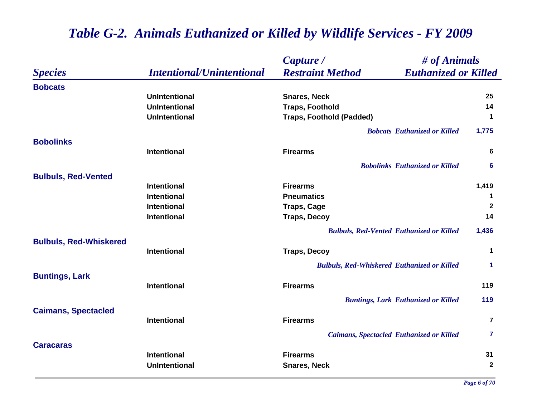|                               |                                  | Capture /                                          | # of Animals<br><b>Euthanized or Killed</b> |                |
|-------------------------------|----------------------------------|----------------------------------------------------|---------------------------------------------|----------------|
| <b>Species</b>                | <b>Intentional/Unintentional</b> | <b>Restraint Method</b>                            |                                             |                |
| <b>Bobcats</b>                |                                  |                                                    |                                             |                |
|                               | <b>UnIntentional</b>             | <b>Snares, Neck</b>                                |                                             | 25             |
|                               | <b>UnIntentional</b>             | <b>Traps, Foothold</b>                             |                                             | 14             |
|                               | <b>UnIntentional</b>             | <b>Traps, Foothold (Padded)</b>                    |                                             | $\mathbf 1$    |
|                               |                                  |                                                    | <b>Bobcats Euthanized or Killed</b>         | 1,775          |
| <b>Bobolinks</b>              |                                  |                                                    |                                             |                |
|                               | <b>Intentional</b>               | <b>Firearms</b>                                    |                                             | 6              |
|                               |                                  |                                                    | <b>Bobolinks Euthanized or Killed</b>       | 6              |
| <b>Bulbuls, Red-Vented</b>    |                                  |                                                    |                                             |                |
|                               | <b>Intentional</b>               | <b>Firearms</b>                                    |                                             | 1,419          |
|                               | <b>Intentional</b>               | <b>Pneumatics</b>                                  |                                             | 1              |
|                               | <b>Intentional</b>               | <b>Traps, Cage</b>                                 |                                             | $\overline{2}$ |
|                               | <b>Intentional</b>               | <b>Traps, Decoy</b>                                |                                             | 14             |
|                               |                                  | <b>Bulbuls, Red-Vented Euthanized or Killed</b>    |                                             | 1,436          |
| <b>Bulbuls, Red-Whiskered</b> | <b>Intentional</b>               | <b>Traps, Decoy</b>                                |                                             | $\mathbf 1$    |
|                               |                                  | <b>Bulbuls, Red-Whiskered Euthanized or Killed</b> |                                             | $\mathbf 1$    |
| <b>Buntings, Lark</b>         |                                  |                                                    |                                             |                |
|                               | <b>Intentional</b>               | <b>Firearms</b>                                    |                                             | 119            |
|                               |                                  | <b>Buntings, Lark Euthanized or Killed</b>         |                                             | 119            |
| <b>Caimans, Spectacled</b>    |                                  |                                                    |                                             |                |
|                               | <b>Intentional</b>               | <b>Firearms</b>                                    |                                             | $\overline{7}$ |
|                               |                                  | <b>Caimans, Spectacled Euthanized or Killed</b>    |                                             | $\mathbf{7}$   |
| <b>Caracaras</b>              |                                  |                                                    |                                             |                |
|                               | <b>Intentional</b>               | <b>Firearms</b>                                    |                                             | 31             |
|                               | <b>UnIntentional</b>             | <b>Snares, Neck</b>                                |                                             | $\mathbf{2}$   |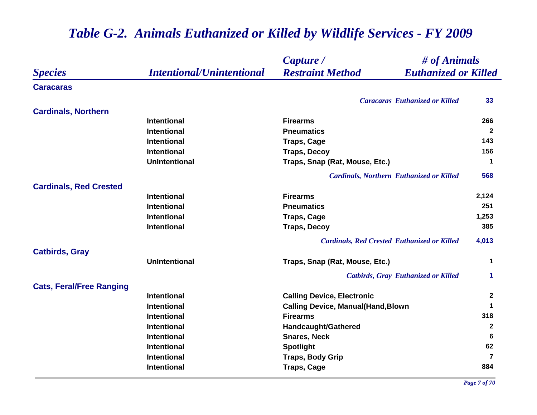#### *Species Capture / Restraint Method # of Animals Intentional/Unintentional Euthanized or Killed* **Caracaras***Caracaras Euthanized or Killed* **33 Cardinals, Northern Intentional Firearms 266 Intentional Pneumatics 2 Intentional Traps, Cage <sup>143</sup> Intentional Traps, Decoy 156 UnIntentional Traps, Snap (Rat, Mouse, Etc.) <sup>1</sup>** *Cardinals, Northern Euthanized or Killed* **568 Cardinals, Red Crested Intentional Firearms 2,124 Intentional Pneumatics 251 Intentional Traps, Cage 1,253 Intentional Traps, Decoy 385** *Cardinals, Red Crested Euthanized or Killed* **4,013 Catbirds, Gray UnIntentional Traps, Snap (Rat, Mouse, Etc.) <sup>1</sup>** *Catbirds, Gray Euthanized or Killed* **1 Cats, Feral/Free Ranging Intentional Calling Device, Electronic <sup>2</sup> Intentional Calling Device, Manual(Hand,Blown <sup>1</sup> Intentional Firearms 318 Intentional Handcaught/Gathered <sup>2</sup> Intentional Snares, Neck 6 Intentional Spotlight <sup>62</sup> Intentional CONSCRIPTION TRAPS, Body Grip Proposed as a structure of**  $\overline{z}$  **<b>7 Intentional Traps, Cage <sup>884</sup>**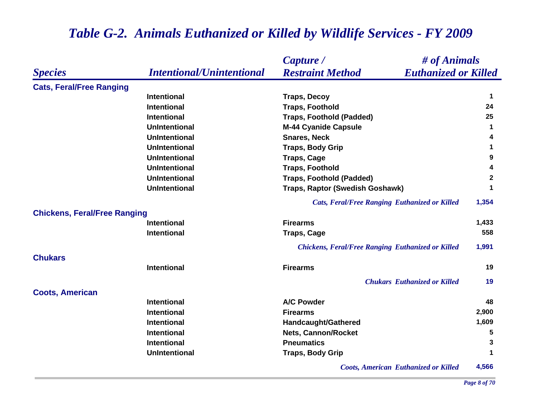#### *Species Capture / Restraint Method # of Animals Intentional/Unintentional Euthanized or Killed* **Cats, Feral/Free Ranging Intentional Traps, Decoy <sup>1</sup> Intentional Traps, Foothold <sup>24</sup> Intentional Traps, Foothold (Padded) 25 UnIntentional M-44 Cyanide Capsule <sup>1</sup> UnIntentional Snares, Neck 4 UnIntentional Traps, Body Grip <sup>1</sup> UnIntentional Traps, Cage <sup>9</sup> UnIntentional Traps, Foothold <sup>4</sup> UnIntentional Traps, Foothold (Padded) <sup>2</sup> UnIntentional Traps, Raptor (Swedish Goshawk) <sup>1</sup>** *Cats, Feral/Free Ranging Euthanized or Killed* **1,354 Chickens, Feral/Free Ranging Intentional Firearms 1,433 Intentional Traps, Cage <sup>558</sup>** *Chickens, Feral/Free Ranging Euthanized or Killed* **1,991 ChukarsIntentional Firearms 19** *Chukars Euthanized or Killed* **19 Coots, American Intentional A/C Powder 48 Intentional Firearms 2,900 Intentional Handcaught/Gathered 1,609 Intentional 1988 1989 <b>1999 1999 <b>1999 1999 1999 1999 1999 1999 1999 1999 1999 1999 1999 1999 1999 1999 1999 1999 1999 1999 1999 1999 1999 1999 1999 1999 1999 1999 Intentional Pneumatics 3 UnIntentional Traps, Body Grip <sup>1</sup>** *Coots, American Euthanized or Killed* **4,566**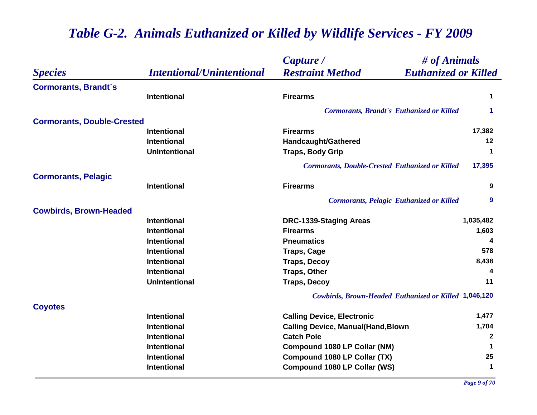|                                   |                                  | # of Animals<br>Capture /                                    |                      |
|-----------------------------------|----------------------------------|--------------------------------------------------------------|----------------------|
| <b>Species</b>                    | <b>Intentional/Unintentional</b> | <b>Restraint Method</b><br><b>Euthanized or Killed</b>       |                      |
| <b>Cormorants, Brandt's</b>       |                                  |                                                              |                      |
|                                   | <b>Intentional</b>               | <b>Firearms</b>                                              | $\mathbf 1$          |
|                                   |                                  | Cormorants, Brandt's Euthanized or Killed                    | 1                    |
| <b>Cormorants, Double-Crested</b> |                                  |                                                              |                      |
|                                   | <b>Intentional</b>               | <b>Firearms</b>                                              | 17,382               |
|                                   | <b>Intentional</b>               | Handcaught/Gathered                                          | 12                   |
|                                   | <b>UnIntentional</b>             | <b>Traps, Body Grip</b>                                      | 1                    |
|                                   |                                  | <b>Cormorants, Double-Crested Euthanized or Killed</b>       | 17,395               |
| <b>Cormorants, Pelagic</b>        |                                  |                                                              |                      |
|                                   | <b>Intentional</b>               | <b>Firearms</b>                                              | 9                    |
|                                   |                                  | <b>Cormorants, Pelagic Euthanized or Killed</b>              | 9                    |
| <b>Cowbirds, Brown-Headed</b>     |                                  |                                                              |                      |
|                                   | <b>Intentional</b>               | <b>DRC-1339-Staging Areas</b>                                | 1,035,482            |
|                                   | <b>Intentional</b>               | <b>Firearms</b>                                              | 1,603                |
|                                   | <b>Intentional</b>               | <b>Pneumatics</b>                                            |                      |
|                                   | <b>Intentional</b>               | <b>Traps, Cage</b>                                           | 578                  |
|                                   | <b>Intentional</b>               | <b>Traps, Decoy</b>                                          | 8,438                |
|                                   | Intentional                      | <b>Traps, Other</b>                                          | 4                    |
|                                   | <b>UnIntentional</b>             | <b>Traps, Decoy</b>                                          | 11                   |
|                                   |                                  | <b>Cowbirds, Brown-Headed Euthanized or Killed 1,046,120</b> |                      |
| <b>Coyotes</b>                    |                                  |                                                              |                      |
|                                   | <b>Intentional</b>               | <b>Calling Device, Electronic</b>                            | 1,477                |
|                                   | <b>Intentional</b>               | <b>Calling Device, Manual(Hand, Blown</b>                    | 1,704                |
|                                   | <b>Intentional</b>               | <b>Catch Pole</b>                                            | $\mathbf{2}$         |
|                                   | Intentional                      | <b>Compound 1080 LP Collar (NM)</b>                          | 1                    |
|                                   | Intentional                      | Compound 1080 LP Collar (TX)                                 | 25                   |
|                                   | <b>Intentional</b>               | <b>Compound 1080 LP Collar (WS)</b>                          | $\blacktriangleleft$ |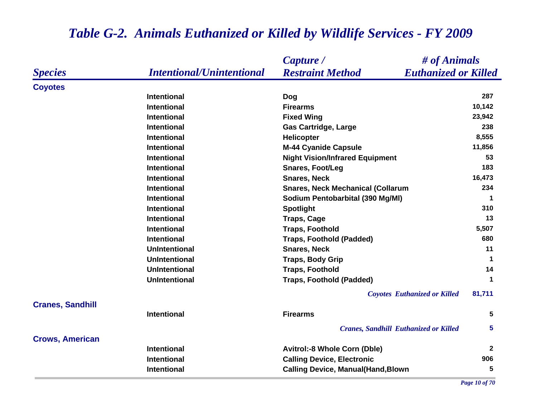|                         |                                  | # of Animals<br>Capture /                              |              |
|-------------------------|----------------------------------|--------------------------------------------------------|--------------|
| <b>Species</b>          | <b>Intentional/Unintentional</b> | <b>Restraint Method</b><br><b>Euthanized or Killed</b> |              |
| <b>Coyotes</b>          |                                  |                                                        |              |
|                         | <b>Intentional</b>               | <b>Dog</b>                                             | 287          |
|                         | <b>Intentional</b>               | <b>Firearms</b>                                        | 10,142       |
|                         | <b>Intentional</b>               | <b>Fixed Wing</b>                                      | 23,942       |
|                         | <b>Intentional</b>               | <b>Gas Cartridge, Large</b>                            | 238          |
|                         | <b>Intentional</b>               | <b>Helicopter</b>                                      | 8,555        |
|                         | <b>Intentional</b>               | <b>M-44 Cyanide Capsule</b>                            | 11,856       |
|                         | <b>Intentional</b>               | <b>Night Vision/Infrared Equipment</b>                 | 53           |
|                         | <b>Intentional</b>               | <b>Snares, Foot/Leg</b>                                | 183          |
|                         | <b>Intentional</b>               | <b>Snares, Neck</b>                                    | 16,473       |
|                         | <b>Intentional</b>               | <b>Snares, Neck Mechanical (Collarum</b>               | 234          |
|                         | <b>Intentional</b>               | Sodium Pentobarbital (390 Mg/MI)                       | -1           |
|                         | <b>Intentional</b>               | <b>Spotlight</b>                                       | 310          |
|                         | <b>Intentional</b>               | <b>Traps, Cage</b>                                     | 13           |
|                         | <b>Intentional</b>               | <b>Traps, Foothold</b>                                 | 5,507        |
|                         | <b>Intentional</b>               | <b>Traps, Foothold (Padded)</b>                        | 680          |
|                         | <b>UnIntentional</b>             | <b>Snares, Neck</b>                                    | 11           |
|                         | <b>UnIntentional</b>             | <b>Traps, Body Grip</b>                                | $\mathbf 1$  |
|                         | <b>UnIntentional</b>             | <b>Traps, Foothold</b>                                 | 14           |
|                         | <b>UnIntentional</b>             | <b>Traps, Foothold (Padded)</b>                        | $\mathbf 1$  |
|                         |                                  | <b>Coyotes Euthanized or Killed</b>                    | 81,711       |
| <b>Cranes, Sandhill</b> |                                  |                                                        |              |
|                         | <b>Intentional</b>               | <b>Firearms</b>                                        | 5            |
|                         |                                  | <b>Cranes, Sandhill Euthanized or Killed</b>           | 5            |
| <b>Crows, American</b>  |                                  |                                                        |              |
|                         | <b>Intentional</b>               | <b>Avitrol:-8 Whole Corn (Dble)</b>                    | $\mathbf{2}$ |
|                         | <b>Intentional</b>               | <b>Calling Device, Electronic</b>                      | 906          |
|                         | <b>Intentional</b>               | <b>Calling Device, Manual(Hand, Blown</b>              | 5            |

*Page 10 of 70*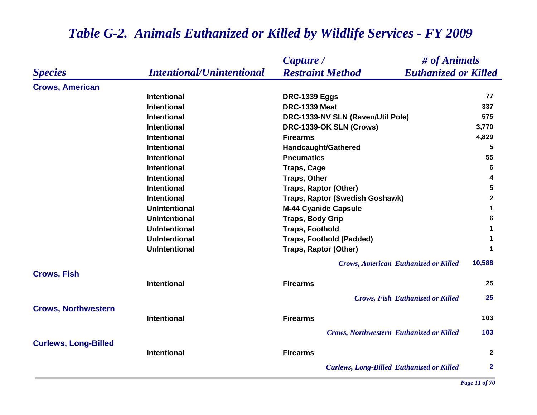|                             |                                  | Capture /                                        | # of Animals                |
|-----------------------------|----------------------------------|--------------------------------------------------|-----------------------------|
| <b>Species</b>              | <b>Intentional/Unintentional</b> | <b>Restraint Method</b>                          | <b>Euthanized or Killed</b> |
| <b>Crows, American</b>      |                                  |                                                  |                             |
|                             | <b>Intentional</b>               | <b>DRC-1339 Eggs</b>                             | 77                          |
|                             | <b>Intentional</b>               | <b>DRC-1339 Meat</b>                             | 337                         |
|                             | <b>Intentional</b>               | DRC-1339-NV SLN (Raven/Util Pole)                | 575                         |
|                             | <b>Intentional</b>               | DRC-1339-OK SLN (Crows)                          | 3,770                       |
|                             | <b>Intentional</b>               | <b>Firearms</b>                                  | 4,829                       |
|                             | <b>Intentional</b>               | Handcaught/Gathered                              | 5                           |
|                             | <b>Intentional</b>               | <b>Pneumatics</b>                                | 55                          |
|                             | <b>Intentional</b>               | <b>Traps, Cage</b>                               | 6                           |
|                             | <b>Intentional</b>               | <b>Traps, Other</b>                              | 4                           |
|                             | <b>Intentional</b>               | <b>Traps, Raptor (Other)</b>                     | 5                           |
|                             | <b>Intentional</b>               | Traps, Raptor (Swedish Goshawk)                  | $\mathbf{2}$                |
|                             | <b>UnIntentional</b>             | <b>M-44 Cyanide Capsule</b>                      | $\mathbf 1$                 |
|                             | <b>UnIntentional</b>             | <b>Traps, Body Grip</b>                          | 6                           |
|                             | <b>UnIntentional</b>             | <b>Traps, Foothold</b>                           | 1                           |
|                             | <b>UnIntentional</b>             | <b>Traps, Foothold (Padded)</b>                  | 1                           |
|                             | <b>UnIntentional</b>             | <b>Traps, Raptor (Other)</b>                     | $\blacktriangleleft$        |
|                             |                                  | <b>Crows, American Euthanized or Killed</b>      | 10,588                      |
| <b>Crows, Fish</b>          | <b>Intentional</b>               | <b>Firearms</b>                                  | 25                          |
|                             |                                  | <b>Crows, Fish Euthanized or Killed</b>          | 25                          |
| <b>Crows, Northwestern</b>  |                                  |                                                  |                             |
|                             | <b>Intentional</b>               | <b>Firearms</b>                                  | 103                         |
|                             |                                  | <b>Crows, Northwestern Euthanized or Killed</b>  | 103                         |
| <b>Curlews, Long-Billed</b> | <b>Intentional</b>               | <b>Firearms</b>                                  | $\mathbf{2}$                |
|                             |                                  | <b>Curlews, Long-Billed Euthanized or Killed</b> | $\mathbf{2}$                |
|                             |                                  |                                                  |                             |

*Page 11 of 70*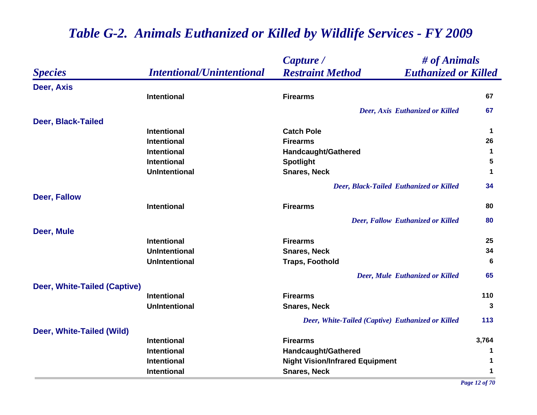|                              |                                  | Capture /                                              | # of Animals |  |
|------------------------------|----------------------------------|--------------------------------------------------------|--------------|--|
| <i><b>Species</b></i>        | <b>Intentional/Unintentional</b> | <b>Restraint Method</b><br><b>Euthanized or Killed</b> |              |  |
| Deer, Axis                   |                                  |                                                        |              |  |
|                              | Intentional                      | <b>Firearms</b>                                        | 67           |  |
|                              |                                  | Deer, Axis Euthanized or Killed                        | 67           |  |
| Deer, Black-Tailed           |                                  |                                                        |              |  |
|                              | <b>Intentional</b>               | <b>Catch Pole</b>                                      | $\mathbf 1$  |  |
|                              | <b>Intentional</b>               | <b>Firearms</b>                                        | 26           |  |
|                              | Intentional                      | Handcaught/Gathered                                    | $\mathbf 1$  |  |
|                              | <b>Intentional</b>               | <b>Spotlight</b>                                       | 5            |  |
|                              | <b>UnIntentional</b>             | <b>Snares, Neck</b>                                    | $\mathbf 1$  |  |
|                              |                                  | Deer, Black-Tailed Euthanized or Killed                | 34           |  |
| Deer, Fallow                 |                                  |                                                        |              |  |
|                              | Intentional                      | <b>Firearms</b>                                        | 80           |  |
|                              |                                  | Deer, Fallow Euthanized or Killed                      | 80           |  |
| Deer, Mule                   |                                  |                                                        |              |  |
|                              | <b>Intentional</b>               | <b>Firearms</b>                                        | 25           |  |
|                              | <b>UnIntentional</b>             | <b>Snares, Neck</b>                                    | 34           |  |
|                              | <b>UnIntentional</b>             | <b>Traps, Foothold</b>                                 | 6            |  |
|                              |                                  | <b>Deer, Mule Euthanized or Killed</b>                 | 65           |  |
| Deer, White-Tailed (Captive) |                                  |                                                        |              |  |
|                              | <b>Intentional</b>               | <b>Firearms</b>                                        | 110          |  |
|                              | <b>UnIntentional</b>             | <b>Snares, Neck</b>                                    | 3            |  |
|                              |                                  | Deer, White-Tailed (Captive) Euthanized or Killed      | 113          |  |
| Deer, White-Tailed (Wild)    |                                  |                                                        |              |  |
|                              | <b>Intentional</b>               | <b>Firearms</b>                                        | 3,764        |  |
|                              | Intentional                      | Handcaught/Gathered                                    | 1            |  |
|                              | <b>Intentional</b>               | <b>Night Vision/Infrared Equipment</b>                 | 1            |  |
|                              | <b>Intentional</b>               | <b>Snares, Neck</b>                                    | 1            |  |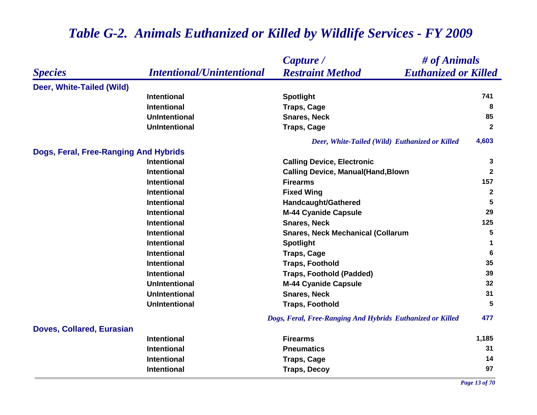#### *Species Capture / Restraint Method # of Animals Intentional/Unintentional Euthanized or Killed* **Deer, White-Tailed (Wild) Intentional Spotlight <sup>741</sup> Intentional Traps, Cage <sup>8</sup> UnIntentional Snares, Neck 85 UnIntentional Traps, Cage <sup>2</sup>** *Deer, White-Tailed (Wild) Euthanized or Killed* **4,603 Dogs, Feral, Free-Ranging And Hybrids Intentional Calling Device, Electronic <sup>3</sup> Intentional Calling Device, Manual(Hand,Blown <sup>2</sup> Intentional Firearms 157 Intentional Fixed Wing <sup>2</sup> Intentional Handcaught/Gathered <sup>5</sup> Intentional M-44 Cyanide Capsule <sup>29</sup> Intentional Snares, Neck 125 Intentional Snares, Neck Mechanical (Collarum 5 Intentional Spotlight <sup>1</sup> Intentional Traps, Cage <sup>6</sup> Intentional Traps, Foothold 35 Intentional Traps, Foothold (Padded) 39 UnIntentional M-44 Cyanide Capsule <sup>32</sup> UnIntentional Snares, Neck 31 UnIntentional Traps, Foothold 5** *Dogs, Feral, Free-Ranging And Hybrids Euthanized or Killed* **477 Doves, Collared, Eurasian Intentional Firearms 1,185 Intentional Pneumatics 31 Intentional Traps, Cage <sup>14</sup> Intentional Traps, Decoy <sup>97</sup>** *Page 13 of 70*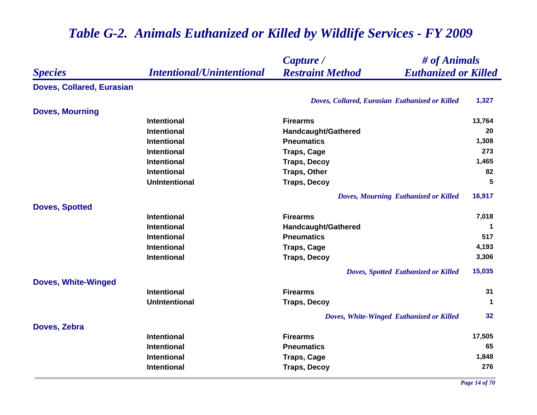|                            | <b>Intentional/Unintentional</b> | Capture /                                              | # of Animals            |  |
|----------------------------|----------------------------------|--------------------------------------------------------|-------------------------|--|
| <b>Species</b>             |                                  | <b>Restraint Method</b><br><b>Euthanized or Killed</b> |                         |  |
| Doves, Collared, Eurasian  |                                  |                                                        |                         |  |
|                            |                                  | Doves, Collared, Eurasian Euthanized or Killed         | 1,327                   |  |
| <b>Doves, Mourning</b>     |                                  |                                                        |                         |  |
|                            | <b>Intentional</b>               | <b>Firearms</b>                                        | 13,764                  |  |
|                            | Intentional                      | Handcaught/Gathered                                    | 20                      |  |
|                            | <b>Intentional</b>               | <b>Pneumatics</b>                                      | 1,308                   |  |
|                            | <b>Intentional</b>               | <b>Traps, Cage</b>                                     | 273                     |  |
|                            | Intentional                      | <b>Traps, Decoy</b>                                    | 1,465                   |  |
|                            | <b>Intentional</b>               | <b>Traps, Other</b>                                    | 82                      |  |
|                            | <b>UnIntentional</b>             | <b>Traps, Decoy</b>                                    | 5                       |  |
|                            |                                  | Doves, Mourning Euthanized or Killed                   | 16,917                  |  |
| <b>Doves, Spotted</b>      |                                  |                                                        |                         |  |
|                            | Intentional                      | <b>Firearms</b>                                        | 7,018                   |  |
|                            | <b>Intentional</b>               | Handcaught/Gathered                                    | 1                       |  |
|                            | <b>Intentional</b>               | <b>Pneumatics</b>                                      | 517                     |  |
|                            | <b>Intentional</b>               | <b>Traps, Cage</b>                                     | 4,193                   |  |
|                            | Intentional                      | <b>Traps, Decoy</b>                                    | 3,306                   |  |
|                            |                                  | Doves, Spotted Euthanized or Killed                    | 15,035                  |  |
| <b>Doves, White-Winged</b> |                                  |                                                        |                         |  |
|                            | <b>Intentional</b>               | <b>Firearms</b>                                        | 31                      |  |
|                            | <b>UnIntentional</b>             | <b>Traps, Decoy</b>                                    | $\overline{\mathbf{1}}$ |  |
|                            |                                  | Doves, White-Winged Euthanized or Killed               | 32                      |  |
| Doves, Zebra               |                                  |                                                        |                         |  |
|                            | <b>Intentional</b>               | <b>Firearms</b>                                        | 17,505                  |  |
|                            | Intentional                      | <b>Pneumatics</b>                                      | 65                      |  |
|                            | Intentional                      | <b>Traps, Cage</b>                                     | 1,848                   |  |
|                            | <b>Intentional</b>               | <b>Traps, Decoy</b>                                    | 276                     |  |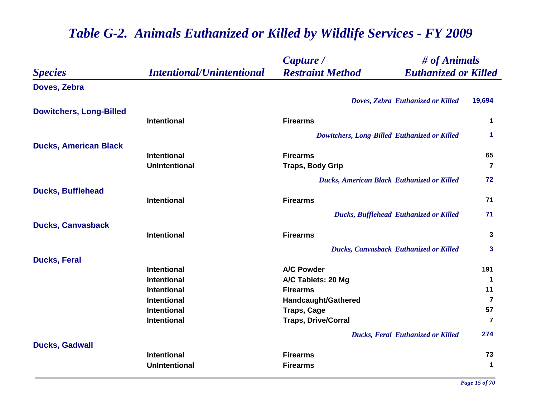|                                |                                  | # of Animals<br>Capture /                              |                      |
|--------------------------------|----------------------------------|--------------------------------------------------------|----------------------|
| <b>Species</b>                 | <b>Intentional/Unintentional</b> | <b>Restraint Method</b><br><b>Euthanized or Killed</b> |                      |
| Doves, Zebra                   |                                  |                                                        |                      |
|                                |                                  | Doves, Zebra Euthanized or Killed                      | 19,694               |
| <b>Dowitchers, Long-Billed</b> |                                  |                                                        |                      |
|                                | <b>Intentional</b>               | <b>Firearms</b>                                        | $\mathbf 1$          |
|                                |                                  | Dowitchers, Long-Billed Euthanized or Killed           | $\blacktriangleleft$ |
| <b>Ducks, American Black</b>   |                                  |                                                        |                      |
|                                | <b>Intentional</b>               | <b>Firearms</b>                                        | 65                   |
|                                | <b>UnIntentional</b>             | <b>Traps, Body Grip</b>                                | $\overline{7}$       |
|                                |                                  | <b>Ducks, American Black Euthanized or Killed</b>      | 72                   |
| <b>Ducks, Bufflehead</b>       |                                  |                                                        |                      |
|                                | <b>Intentional</b>               | <b>Firearms</b>                                        | 71                   |
|                                |                                  | <b>Ducks, Bufflehead Euthanized or Killed</b>          | 71                   |
| <b>Ducks, Canvasback</b>       |                                  |                                                        |                      |
|                                | <b>Intentional</b>               | <b>Firearms</b>                                        | 3                    |
|                                |                                  | <b>Ducks, Canvasback Euthanized or Killed</b>          | $\mathbf{3}$         |
| <b>Ducks, Feral</b>            |                                  |                                                        |                      |
|                                | <b>Intentional</b>               | <b>A/C Powder</b>                                      | 191                  |
|                                | <b>Intentional</b>               | A/C Tablets: 20 Mg                                     | $\blacktriangleleft$ |
|                                | <b>Intentional</b>               | <b>Firearms</b>                                        | 11                   |
|                                | <b>Intentional</b>               | Handcaught/Gathered                                    | $\overline{7}$       |
|                                | <b>Intentional</b>               | <b>Traps, Cage</b>                                     | 57                   |
|                                | <b>Intentional</b>               | <b>Traps, Drive/Corral</b>                             | $\overline{7}$       |
|                                |                                  | <b>Ducks, Feral Euthanized or Killed</b>               | 274                  |
| <b>Ducks, Gadwall</b>          |                                  |                                                        |                      |
|                                | <b>Intentional</b>               | <b>Firearms</b>                                        | 73                   |
|                                | <b>UnIntentional</b>             | <b>Firearms</b>                                        | $\mathbf 1$          |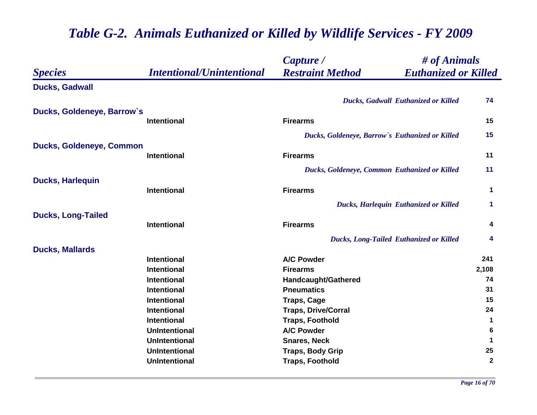|                                 |                                  | # of Animals<br>Capture /                              |                      |
|---------------------------------|----------------------------------|--------------------------------------------------------|----------------------|
| <b>Species</b>                  | <b>Intentional/Unintentional</b> | <b>Restraint Method</b><br><b>Euthanized or Killed</b> |                      |
| <b>Ducks, Gadwall</b>           |                                  |                                                        |                      |
|                                 |                                  | <b>Ducks, Gadwall Euthanized or Killed</b>             | 74                   |
| Ducks, Goldeneye, Barrow's      |                                  |                                                        |                      |
|                                 | <b>Intentional</b>               | <b>Firearms</b>                                        | 15                   |
|                                 |                                  | Ducks, Goldeneye, Barrow's Euthanized or Killed        | 15                   |
| <b>Ducks, Goldeneye, Common</b> |                                  |                                                        |                      |
|                                 | <b>Intentional</b>               | <b>Firearms</b>                                        | 11                   |
|                                 |                                  | Ducks, Goldeneye, Common Euthanized or Killed          | 11                   |
| <b>Ducks, Harlequin</b>         |                                  |                                                        |                      |
|                                 | <b>Intentional</b>               | <b>Firearms</b>                                        | $\mathbf 1$          |
|                                 |                                  | <b>Ducks, Harlequin Euthanized or Killed</b>           | $\blacktriangleleft$ |
| <b>Ducks, Long-Tailed</b>       |                                  |                                                        |                      |
|                                 | <b>Intentional</b>               | <b>Firearms</b>                                        | 4                    |
|                                 |                                  | <b>Ducks, Long-Tailed Euthanized or Killed</b>         | 4                    |
| <b>Ducks, Mallards</b>          |                                  |                                                        |                      |
|                                 | <b>Intentional</b>               | <b>A/C Powder</b>                                      | 241                  |
|                                 | <b>Intentional</b>               | <b>Firearms</b>                                        | 2,108                |
|                                 | <b>Intentional</b>               | Handcaught/Gathered                                    | 74                   |
|                                 | <b>Intentional</b>               | <b>Pneumatics</b>                                      | 31                   |
|                                 | <b>Intentional</b>               | <b>Traps, Cage</b>                                     | 15                   |
|                                 | <b>Intentional</b>               | <b>Traps, Drive/Corral</b>                             | 24                   |
|                                 | <b>Intentional</b>               | <b>Traps, Foothold</b>                                 | 1                    |
|                                 | <b>UnIntentional</b>             | <b>A/C Powder</b>                                      | 6                    |
|                                 | <b>UnIntentional</b>             | <b>Snares, Neck</b>                                    | 1                    |
|                                 | <b>UnIntentional</b>             | <b>Traps, Body Grip</b>                                | 25                   |
|                                 | <b>UnIntentional</b>             | <b>Traps, Foothold</b>                                 | $\mathbf 2$          |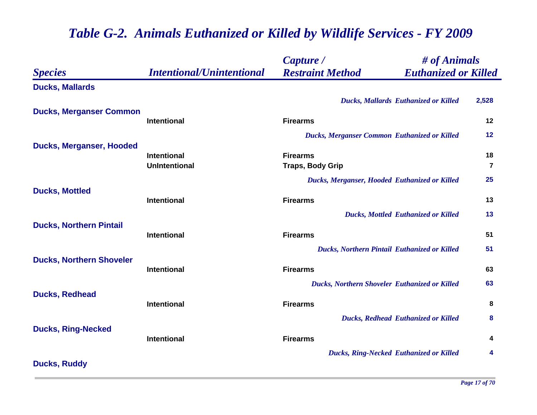|                                 |                                  | Capture /                                              | # of Animals   |  |
|---------------------------------|----------------------------------|--------------------------------------------------------|----------------|--|
| <b>Species</b>                  | <b>Intentional/Unintentional</b> | <b>Restraint Method</b><br><b>Euthanized or Killed</b> |                |  |
| <b>Ducks, Mallards</b>          |                                  |                                                        |                |  |
|                                 |                                  | <b>Ducks, Mallards Euthanized or Killed</b>            | 2,528          |  |
| <b>Ducks, Merganser Common</b>  | Intentional                      | <b>Firearms</b>                                        | 12             |  |
|                                 |                                  | <b>Ducks, Merganser Common Euthanized or Killed</b>    | 12             |  |
| <b>Ducks, Merganser, Hooded</b> |                                  |                                                        |                |  |
|                                 | <b>Intentional</b>               | <b>Firearms</b>                                        | 18             |  |
|                                 | <b>UnIntentional</b>             | <b>Traps, Body Grip</b>                                | $\overline{7}$ |  |
|                                 |                                  | Ducks, Merganser, Hooded Euthanized or Killed          | 25             |  |
| <b>Ducks, Mottled</b>           | Intentional                      | <b>Firearms</b>                                        | 13             |  |
|                                 |                                  |                                                        |                |  |
| <b>Ducks, Northern Pintail</b>  |                                  | <b>Ducks, Mottled Euthanized or Killed</b>             | 13             |  |
|                                 | Intentional                      | <b>Firearms</b>                                        | 51             |  |
|                                 |                                  | <b>Ducks, Northern Pintail Euthanized or Killed</b>    | 51             |  |
| <b>Ducks, Northern Shoveler</b> |                                  |                                                        |                |  |
|                                 | Intentional                      | <b>Firearms</b>                                        | 63             |  |
|                                 |                                  | <b>Ducks, Northern Shoveler Euthanized or Killed</b>   | 63             |  |
| <b>Ducks, Redhead</b>           | <b>Intentional</b>               | <b>Firearms</b>                                        | 8              |  |
|                                 |                                  |                                                        | 8              |  |
| <b>Ducks, Ring-Necked</b>       |                                  | <b>Ducks, Redhead Euthanized or Killed</b>             |                |  |
|                                 | <b>Intentional</b>               | <b>Firearms</b>                                        | 4              |  |
|                                 |                                  | <b>Ducks, Ring-Necked Euthanized or Killed</b>         | 4              |  |
| <b>Ducks, Ruddy</b>             |                                  |                                                        |                |  |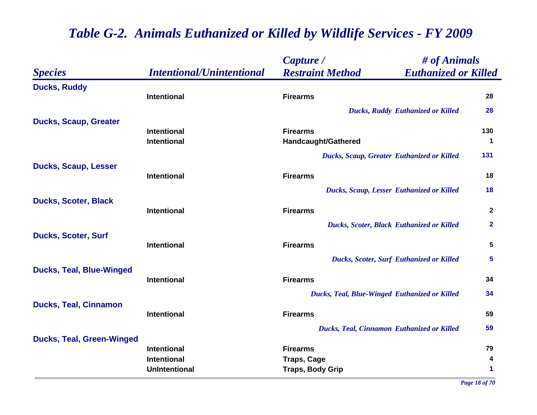|                                  |                                          | Capture /                                         | # of Animals                |
|----------------------------------|------------------------------------------|---------------------------------------------------|-----------------------------|
| <b>Species</b>                   | <b>Intentional/Unintentional</b>         | <b>Restraint Method</b>                           | <b>Euthanized or Killed</b> |
| <b>Ducks, Ruddy</b>              |                                          |                                                   |                             |
|                                  | <b>Intentional</b>                       | <b>Firearms</b>                                   | 28                          |
|                                  |                                          | <b>Ducks, Ruddy Euthanized or Killed</b>          | 28                          |
| <b>Ducks, Scaup, Greater</b>     |                                          |                                                   |                             |
|                                  | <b>Intentional</b><br><b>Intentional</b> | <b>Firearms</b>                                   | 130                         |
|                                  |                                          | Handcaught/Gathered                               | 1                           |
|                                  |                                          | <b>Ducks, Scaup, Greater Euthanized or Killed</b> | 131                         |
| <b>Ducks, Scaup, Lesser</b>      | <b>Intentional</b>                       | <b>Firearms</b>                                   | 18                          |
|                                  |                                          |                                                   | 18                          |
| <b>Ducks, Scoter, Black</b>      |                                          | Ducks, Scaup, Lesser Euthanized or Killed         |                             |
|                                  | <b>Intentional</b>                       | <b>Firearms</b>                                   | $\mathbf{2}$                |
|                                  |                                          | <b>Ducks, Scoter, Black Euthanized or Killed</b>  | $\overline{2}$              |
| <b>Ducks, Scoter, Surf</b>       |                                          |                                                   |                             |
|                                  | <b>Intentional</b>                       | <b>Firearms</b>                                   | $\overline{\mathbf{5}}$     |
|                                  |                                          | <b>Ducks, Scoter, Surf Euthanized or Killed</b>   | 5                           |
| <b>Ducks, Teal, Blue-Winged</b>  |                                          |                                                   |                             |
|                                  | <b>Intentional</b>                       | <b>Firearms</b>                                   | 34                          |
|                                  |                                          | Ducks, Teal, Blue-Winged Euthanized or Killed     | 34                          |
| <b>Ducks, Teal, Cinnamon</b>     |                                          |                                                   |                             |
|                                  | <b>Intentional</b>                       | <b>Firearms</b>                                   | 59                          |
|                                  |                                          | <b>Ducks, Teal, Cinnamon Euthanized or Killed</b> | 59                          |
| <b>Ducks, Teal, Green-Winged</b> | <b>Intentional</b>                       | <b>Firearms</b>                                   | 79                          |
|                                  | <b>Intentional</b>                       | <b>Traps, Cage</b>                                | 4                           |
|                                  | <b>UnIntentional</b>                     | <b>Traps, Body Grip</b>                           | 1                           |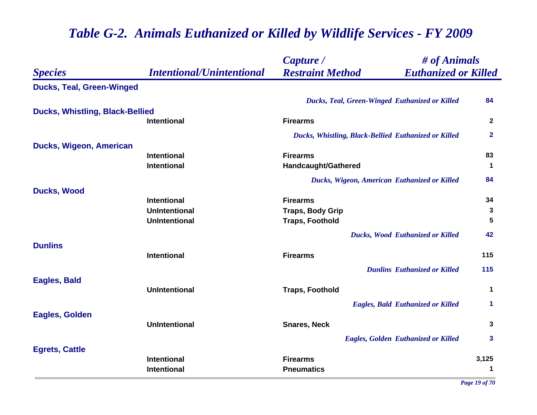|                                        |                                          | Capture /                            | # of Animals                                          |                      |
|----------------------------------------|------------------------------------------|--------------------------------------|-------------------------------------------------------|----------------------|
| <b>Species</b>                         | <b>Intentional/Unintentional</b>         | <b>Restraint Method</b>              | <b>Euthanized or Killed</b>                           |                      |
| <b>Ducks, Teal, Green-Winged</b>       |                                          |                                      |                                                       |                      |
|                                        |                                          |                                      | <b>Ducks, Teal, Green-Winged Euthanized or Killed</b> | 84                   |
| <b>Ducks, Whistling, Black-Bellied</b> |                                          |                                      |                                                       |                      |
|                                        | <b>Intentional</b>                       | <b>Firearms</b>                      |                                                       | $\mathbf{2}$         |
|                                        |                                          |                                      | Ducks, Whistling, Black-Bellied Euthanized or Killed  | $\mathbf{2}$         |
| Ducks, Wigeon, American                |                                          |                                      |                                                       |                      |
|                                        | <b>Intentional</b><br>Intentional        | <b>Firearms</b>                      |                                                       | 83<br>$\mathbf 1$    |
|                                        |                                          | Handcaught/Gathered                  |                                                       |                      |
|                                        |                                          |                                      | Ducks, Wigeon, American Euthanized or Killed          | 84                   |
| <b>Ducks, Wood</b>                     | <b>Intentional</b>                       | <b>Firearms</b>                      |                                                       | 34                   |
|                                        | <b>UnIntentional</b>                     | <b>Traps, Body Grip</b>              |                                                       | 3                    |
|                                        | <b>UnIntentional</b>                     | <b>Traps, Foothold</b>               |                                                       | 5                    |
|                                        |                                          |                                      | <b>Ducks, Wood Euthanized or Killed</b>               | 42                   |
| <b>Dunlins</b>                         |                                          |                                      |                                                       |                      |
|                                        | <b>Intentional</b>                       | <b>Firearms</b>                      |                                                       | 115                  |
|                                        |                                          |                                      | <b>Dunlins Euthanized or Killed</b>                   | 115                  |
| Eagles, Bald                           |                                          |                                      |                                                       |                      |
|                                        | <b>UnIntentional</b>                     | <b>Traps, Foothold</b>               |                                                       | $\mathbf 1$          |
|                                        |                                          |                                      | <b>Eagles, Bald Euthanized or Killed</b>              | 1                    |
| <b>Eagles, Golden</b>                  |                                          |                                      |                                                       |                      |
|                                        | <b>UnIntentional</b>                     | <b>Snares, Neck</b>                  |                                                       | 3                    |
|                                        |                                          |                                      | <b>Eagles, Golden Euthanized or Killed</b>            | 3                    |
| <b>Egrets, Cattle</b>                  |                                          |                                      |                                                       |                      |
|                                        | <b>Intentional</b><br><b>Intentional</b> | <b>Firearms</b><br><b>Pneumatics</b> |                                                       | 3,125<br>$\mathbf 1$ |
|                                        |                                          |                                      |                                                       |                      |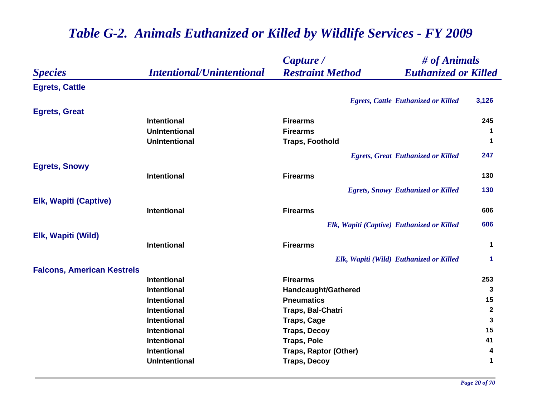|                                   |                                  | Capture /                                  | # of Animals                               |              |
|-----------------------------------|----------------------------------|--------------------------------------------|--------------------------------------------|--------------|
| <b>Species</b>                    | <b>Intentional/Unintentional</b> | <b>Restraint Method</b>                    | <b>Euthanized or Killed</b>                |              |
| <b>Egrets, Cattle</b>             |                                  |                                            |                                            |              |
|                                   |                                  |                                            | <b>Egrets, Cattle Euthanized or Killed</b> | 3,126        |
| <b>Egrets, Great</b>              |                                  |                                            |                                            |              |
|                                   | <b>Intentional</b>               | <b>Firearms</b>                            |                                            | 245          |
|                                   | <b>UnIntentional</b>             | <b>Firearms</b>                            |                                            | 1            |
|                                   | <b>UnIntentional</b>             | <b>Traps, Foothold</b>                     |                                            | 1            |
|                                   |                                  |                                            | <b>Egrets, Great Euthanized or Killed</b>  | 247          |
| <b>Egrets, Snowy</b>              |                                  |                                            |                                            |              |
|                                   | <b>Intentional</b>               | <b>Firearms</b>                            |                                            | 130          |
|                                   |                                  |                                            | <b>Egrets, Snowy Euthanized or Killed</b>  | 130          |
| <b>Elk, Wapiti (Captive)</b>      |                                  |                                            |                                            |              |
|                                   | <b>Intentional</b>               | <b>Firearms</b>                            |                                            | 606          |
|                                   |                                  | Elk, Wapiti (Captive) Euthanized or Killed |                                            | 606          |
| Elk, Wapiti (Wild)                |                                  |                                            |                                            |              |
|                                   | <b>Intentional</b>               | <b>Firearms</b>                            |                                            | 1            |
|                                   |                                  |                                            | Elk, Wapiti (Wild) Euthanized or Killed    | 1            |
| <b>Falcons, American Kestrels</b> |                                  |                                            |                                            |              |
|                                   | <b>Intentional</b>               | <b>Firearms</b>                            |                                            | 253          |
|                                   | <b>Intentional</b>               | Handcaught/Gathered                        |                                            | 3            |
|                                   | <b>Intentional</b>               | <b>Pneumatics</b>                          |                                            | 15           |
|                                   | <b>Intentional</b>               | Traps, Bal-Chatri                          |                                            | $\mathbf{2}$ |
|                                   | <b>Intentional</b>               | <b>Traps, Cage</b>                         |                                            | $\mathbf{3}$ |
|                                   | <b>Intentional</b>               | <b>Traps, Decoy</b>                        |                                            | 15           |
|                                   | <b>Intentional</b>               | <b>Traps, Pole</b>                         |                                            | 41           |
|                                   | <b>Intentional</b>               | <b>Traps, Raptor (Other)</b>               |                                            | 4            |
|                                   | <b>UnIntentional</b>             | <b>Traps, Decoy</b>                        |                                            | 1            |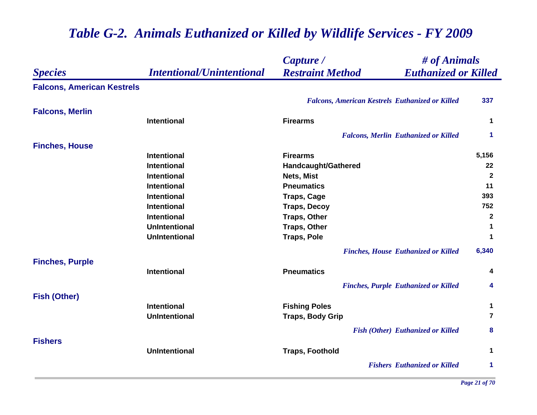|                                   |                                  | Capture /                                              | # of Animals                                |                      |
|-----------------------------------|----------------------------------|--------------------------------------------------------|---------------------------------------------|----------------------|
| <b>Species</b>                    | <b>Intentional/Unintentional</b> | <b>Restraint Method</b>                                | <b>Euthanized or Killed</b>                 |                      |
| <b>Falcons, American Kestrels</b> |                                  |                                                        |                                             |                      |
|                                   |                                  | <b>Falcons, American Kestrels Euthanized or Killed</b> |                                             | 337                  |
| <b>Falcons, Merlin</b>            |                                  |                                                        |                                             |                      |
|                                   | Intentional                      | <b>Firearms</b>                                        |                                             | 1                    |
|                                   |                                  |                                                        | <b>Falcons, Merlin Euthanized or Killed</b> | 1                    |
| <b>Finches, House</b>             |                                  |                                                        |                                             |                      |
|                                   | <b>Intentional</b>               | <b>Firearms</b>                                        |                                             | 5,156                |
|                                   | Intentional                      | <b>Handcaught/Gathered</b>                             |                                             | 22                   |
|                                   | Intentional                      | Nets, Mist                                             |                                             | $\mathbf{2}$         |
|                                   | <b>Intentional</b>               | <b>Pneumatics</b>                                      |                                             | 11                   |
|                                   | <b>Intentional</b>               | <b>Traps, Cage</b>                                     |                                             | 393                  |
|                                   | <b>Intentional</b>               | <b>Traps, Decoy</b>                                    |                                             | 752                  |
|                                   | Intentional                      | <b>Traps, Other</b>                                    |                                             | $\mathbf{2}$         |
|                                   | <b>UnIntentional</b>             | <b>Traps, Other</b>                                    |                                             | $\mathbf 1$          |
|                                   | <b>UnIntentional</b>             | <b>Traps, Pole</b>                                     |                                             | $\blacktriangleleft$ |
|                                   |                                  |                                                        | <b>Finches, House Euthanized or Killed</b>  | 6,340                |
| <b>Finches, Purple</b>            |                                  |                                                        |                                             |                      |
|                                   | Intentional                      | <b>Pneumatics</b>                                      |                                             | 4                    |
|                                   |                                  |                                                        | <b>Finches, Purple Euthanized or Killed</b> | 4                    |
| <b>Fish (Other)</b>               |                                  |                                                        |                                             |                      |
|                                   | <b>Intentional</b>               | <b>Fishing Poles</b>                                   |                                             | $\mathbf{1}$         |
|                                   | <b>UnIntentional</b>             | <b>Traps, Body Grip</b>                                |                                             | $\overline{7}$       |
|                                   |                                  |                                                        | <b>Fish (Other) Euthanized or Killed</b>    | 8                    |
| <b>Fishers</b>                    |                                  |                                                        |                                             |                      |
|                                   | <b>UnIntentional</b>             | <b>Traps, Foothold</b>                                 |                                             | $\mathbf 1$          |
|                                   |                                  |                                                        | <b>Fishers Euthanized or Killed</b>         | 1                    |
|                                   |                                  |                                                        |                                             |                      |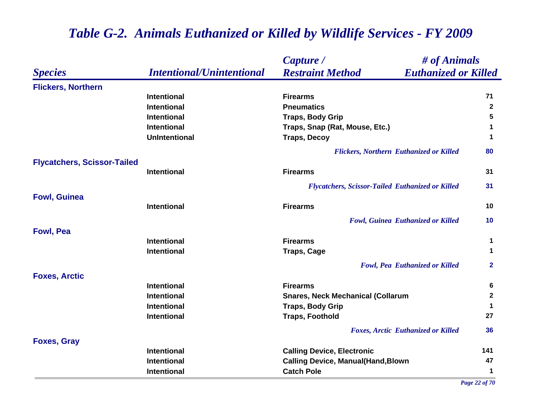|                                    |                                  | # of Animals<br>Capture /                               |                |
|------------------------------------|----------------------------------|---------------------------------------------------------|----------------|
| <b>Species</b>                     | <b>Intentional/Unintentional</b> | <b>Restraint Method</b><br><b>Euthanized or Killed</b>  |                |
| <b>Flickers, Northern</b>          |                                  |                                                         |                |
|                                    | <b>Intentional</b>               | <b>Firearms</b>                                         | 71             |
|                                    | <b>Intentional</b>               | <b>Pneumatics</b>                                       | $\overline{2}$ |
|                                    | <b>Intentional</b>               | <b>Traps, Body Grip</b>                                 | 5              |
|                                    | <b>Intentional</b>               | Traps, Snap (Rat, Mouse, Etc.)                          | 1              |
|                                    | <b>UnIntentional</b>             | <b>Traps, Decoy</b>                                     | $\mathbf 1$    |
|                                    |                                  | <b>Flickers, Northern Euthanized or Killed</b>          | 80             |
| <b>Flycatchers, Scissor-Tailed</b> |                                  |                                                         |                |
|                                    | <b>Intentional</b>               | <b>Firearms</b>                                         | 31             |
|                                    |                                  | <b>Flycatchers, Scissor-Tailed Euthanized or Killed</b> | 31             |
| <b>Fowl, Guinea</b>                |                                  |                                                         |                |
|                                    | <b>Intentional</b>               | <b>Firearms</b>                                         | 10             |
|                                    |                                  | Fowl, Guinea Euthanized or Killed                       | 10             |
| <b>Fowl, Pea</b>                   |                                  |                                                         |                |
|                                    | <b>Intentional</b>               | <b>Firearms</b>                                         | 1              |
|                                    | <b>Intentional</b>               | <b>Traps, Cage</b>                                      | 1              |
|                                    |                                  | <b>Fowl, Pea Euthanized or Killed</b>                   | $\mathbf{2}$   |
| <b>Foxes, Arctic</b>               |                                  |                                                         |                |
|                                    | <b>Intentional</b>               | <b>Firearms</b>                                         | 6              |
|                                    | <b>Intentional</b>               | <b>Snares, Neck Mechanical (Collarum</b>                | $\mathbf{2}$   |
|                                    | <b>Intentional</b>               | <b>Traps, Body Grip</b>                                 | 1              |
|                                    | <b>Intentional</b>               | <b>Traps, Foothold</b>                                  | 27             |
|                                    |                                  | <b>Foxes, Arctic Euthanized or Killed</b>               | 36             |
| <b>Foxes, Gray</b>                 |                                  |                                                         |                |
|                                    | <b>Intentional</b>               | <b>Calling Device, Electronic</b>                       | 141            |
|                                    | <b>Intentional</b>               | <b>Calling Device, Manual(Hand, Blown</b>               | 47             |
|                                    | <b>Intentional</b>               | <b>Catch Pole</b>                                       | 1              |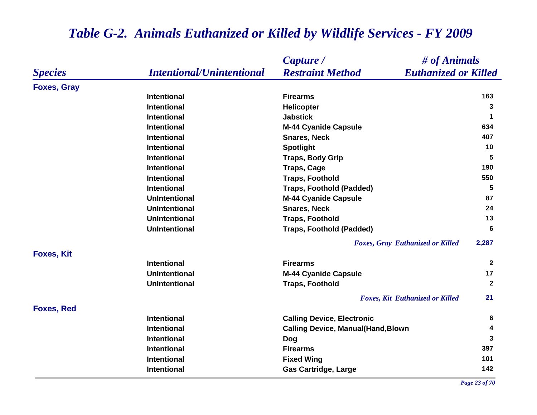|                    |                                  | # of Animals<br>Capture /                              |                |
|--------------------|----------------------------------|--------------------------------------------------------|----------------|
| <b>Species</b>     | <b>Intentional/Unintentional</b> | <b>Restraint Method</b><br><b>Euthanized or Killed</b> |                |
| <b>Foxes, Gray</b> |                                  |                                                        |                |
|                    | <b>Intentional</b>               | <b>Firearms</b>                                        | 163            |
|                    | <b>Intentional</b>               | <b>Helicopter</b>                                      | 3              |
|                    | <b>Intentional</b>               | <b>Jabstick</b>                                        | $\mathbf 1$    |
|                    | <b>Intentional</b>               | <b>M-44 Cyanide Capsule</b>                            | 634            |
|                    | Intentional                      | <b>Snares, Neck</b>                                    | 407            |
|                    | <b>Intentional</b>               | <b>Spotlight</b>                                       | 10             |
|                    | <b>Intentional</b>               | <b>Traps, Body Grip</b>                                | $5\phantom{1}$ |
|                    | <b>Intentional</b>               | <b>Traps, Cage</b>                                     | 190            |
|                    | Intentional                      | <b>Traps, Foothold</b>                                 | 550            |
|                    | <b>Intentional</b>               | <b>Traps, Foothold (Padded)</b>                        | 5              |
|                    | <b>UnIntentional</b>             | <b>M-44 Cyanide Capsule</b>                            | 87             |
|                    | <b>UnIntentional</b>             | <b>Snares, Neck</b>                                    | 24             |
|                    | <b>UnIntentional</b>             | <b>Traps, Foothold</b>                                 | 13             |
|                    | <b>UnIntentional</b>             | <b>Traps, Foothold (Padded)</b>                        | 6              |
|                    |                                  | <b>Foxes, Gray Euthanized or Killed</b>                | 2,287          |
| <b>Foxes, Kit</b>  |                                  |                                                        |                |
|                    | Intentional                      | <b>Firearms</b>                                        | $\mathbf{2}$   |
|                    | <b>UnIntentional</b>             | <b>M-44 Cyanide Capsule</b>                            | 17             |
|                    | <b>UnIntentional</b>             | <b>Traps, Foothold</b>                                 | $\mathbf{2}$   |
|                    |                                  | <b>Foxes, Kit Euthanized or Killed</b>                 | 21             |
| <b>Foxes, Red</b>  |                                  |                                                        |                |
|                    | <b>Intentional</b>               | <b>Calling Device, Electronic</b>                      | 6              |
|                    | <b>Intentional</b>               | <b>Calling Device, Manual(Hand, Blown</b>              | 4              |
|                    | Intentional                      | <b>Dog</b>                                             | 3              |
|                    | Intentional                      | <b>Firearms</b>                                        | 397            |
|                    | Intentional                      | <b>Fixed Wing</b>                                      | 101            |
|                    | <b>Intentional</b>               | <b>Gas Cartridge, Large</b>                            | 142            |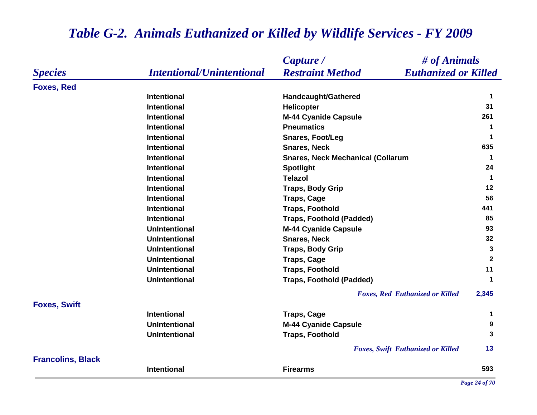#### *Species Capture / Restraint Method # of Animals Intentional/Unintentional Euthanized or Killed* **Foxes, Red Intentional Handcaught/Gathered <sup>1</sup> Intentional Helicopter 31 Intentional M-44 Cyanide Capsule <sup>261</sup> Intentional Pneumatics 1 Intentional Snares, Foot/Leg <sup>1</sup> Intentional Snares, Neck 635 Intentional Snares, Neck Mechanical (Collarum <sup>1</sup> Intentional Spotlight <sup>24</sup> Intentional Telazol 1 Intentional Traps, Body Grip <sup>12</sup> Intentional Traps, Cage <sup>56</sup> Intentional Traps, Foothold <sup>441</sup> Intentional Traps, Foothold (Padded) 85 UnIntentional M-44 Cyanide Capsule <sup>93</sup> UnIntentional Snares, Neck 32 UnIntentional Traps, Body Grip <sup>3</sup> UnIntentional Traps, Cage <sup>2</sup> UnIntentional Traps, Foothold <sup>11</sup> UnIntentional Traps, Foothold (Padded) <sup>1</sup>** *Foxes, Red Euthanized or Killed* **2,345 Foxes, Swift Intentional Traps, Cage <sup>1</sup> UnIntentional M-44 Cyanide Capsule <sup>9</sup> UnIntentional Traps, Foothold 3** *Foxes, Swift Euthanized or Killed* **13 Francolins, Black Intentional Firearms593**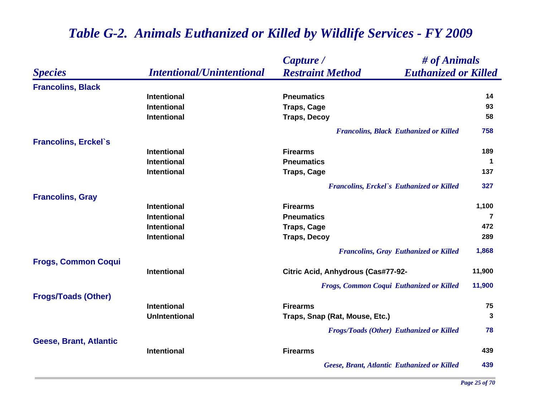|                               |                                  | # of Animals<br>Capture /                              |              |
|-------------------------------|----------------------------------|--------------------------------------------------------|--------------|
| <b>Species</b>                | <b>Intentional/Unintentional</b> | <b>Restraint Method</b><br><b>Euthanized or Killed</b> |              |
| <b>Francolins, Black</b>      |                                  |                                                        |              |
|                               | <b>Intentional</b>               | <b>Pneumatics</b>                                      | 14           |
|                               | <b>Intentional</b>               | <b>Traps, Cage</b>                                     | 93           |
|                               | <b>Intentional</b>               | <b>Traps, Decoy</b>                                    | 58           |
|                               |                                  | <b>Francolins, Black Euthanized or Killed</b>          | 758          |
| <b>Francolins, Erckel's</b>   |                                  |                                                        |              |
|                               | <b>Intentional</b>               | <b>Firearms</b>                                        | 189          |
|                               | Intentional                      | <b>Pneumatics</b>                                      |              |
|                               | <b>Intentional</b>               | <b>Traps, Cage</b>                                     | 137          |
|                               |                                  | <b>Francolins, Erckel's Euthanized or Killed</b>       | 327          |
| <b>Francolins, Gray</b>       |                                  |                                                        |              |
|                               | <b>Intentional</b>               | <b>Firearms</b>                                        | 1,100        |
|                               | <b>Intentional</b>               | <b>Pneumatics</b>                                      | 7            |
|                               | <b>Intentional</b>               | <b>Traps, Cage</b>                                     | 472          |
|                               | <b>Intentional</b>               | <b>Traps, Decoy</b>                                    | 289          |
|                               |                                  | <b>Francolins, Gray Euthanized or Killed</b>           | 1,868        |
| <b>Frogs, Common Coqui</b>    |                                  |                                                        |              |
|                               | <b>Intentional</b>               | Citric Acid, Anhydrous (Cas#77-92-                     | 11,900       |
|                               |                                  | Frogs, Common Coqui Euthanized or Killed               | 11,900       |
| <b>Frogs/Toads (Other)</b>    |                                  |                                                        |              |
|                               | <b>Intentional</b>               | <b>Firearms</b>                                        | 75           |
|                               | <b>UnIntentional</b>             | Traps, Snap (Rat, Mouse, Etc.)                         | $\mathbf{3}$ |
|                               |                                  | <b>Frogs/Toads (Other) Euthanized or Killed</b>        | 78           |
| <b>Geese, Brant, Atlantic</b> |                                  |                                                        |              |
|                               | <b>Intentional</b>               | <b>Firearms</b>                                        | 439          |
|                               |                                  | Geese, Brant, Atlantic Euthanized or Killed            | 439          |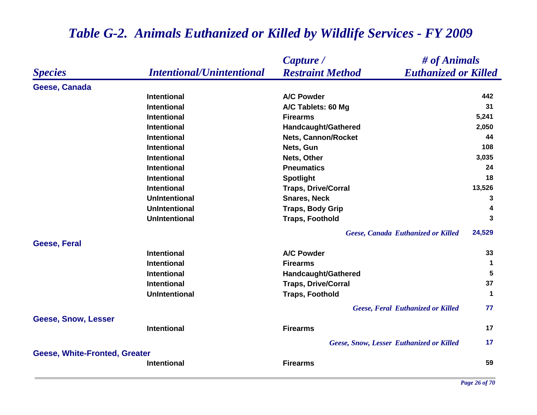|                                      |                                  | Capture /<br># of Animals                              |             |
|--------------------------------------|----------------------------------|--------------------------------------------------------|-------------|
| <b>Species</b>                       | <b>Intentional/Unintentional</b> | <b>Restraint Method</b><br><b>Euthanized or Killed</b> |             |
| Geese, Canada                        |                                  |                                                        |             |
|                                      | <b>Intentional</b>               | <b>A/C Powder</b>                                      | 442         |
|                                      | <b>Intentional</b>               | A/C Tablets: 60 Mg                                     | 31          |
|                                      | <b>Intentional</b>               | <b>Firearms</b>                                        | 5,241       |
|                                      | <b>Intentional</b>               | <b>Handcaught/Gathered</b>                             | 2,050       |
|                                      | <b>Intentional</b>               | <b>Nets, Cannon/Rocket</b>                             | 44          |
|                                      | <b>Intentional</b>               | Nets, Gun                                              | 108         |
|                                      | <b>Intentional</b>               | Nets, Other                                            | 3,035       |
|                                      | <b>Intentional</b>               | <b>Pneumatics</b>                                      | 24          |
|                                      | <b>Intentional</b>               | <b>Spotlight</b>                                       | 18          |
|                                      | <b>Intentional</b>               | <b>Traps, Drive/Corral</b>                             | 13,526      |
|                                      | <b>UnIntentional</b>             | <b>Snares, Neck</b>                                    | 3           |
|                                      | <b>UnIntentional</b>             | <b>Traps, Body Grip</b>                                | 4           |
|                                      | <b>UnIntentional</b>             | <b>Traps, Foothold</b>                                 | 3           |
|                                      |                                  | Geese, Canada Euthanized or Killed                     | 24,529      |
| Geese, Feral                         |                                  |                                                        |             |
|                                      | <b>Intentional</b>               | <b>A/C Powder</b>                                      | 33          |
|                                      | <b>Intentional</b>               | <b>Firearms</b>                                        | $\mathbf 1$ |
|                                      | <b>Intentional</b>               | Handcaught/Gathered                                    | 5           |
|                                      | <b>Intentional</b>               | <b>Traps, Drive/Corral</b>                             | 37          |
|                                      | <b>UnIntentional</b>             | <b>Traps, Foothold</b>                                 | $\mathbf 1$ |
|                                      |                                  | <b>Geese, Feral Euthanized or Killed</b>               | 77          |
| <b>Geese, Snow, Lesser</b>           |                                  |                                                        |             |
|                                      | <b>Intentional</b>               | <b>Firearms</b>                                        | 17          |
|                                      |                                  | Geese, Snow, Lesser Euthanized or Killed               | 17          |
| <b>Geese, White-Fronted, Greater</b> |                                  |                                                        |             |
|                                      | Intentional                      | <b>Firearms</b>                                        | 59          |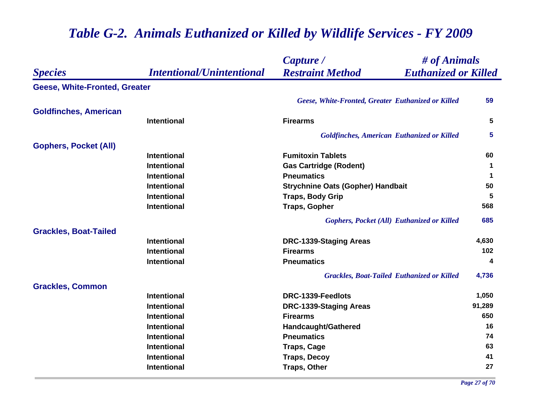|                               |                                  | # of Animals<br>Capture /                              |             |
|-------------------------------|----------------------------------|--------------------------------------------------------|-------------|
| <b>Species</b>                | <b>Intentional/Unintentional</b> | <b>Restraint Method</b><br><b>Euthanized or Killed</b> |             |
| Geese, White-Fronted, Greater |                                  |                                                        |             |
|                               |                                  | Geese, White-Fronted, Greater Euthanized or Killed     | 59          |
| <b>Goldfinches, American</b>  |                                  |                                                        |             |
|                               | Intentional                      | <b>Firearms</b>                                        | 5           |
|                               |                                  | <b>Goldfinches, American Euthanized or Killed</b>      | 5           |
| <b>Gophers, Pocket (All)</b>  |                                  |                                                        |             |
|                               | Intentional                      | <b>Fumitoxin Tablets</b>                               | 60          |
|                               | <b>Intentional</b>               | <b>Gas Cartridge (Rodent)</b>                          | 1           |
|                               | <b>Intentional</b>               | <b>Pneumatics</b>                                      | $\mathbf 1$ |
|                               | <b>Intentional</b>               | <b>Strychnine Oats (Gopher) Handbait</b>               | 50          |
|                               | <b>Intentional</b>               | <b>Traps, Body Grip</b>                                | 5           |
|                               | Intentional                      | <b>Traps, Gopher</b>                                   | 568         |
|                               |                                  | <b>Gophers, Pocket (All) Euthanized or Killed</b>      | 685         |
| <b>Grackles, Boat-Tailed</b>  |                                  |                                                        |             |
|                               | <b>Intentional</b>               | DRC-1339-Staging Areas                                 | 4,630       |
|                               | <b>Intentional</b>               | <b>Firearms</b>                                        | 102         |
|                               | <b>Intentional</b>               | <b>Pneumatics</b>                                      | 4           |
|                               |                                  | <b>Grackles, Boat-Tailed Euthanized or Killed</b>      | 4,736       |
| <b>Grackles, Common</b>       |                                  |                                                        |             |
|                               | <b>Intentional</b>               | DRC-1339-Feedlots                                      | 1,050       |
|                               | <b>Intentional</b>               | DRC-1339-Staging Areas                                 | 91,289      |
|                               | <b>Intentional</b>               | <b>Firearms</b>                                        | 650         |
|                               | <b>Intentional</b>               | Handcaught/Gathered                                    | 16          |
|                               | <b>Intentional</b>               | <b>Pneumatics</b>                                      | 74          |
|                               | Intentional                      | <b>Traps, Cage</b>                                     | 63          |
|                               | <b>Intentional</b>               | <b>Traps, Decoy</b>                                    | 41          |
|                               | <b>Intentional</b>               | <b>Traps, Other</b>                                    | 27          |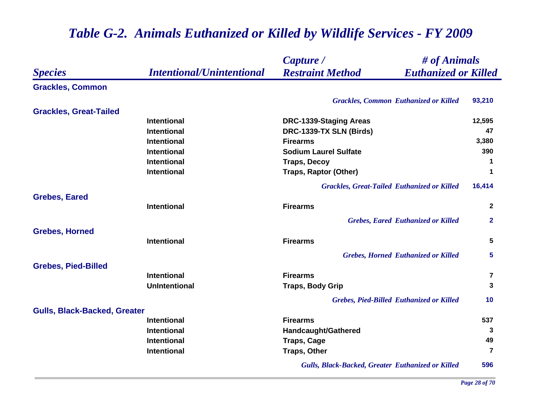#### *Species Capture / Restraint Method # of Animals Intentional/Unintentional Euthanized or Killed* **Grackles, Common** *Grackles, Common Euthanized or Killed* **93,210 Grackles, Great-Tailed Intentional DRC-1339-Staging Areas 12,595 Intentional DRC-1339-TX SLN (Birds) <sup>47</sup> Intentional Firearms 3,380 Intentional Sodium Laurel Sulfate 390 Intentional Traps, Decoy <sup>1</sup> Intentional Traps, Raptor (Other) <sup>1</sup>** *Grackles, Great-Tailed Euthanized or Killed* **16,414 Grebes, Eared Intentional Firearms 2** *Grebes, Eared Euthanized or Killed* **2 Grebes, Horned Intentional Firearms 5** *Grebes, Horned Euthanized or Killed* **5 Grebes, Pied-Billed Intentional Firearms 7 UnIntentional Traps, Body Grip <sup>3</sup>** *Grebes, Pied-Billed Euthanized or Killed* **10 Gulls, Black-Backed, Greater Intentional Firearms 537 Intentional Constructional Biography Handcaught/Gathered 3 3 Intentional Traps, Cage <sup>49</sup> Intentional Traps, Other <sup>7</sup>** *Gulls, Black-Backed, Greater Euthanized or Killed* **596**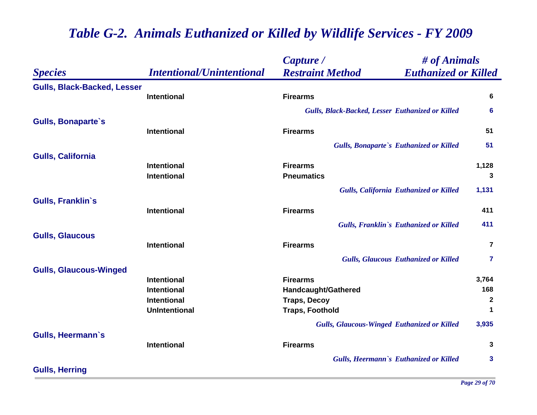|                                    |                                  | Capture /                                              | # of Animals            |  |
|------------------------------------|----------------------------------|--------------------------------------------------------|-------------------------|--|
| <b>Species</b>                     | <b>Intentional/Unintentional</b> | <b>Restraint Method</b><br><b>Euthanized or Killed</b> |                         |  |
| <b>Gulls, Black-Backed, Lesser</b> |                                  |                                                        |                         |  |
|                                    | Intentional                      | <b>Firearms</b>                                        | 6                       |  |
|                                    |                                  | Gulls, Black-Backed, Lesser Euthanized or Killed       | 6                       |  |
| <b>Gulls, Bonaparte's</b>          |                                  |                                                        |                         |  |
|                                    | <b>Intentional</b>               | <b>Firearms</b>                                        | 51                      |  |
|                                    |                                  | <b>Gulls, Bonaparte's Euthanized or Killed</b>         | 51                      |  |
| <b>Gulls, California</b>           |                                  |                                                        |                         |  |
|                                    | Intentional                      | <b>Firearms</b>                                        | 1,128                   |  |
|                                    | <b>Intentional</b>               | <b>Pneumatics</b>                                      | 3                       |  |
|                                    |                                  | <b>Gulls, California Euthanized or Killed</b>          | 1,131                   |  |
| <b>Gulls, Franklin's</b>           |                                  |                                                        |                         |  |
|                                    | <b>Intentional</b>               | <b>Firearms</b>                                        | 411                     |  |
|                                    |                                  | Gulls, Franklin's Euthanized or Killed                 | 411                     |  |
| <b>Gulls, Glaucous</b>             |                                  |                                                        |                         |  |
|                                    | Intentional                      | <b>Firearms</b>                                        | $\overline{7}$          |  |
|                                    |                                  | <b>Gulls, Glaucous Euthanized or Killed</b>            | $\overline{\mathbf{r}}$ |  |
| <b>Gulls, Glaucous-Winged</b>      |                                  |                                                        |                         |  |
|                                    | Intentional                      | <b>Firearms</b>                                        | 3,764                   |  |
|                                    | <b>Intentional</b>               | Handcaught/Gathered                                    | 168                     |  |
|                                    | <b>Intentional</b>               | <b>Traps, Decoy</b>                                    | $\mathbf{2}$            |  |
|                                    | <b>UnIntentional</b>             | <b>Traps, Foothold</b>                                 | 1                       |  |
|                                    |                                  | <b>Gulls, Glaucous-Winged Euthanized or Killed</b>     | 3,935                   |  |
| <b>Gulls, Heermann's</b>           |                                  |                                                        |                         |  |
|                                    | Intentional                      | <b>Firearms</b>                                        | 3                       |  |
|                                    |                                  | Gulls, Heermann's Euthanized or Killed                 | 3                       |  |
| <b>Gulls, Herring</b>              |                                  |                                                        |                         |  |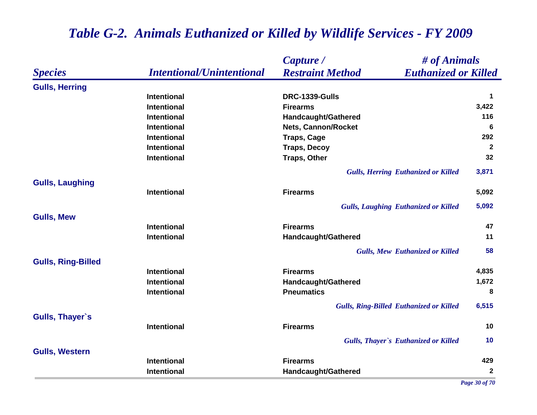|                           |                                  | # of Animals<br>Capture /                              |              |
|---------------------------|----------------------------------|--------------------------------------------------------|--------------|
| <b>Species</b>            | <b>Intentional/Unintentional</b> | <b>Restraint Method</b><br><b>Euthanized or Killed</b> |              |
| <b>Gulls, Herring</b>     |                                  |                                                        |              |
|                           | Intentional                      | DRC-1339-Gulls                                         | $\mathbf 1$  |
|                           | <b>Intentional</b>               | <b>Firearms</b>                                        | 3,422        |
|                           | <b>Intentional</b>               | Handcaught/Gathered                                    | 116          |
|                           | Intentional                      | <b>Nets, Cannon/Rocket</b>                             | 6            |
|                           | <b>Intentional</b>               | <b>Traps, Cage</b>                                     | 292          |
|                           | <b>Intentional</b>               | <b>Traps, Decoy</b>                                    | $\mathbf{2}$ |
|                           | Intentional                      | <b>Traps, Other</b>                                    | 32           |
|                           |                                  | <b>Gulls, Herring Euthanized or Killed</b>             | 3,871        |
| <b>Gulls, Laughing</b>    |                                  |                                                        |              |
|                           | <b>Intentional</b>               | <b>Firearms</b>                                        | 5,092        |
|                           |                                  | <b>Gulls, Laughing Euthanized or Killed</b>            | 5,092        |
| <b>Gulls, Mew</b>         |                                  |                                                        |              |
|                           | <b>Intentional</b>               | <b>Firearms</b>                                        | 47           |
|                           | Intentional                      | <b>Handcaught/Gathered</b>                             | 11           |
|                           |                                  | <b>Gulls, Mew Euthanized or Killed</b>                 | 58           |
| <b>Gulls, Ring-Billed</b> |                                  |                                                        |              |
|                           | <b>Intentional</b>               | <b>Firearms</b>                                        | 4,835        |
|                           | <b>Intentional</b>               | <b>Handcaught/Gathered</b>                             | 1,672        |
|                           | <b>Intentional</b>               | <b>Pneumatics</b>                                      | 8            |
|                           |                                  | <b>Gulls, Ring-Billed Euthanized or Killed</b>         | 6,515        |
| Gulls, Thayer's           |                                  |                                                        |              |
|                           | <b>Intentional</b>               | <b>Firearms</b>                                        | 10           |
|                           |                                  | <b>Gulls, Thayer's Euthanized or Killed</b>            | 10           |
| <b>Gulls, Western</b>     |                                  |                                                        |              |
|                           | Intentional                      | <b>Firearms</b>                                        | 429          |
|                           | Intentional                      | Handcaught/Gathered                                    | $\mathbf{2}$ |

*Page 30 of 70*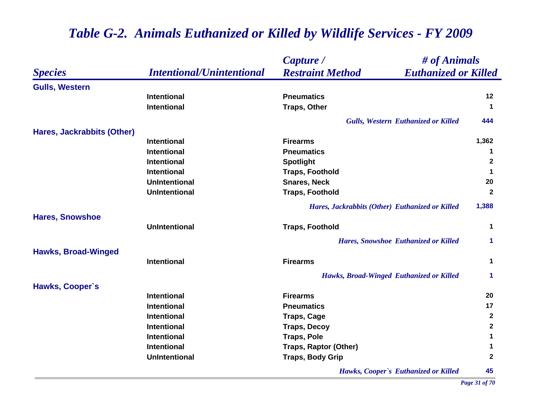|                            |                                  | Capture /                                              | # of Animals         |  |
|----------------------------|----------------------------------|--------------------------------------------------------|----------------------|--|
| <b>Species</b>             | <b>Intentional/Unintentional</b> | <b>Restraint Method</b><br><b>Euthanized or Killed</b> |                      |  |
| <b>Gulls, Western</b>      |                                  |                                                        |                      |  |
|                            | <b>Intentional</b>               | <b>Pneumatics</b>                                      | $12 \,$              |  |
|                            | <b>Intentional</b>               | <b>Traps, Other</b>                                    | $\mathbf 1$          |  |
|                            |                                  | <b>Gulls, Western Euthanized or Killed</b>             | 444                  |  |
| Hares, Jackrabbits (Other) |                                  |                                                        |                      |  |
|                            | <b>Intentional</b>               | <b>Firearms</b>                                        | 1,362                |  |
|                            | <b>Intentional</b>               | <b>Pneumatics</b>                                      | 1                    |  |
|                            | <b>Intentional</b>               | <b>Spotlight</b>                                       | $\mathbf{2}$         |  |
|                            | <b>Intentional</b>               | <b>Traps, Foothold</b>                                 | 1                    |  |
|                            | <b>UnIntentional</b>             | <b>Snares, Neck</b>                                    | 20                   |  |
|                            | <b>UnIntentional</b>             | <b>Traps, Foothold</b>                                 | $\mathbf{2}$         |  |
|                            |                                  | Hares, Jackrabbits (Other) Euthanized or Killed        | 1,388                |  |
| <b>Hares, Snowshoe</b>     |                                  |                                                        |                      |  |
|                            | <b>UnIntentional</b>             | <b>Traps, Foothold</b>                                 | 1                    |  |
|                            |                                  | <b>Hares, Snowshoe Euthanized or Killed</b>            | $\mathbf{1}$         |  |
| <b>Hawks, Broad-Winged</b> |                                  |                                                        |                      |  |
|                            | <b>Intentional</b>               | <b>Firearms</b>                                        | $\mathbf 1$          |  |
|                            |                                  | Hawks, Broad-Winged Euthanized or Killed               | $\blacktriangleleft$ |  |
| Hawks, Cooper's            |                                  |                                                        |                      |  |
|                            | <b>Intentional</b>               | <b>Firearms</b>                                        | 20                   |  |
|                            | <b>Intentional</b>               | <b>Pneumatics</b>                                      | 17                   |  |
|                            | <b>Intentional</b>               | <b>Traps, Cage</b>                                     | $\mathbf{2}$         |  |
|                            | <b>Intentional</b>               | <b>Traps, Decoy</b>                                    | $\boldsymbol{2}$     |  |
|                            | <b>Intentional</b>               | <b>Traps, Pole</b>                                     | $\mathbf 1$          |  |
|                            | Intentional                      | <b>Traps, Raptor (Other)</b>                           | 1                    |  |
|                            | <b>UnIntentional</b>             | <b>Traps, Body Grip</b>                                | $\mathbf{2}$         |  |
|                            |                                  | Hawks, Cooper's Euthanized or Killed                   | 45                   |  |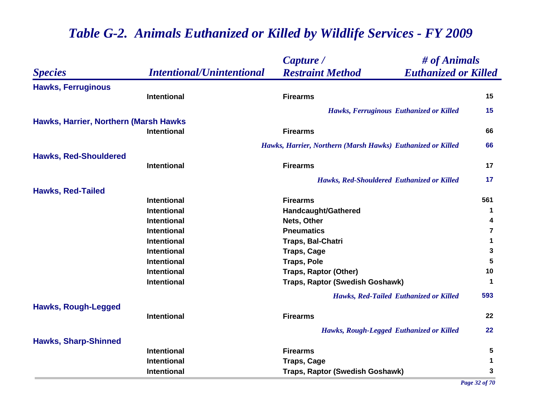|                                       |                                  | # of Animals<br>Capture /                                   |             |
|---------------------------------------|----------------------------------|-------------------------------------------------------------|-------------|
| <b>Species</b>                        | <b>Intentional/Unintentional</b> | <b>Restraint Method</b><br><b>Euthanized or Killed</b>      |             |
| <b>Hawks, Ferruginous</b>             |                                  |                                                             |             |
|                                       | <b>Intentional</b>               | <b>Firearms</b>                                             | 15          |
|                                       |                                  | Hawks, Ferruginous Euthanized or Killed                     | 15          |
| Hawks, Harrier, Northern (Marsh Hawks |                                  |                                                             |             |
|                                       | <b>Intentional</b>               | <b>Firearms</b>                                             | 66          |
|                                       |                                  | Hawks, Harrier, Northern (Marsh Hawks) Euthanized or Killed | 66          |
| <b>Hawks, Red-Shouldered</b>          |                                  |                                                             |             |
|                                       | <b>Intentional</b>               | <b>Firearms</b>                                             | 17          |
|                                       |                                  | Hawks, Red-Shouldered Euthanized or Killed                  | 17          |
| <b>Hawks, Red-Tailed</b>              |                                  |                                                             |             |
|                                       | <b>Intentional</b>               | <b>Firearms</b>                                             | 561         |
|                                       | Intentional                      | Handcaught/Gathered                                         | $\mathbf 1$ |
|                                       | Intentional                      | Nets, Other                                                 | 4           |
|                                       | <b>Intentional</b>               | <b>Pneumatics</b>                                           | 7           |
|                                       | <b>Intentional</b>               | Traps, Bal-Chatri                                           | 1           |
|                                       | Intentional                      | <b>Traps, Cage</b>                                          | 3           |
|                                       | Intentional                      | <b>Traps, Pole</b>                                          | 5           |
|                                       | Intentional                      | <b>Traps, Raptor (Other)</b>                                | 10          |
|                                       | <b>Intentional</b>               | Traps, Raptor (Swedish Goshawk)                             | $\mathbf 1$ |
|                                       |                                  | Hawks, Red-Tailed Euthanized or Killed                      | 593         |
| <b>Hawks, Rough-Legged</b>            |                                  |                                                             |             |
|                                       | <b>Intentional</b>               | <b>Firearms</b>                                             | 22          |
|                                       |                                  | Hawks, Rough-Legged Euthanized or Killed                    | 22          |
| <b>Hawks, Sharp-Shinned</b>           |                                  |                                                             |             |
|                                       | <b>Intentional</b>               | <b>Firearms</b>                                             | 5           |
|                                       | Intentional                      | <b>Traps, Cage</b>                                          | 1           |
|                                       | Intentional                      | Traps, Raptor (Swedish Goshawk)                             | 3           |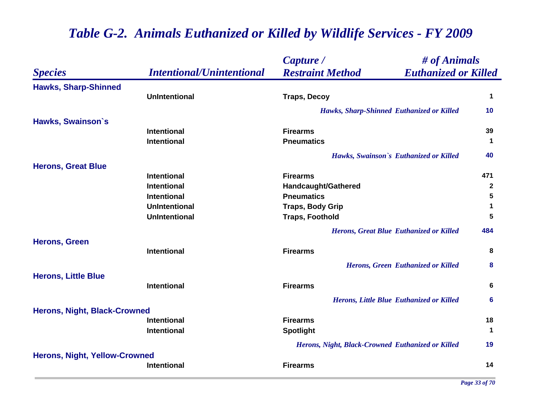|                                      |                                  | # of Animals<br>Capture /                              |              |
|--------------------------------------|----------------------------------|--------------------------------------------------------|--------------|
| <b>Species</b>                       | <b>Intentional/Unintentional</b> | <b>Restraint Method</b><br><b>Euthanized or Killed</b> |              |
| <b>Hawks, Sharp-Shinned</b>          |                                  |                                                        |              |
|                                      | <b>UnIntentional</b>             | <b>Traps, Decoy</b>                                    | $\mathbf 1$  |
|                                      |                                  | Hawks, Sharp-Shinned Euthanized or Killed              | 10           |
| Hawks, Swainson's                    |                                  |                                                        |              |
|                                      | <b>Intentional</b>               | <b>Firearms</b>                                        | 39           |
|                                      | <b>Intentional</b>               | <b>Pneumatics</b>                                      | $\mathbf 1$  |
|                                      |                                  | Hawks, Swainson's Euthanized or Killed                 | 40           |
| <b>Herons, Great Blue</b>            |                                  |                                                        |              |
|                                      | <b>Intentional</b>               | <b>Firearms</b>                                        | 471          |
|                                      | <b>Intentional</b>               | Handcaught/Gathered                                    | $\mathbf{2}$ |
|                                      | <b>Intentional</b>               | <b>Pneumatics</b>                                      | 5            |
|                                      | <b>UnIntentional</b>             | <b>Traps, Body Grip</b>                                | 1            |
|                                      | <b>UnIntentional</b>             | <b>Traps, Foothold</b>                                 | 5            |
|                                      |                                  | Herons, Great Blue Euthanized or Killed                | 484          |
| <b>Herons, Green</b>                 | <b>Intentional</b>               | <b>Firearms</b>                                        | 8            |
|                                      |                                  |                                                        |              |
|                                      |                                  | Herons, Green Euthanized or Killed                     | 8            |
| <b>Herons, Little Blue</b>           |                                  |                                                        |              |
|                                      | <b>Intentional</b>               | <b>Firearms</b>                                        | 6            |
|                                      |                                  | Herons, Little Blue Euthanized or Killed               | 6            |
| <b>Herons, Night, Black-Crowned</b>  |                                  |                                                        |              |
|                                      | <b>Intentional</b>               | <b>Firearms</b>                                        | 18           |
|                                      | Intentional                      | <b>Spotlight</b>                                       | $\mathbf 1$  |
|                                      |                                  | Herons, Night, Black-Crowned Euthanized or Killed      | 19           |
| <b>Herons, Night, Yellow-Crowned</b> |                                  |                                                        |              |
|                                      | <b>Intentional</b>               | <b>Firearms</b>                                        | 14           |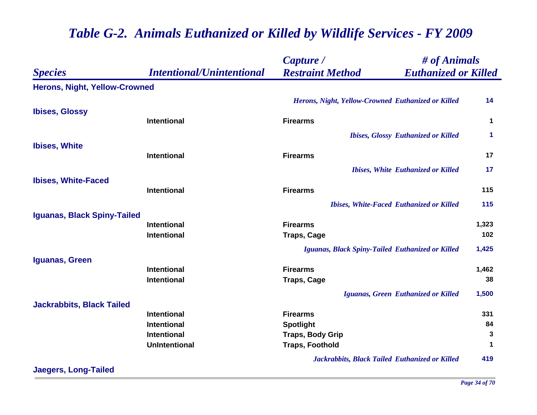|                                      |                                   | # of Animals<br>Capture /                              |                      |
|--------------------------------------|-----------------------------------|--------------------------------------------------------|----------------------|
| <b>Species</b>                       | <b>Intentional/Unintentional</b>  | <b>Restraint Method</b><br><b>Euthanized or Killed</b> |                      |
| <b>Herons, Night, Yellow-Crowned</b> |                                   |                                                        |                      |
|                                      |                                   | Herons, Night, Yellow-Crowned Euthanized or Killed     | 14                   |
| <b>Ibises, Glossy</b>                |                                   |                                                        |                      |
|                                      | <b>Intentional</b>                | <b>Firearms</b>                                        | $\mathbf 1$          |
|                                      |                                   | <b>Ibises, Glossy Euthanized or Killed</b>             | $\blacktriangleleft$ |
| <b>Ibises, White</b>                 |                                   |                                                        |                      |
|                                      | <b>Intentional</b>                | <b>Firearms</b>                                        | 17                   |
|                                      |                                   | <b>Ibises, White Euthanized or Killed</b>              | 17                   |
| <b>Ibises, White-Faced</b>           |                                   |                                                        |                      |
|                                      | <b>Intentional</b>                | <b>Firearms</b>                                        | 115                  |
|                                      |                                   | <b>Ibises, White-Faced Euthanized or Killed</b>        | 115                  |
| <b>Iguanas, Black Spiny-Tailed</b>   |                                   |                                                        |                      |
|                                      | <b>Intentional</b>                | <b>Firearms</b>                                        | 1,323                |
|                                      | <b>Intentional</b>                | <b>Traps, Cage</b>                                     | 102                  |
|                                      |                                   | Iguanas, Black Spiny-Tailed Euthanized or Killed       | 1,425                |
| Iguanas, Green                       |                                   |                                                        |                      |
|                                      | <b>Intentional</b>                | <b>Firearms</b>                                        | 1,462                |
|                                      | <b>Intentional</b>                | <b>Traps, Cage</b>                                     | 38                   |
|                                      |                                   | Iguanas, Green Euthanized or Killed                    | 1,500                |
| <b>Jackrabbits, Black Tailed</b>     |                                   |                                                        |                      |
|                                      | Intentional<br><b>Intentional</b> | <b>Firearms</b>                                        | 331<br>84            |
|                                      | <b>Intentional</b>                | <b>Spotlight</b><br><b>Traps, Body Grip</b>            | 3                    |
|                                      | <b>UnIntentional</b>              | <b>Traps, Foothold</b>                                 | 1                    |
|                                      |                                   |                                                        | 419                  |
| <b>Jaegers, Long-Tailed</b>          |                                   | Jackrabbits, Black Tailed Euthanized or Killed         |                      |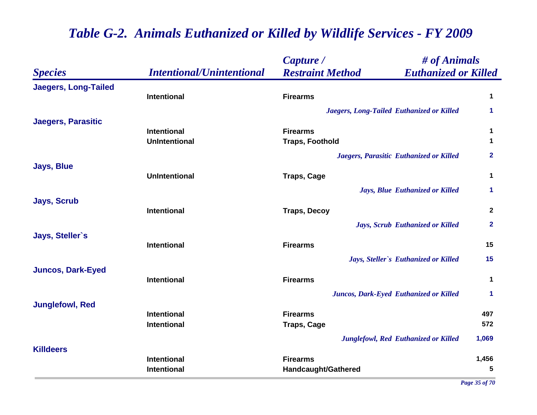|                             |                                  | Capture /               | # of Animals                                |                      |
|-----------------------------|----------------------------------|-------------------------|---------------------------------------------|----------------------|
| <b>Species</b>              | <b>Intentional/Unintentional</b> | <b>Restraint Method</b> | <b>Euthanized or Killed</b>                 |                      |
| <b>Jaegers, Long-Tailed</b> |                                  |                         |                                             |                      |
|                             | Intentional                      | <b>Firearms</b>         |                                             | $\mathbf 1$          |
|                             |                                  |                         | Jaegers, Long-Tailed Euthanized or Killed   | $\blacktriangleleft$ |
| <b>Jaegers, Parasitic</b>   |                                  |                         |                                             |                      |
|                             | <b>Intentional</b>               | <b>Firearms</b>         |                                             | $\mathbf 1$          |
|                             | <b>UnIntentional</b>             | <b>Traps, Foothold</b>  |                                             | $\mathbf 1$          |
|                             |                                  |                         | Jaegers, Parasitic Euthanized or Killed     | $\overline{2}$       |
| <b>Jays, Blue</b>           | <b>UnIntentional</b>             | <b>Traps, Cage</b>      |                                             | $\mathbf 1$          |
|                             |                                  |                         | Jays, Blue Euthanized or Killed             | 1                    |
| <b>Jays, Scrub</b>          | <b>Intentional</b>               | <b>Traps, Decoy</b>     |                                             | $\mathbf{2}$         |
|                             |                                  |                         | Jays, Scrub Euthanized or Killed            | $\overline{2}$       |
| Jays, Steller's             |                                  |                         |                                             |                      |
|                             | <b>Intentional</b>               | <b>Firearms</b>         |                                             | 15                   |
|                             |                                  |                         | Jays, Steller's Euthanized or Killed        | 15                   |
| <b>Juncos, Dark-Eyed</b>    | <b>Intentional</b>               | <b>Firearms</b>         |                                             | $\mathbf 1$          |
|                             |                                  |                         | Juncos, Dark-Eyed Euthanized or Killed      | 1                    |
| <b>Junglefowl, Red</b>      |                                  |                         |                                             |                      |
|                             | <b>Intentional</b>               | <b>Firearms</b>         |                                             | 497                  |
|                             | <b>Intentional</b>               | <b>Traps, Cage</b>      |                                             | 572                  |
|                             |                                  |                         | <b>Junglefowl, Red Euthanized or Killed</b> | 1,069                |
| <b>Killdeers</b>            |                                  |                         |                                             |                      |
|                             | <b>Intentional</b>               | <b>Firearms</b>         |                                             | 1,456                |
|                             | Intentional                      | Handcaught/Gathered     |                                             | 5                    |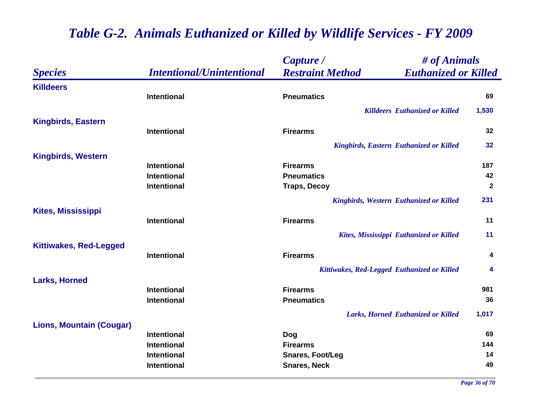|                                 |                                  | Capture /                                              | # of Animals |  |
|---------------------------------|----------------------------------|--------------------------------------------------------|--------------|--|
| <b>Species</b>                  | <b>Intentional/Unintentional</b> | <b>Euthanized or Killed</b><br><b>Restraint Method</b> |              |  |
| <b>Killdeers</b>                |                                  |                                                        |              |  |
|                                 | Intentional                      | <b>Pneumatics</b>                                      | 69           |  |
|                                 |                                  | <b>Killdeers Euthanized or Killed</b>                  | 1,530        |  |
| <b>Kingbirds, Eastern</b>       |                                  |                                                        |              |  |
|                                 | <b>Intentional</b>               | <b>Firearms</b>                                        | 32           |  |
|                                 |                                  | <b>Kingbirds, Eastern Euthanized or Killed</b>         | 32           |  |
| <b>Kingbirds, Western</b>       |                                  |                                                        |              |  |
|                                 | <b>Intentional</b>               | <b>Firearms</b>                                        | 187          |  |
|                                 | <b>Intentional</b>               | <b>Pneumatics</b>                                      | 42           |  |
|                                 | <b>Intentional</b>               | <b>Traps, Decoy</b>                                    | $\mathbf{2}$ |  |
|                                 |                                  | <b>Kingbirds, Western Euthanized or Killed</b>         | 231          |  |
| <b>Kites, Mississippi</b>       |                                  |                                                        |              |  |
|                                 | <b>Intentional</b>               | <b>Firearms</b>                                        | 11           |  |
|                                 |                                  | Kites, Mississippi Euthanized or Killed                | 11           |  |
| <b>Kittiwakes, Red-Legged</b>   |                                  |                                                        |              |  |
|                                 | Intentional                      | <b>Firearms</b>                                        | 4            |  |
|                                 |                                  | Kittiwakes, Red-Legged Euthanized or Killed            | 4            |  |
| <b>Larks, Horned</b>            |                                  |                                                        |              |  |
|                                 | <b>Intentional</b>               | <b>Firearms</b>                                        | 981          |  |
|                                 | <b>Intentional</b>               | <b>Pneumatics</b>                                      | 36           |  |
|                                 |                                  | Larks, Horned Euthanized or Killed                     | 1,017        |  |
| <b>Lions, Mountain (Cougar)</b> |                                  |                                                        |              |  |
|                                 | <b>Intentional</b>               | <b>Dog</b>                                             | 69           |  |
|                                 | <b>Intentional</b>               | <b>Firearms</b>                                        | 144          |  |
|                                 | <b>Intentional</b>               | <b>Snares, Foot/Leg</b>                                | 14<br>49     |  |
|                                 | Intentional                      | <b>Snares, Neck</b>                                    |              |  |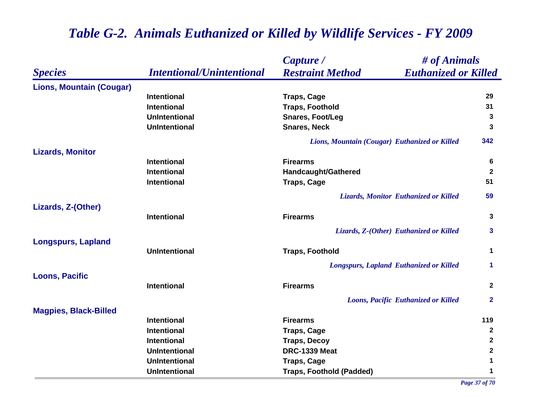|                                 |                                  | # of Animals<br>Capture /                              |              |
|---------------------------------|----------------------------------|--------------------------------------------------------|--------------|
| <b>Species</b>                  | <b>Intentional/Unintentional</b> | <b>Restraint Method</b><br><b>Euthanized or Killed</b> |              |
| <b>Lions, Mountain (Cougar)</b> |                                  |                                                        |              |
|                                 | <b>Intentional</b>               | <b>Traps, Cage</b>                                     | 29           |
|                                 | <b>Intentional</b>               | <b>Traps, Foothold</b>                                 | 31           |
|                                 | <b>UnIntentional</b>             | <b>Snares, Foot/Leg</b>                                | 3            |
|                                 | <b>UnIntentional</b>             | <b>Snares, Neck</b>                                    | 3            |
|                                 |                                  | Lions, Mountain (Cougar) Euthanized or Killed          | 342          |
| <b>Lizards, Monitor</b>         |                                  |                                                        |              |
|                                 | <b>Intentional</b>               | <b>Firearms</b>                                        | 6            |
|                                 | <b>Intentional</b>               | Handcaught/Gathered                                    | $\mathbf{2}$ |
|                                 | <b>Intentional</b>               | <b>Traps, Cage</b>                                     | 51           |
|                                 |                                  | Lizards, Monitor Euthanized or Killed                  | 59           |
| Lizards, Z-(Other)              |                                  |                                                        |              |
|                                 | <b>Intentional</b>               | <b>Firearms</b>                                        | 3            |
|                                 |                                  | Lizards, Z-(Other) Euthanized or Killed                | 3            |
| <b>Longspurs, Lapland</b>       | <b>UnIntentional</b>             | <b>Traps, Foothold</b>                                 | $\mathbf 1$  |
|                                 |                                  | <b>Longspurs, Lapland Euthanized or Killed</b>         | 1            |
| <b>Loons, Pacific</b>           |                                  |                                                        |              |
|                                 | <b>Intentional</b>               | <b>Firearms</b>                                        | $\mathbf{2}$ |
|                                 |                                  | Loons, Pacific Euthanized or Killed                    | $\mathbf{2}$ |
| <b>Magpies, Black-Billed</b>    |                                  |                                                        |              |
|                                 | <b>Intentional</b>               | <b>Firearms</b>                                        | 119          |
|                                 | <b>Intentional</b>               | <b>Traps, Cage</b>                                     | $\mathbf{2}$ |
|                                 | <b>Intentional</b>               | <b>Traps, Decoy</b>                                    | $\mathbf{2}$ |
|                                 | <b>UnIntentional</b>             | DRC-1339 Meat                                          | $\mathbf 2$  |
|                                 | <b>UnIntentional</b>             | <b>Traps, Cage</b>                                     | $\mathbf 1$  |
|                                 | <b>UnIntentional</b>             | <b>Traps, Foothold (Padded)</b>                        | 1            |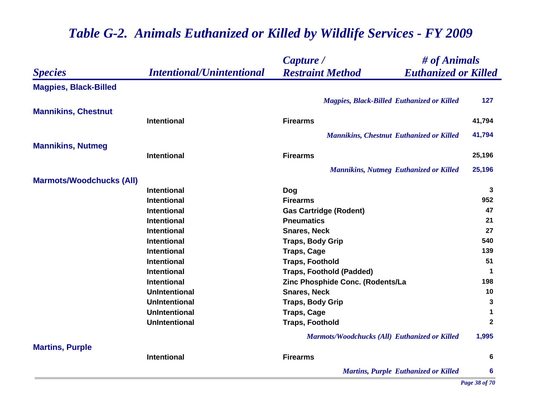|                                 |                                  | Capture /                                              | # of Animals         |  |
|---------------------------------|----------------------------------|--------------------------------------------------------|----------------------|--|
| <b>Species</b>                  | <b>Intentional/Unintentional</b> | <b>Restraint Method</b><br><b>Euthanized or Killed</b> |                      |  |
| <b>Magpies, Black-Billed</b>    |                                  |                                                        |                      |  |
|                                 |                                  | <b>Magpies, Black-Billed Euthanized or Killed</b>      | 127                  |  |
| <b>Mannikins, Chestnut</b>      |                                  |                                                        |                      |  |
|                                 | <b>Intentional</b>               | <b>Firearms</b>                                        | 41,794               |  |
|                                 |                                  | <b>Mannikins, Chestnut Euthanized or Killed</b>        | 41,794               |  |
| <b>Mannikins, Nutmeg</b>        |                                  |                                                        |                      |  |
|                                 | <b>Intentional</b>               | <b>Firearms</b>                                        | 25,196               |  |
|                                 |                                  | <b>Mannikins, Nutmeg Euthanized or Killed</b>          | 25,196               |  |
| <b>Marmots/Woodchucks (All)</b> |                                  |                                                        |                      |  |
|                                 | <b>Intentional</b>               | Dog                                                    | 3                    |  |
|                                 | <b>Intentional</b>               | <b>Firearms</b>                                        | 952                  |  |
|                                 | <b>Intentional</b>               | <b>Gas Cartridge (Rodent)</b>                          | 47                   |  |
|                                 | <b>Intentional</b>               | <b>Pneumatics</b>                                      | 21                   |  |
|                                 | <b>Intentional</b>               | <b>Snares, Neck</b>                                    | 27                   |  |
|                                 | <b>Intentional</b>               | <b>Traps, Body Grip</b>                                | 540                  |  |
|                                 | <b>Intentional</b>               | <b>Traps, Cage</b>                                     | 139                  |  |
|                                 | Intentional                      | <b>Traps, Foothold</b>                                 | 51                   |  |
|                                 | <b>Intentional</b>               | <b>Traps, Foothold (Padded)</b>                        | 1                    |  |
|                                 | <b>Intentional</b>               | Zinc Phosphide Conc. (Rodents/La                       | 198                  |  |
|                                 | <b>UnIntentional</b>             | <b>Snares, Neck</b>                                    | 10                   |  |
|                                 | <b>UnIntentional</b>             | <b>Traps, Body Grip</b>                                | 3                    |  |
|                                 | <b>UnIntentional</b>             | <b>Traps, Cage</b>                                     | $\blacktriangleleft$ |  |
|                                 | <b>UnIntentional</b>             | <b>Traps, Foothold</b>                                 | $\mathbf{2}$         |  |
|                                 |                                  | Marmots/Woodchucks (All) Euthanized or Killed          | 1,995                |  |
| <b>Martins, Purple</b>          | <b>Intentional</b>               | <b>Firearms</b>                                        | 6                    |  |
|                                 |                                  |                                                        | $6\phantom{1}6$      |  |
|                                 |                                  | <b>Martins, Purple Euthanized or Killed</b>            |                      |  |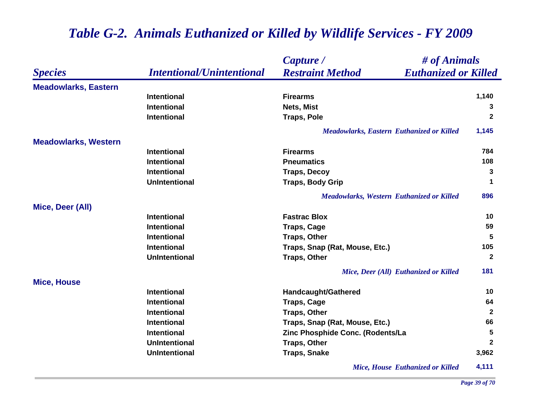|                             |                                  | # of Animals<br>Capture /                              |                 |
|-----------------------------|----------------------------------|--------------------------------------------------------|-----------------|
| <b>Species</b>              | <b>Intentional/Unintentional</b> | <b>Restraint Method</b><br><b>Euthanized or Killed</b> |                 |
| <b>Meadowlarks, Eastern</b> |                                  |                                                        |                 |
|                             | <b>Intentional</b>               | <b>Firearms</b>                                        | 1,140           |
|                             | <b>Intentional</b>               | Nets, Mist                                             | 3               |
|                             | <b>Intentional</b>               | <b>Traps, Pole</b>                                     | $\mathbf{2}$    |
|                             |                                  | <b>Meadowlarks, Eastern Euthanized or Killed</b>       | 1,145           |
| <b>Meadowlarks, Western</b> |                                  |                                                        |                 |
|                             | <b>Intentional</b>               | <b>Firearms</b>                                        | 784             |
|                             | <b>Intentional</b>               | <b>Pneumatics</b>                                      | 108             |
|                             | <b>Intentional</b>               | <b>Traps, Decoy</b>                                    | 3               |
|                             | <b>UnIntentional</b>             | <b>Traps, Body Grip</b>                                | $\mathbf 1$     |
|                             |                                  | <b>Meadowlarks, Western Euthanized or Killed</b>       | 896             |
| Mice, Deer (All)            |                                  |                                                        |                 |
|                             | <b>Intentional</b>               | <b>Fastrac Blox</b>                                    | 10              |
|                             | <b>Intentional</b>               | <b>Traps, Cage</b>                                     | 59              |
|                             | <b>Intentional</b>               | <b>Traps, Other</b>                                    | 5               |
|                             | <b>Intentional</b>               | Traps, Snap (Rat, Mouse, Etc.)                         | 105             |
|                             | <b>UnIntentional</b>             | <b>Traps, Other</b>                                    | $\mathbf{2}$    |
|                             |                                  | Mice, Deer (All) Euthanized or Killed                  | 181             |
| <b>Mice, House</b>          |                                  |                                                        |                 |
|                             | <b>Intentional</b>               | <b>Handcaught/Gathered</b>                             | 10              |
|                             | <b>Intentional</b>               | <b>Traps, Cage</b>                                     | 64              |
|                             | <b>Intentional</b>               | <b>Traps, Other</b>                                    | $\overline{2}$  |
|                             | <b>Intentional</b>               | Traps, Snap (Rat, Mouse, Etc.)                         | 66              |
|                             | <b>Intentional</b>               | Zinc Phosphide Conc. (Rodents/La                       | $5\phantom{.0}$ |
|                             | <b>UnIntentional</b>             | <b>Traps, Other</b>                                    | $\mathbf{2}$    |
|                             | <b>UnIntentional</b>             | <b>Traps, Snake</b>                                    | 3,962           |
|                             |                                  | <b>Mice, House Euthanized or Killed</b>                | 4,111           |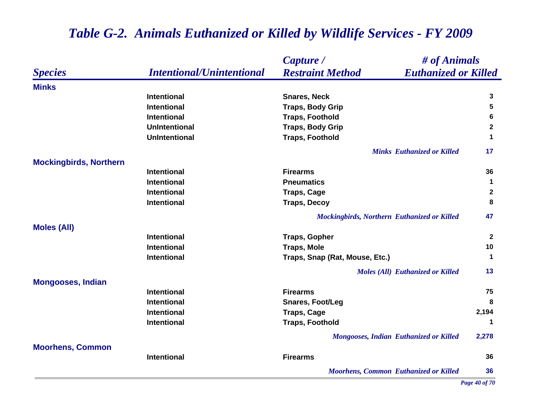#### *Species Capture / Restraint Method # of Animals Intentional/Unintentional Euthanized or Killed* **MinksIntentional Snares, Neck 3 Intentional Traps, Body Grip 5 Intentional Traps, Foothold 6 UnIntentional Traps, Body Grip <sup>2</sup> UnIntentional Traps, Foothold <sup>1</sup>** *Minks Euthanized or Killed* **17 Mockingbirds, Northern Intentional Firearms 36 Intentional Pneumatics 1 Intentional Traps, Cage <sup>2</sup> Intentional Traps, Decoy <sup>8</sup>** *Mockingbirds, Northern Euthanized or Killed* **47 Moles (All) Intentional Traps, Gopher <sup>2</sup> Intentional Traps, Mole 10 Intentional Traps, Snap (Rat, Mouse, Etc.) <sup>1</sup>** *Moles (All) Euthanized or Killed* **13 Mongooses, Indian Intentional Firearms 75 Intentional Snares, Foot/Leg <sup>8</sup> Intentional Traps, Cage 2,194 Intentional Traps, Foothold <sup>1</sup>** *Mongooses, Indian Euthanized or Killed* **2,278 Moorhens, Common Intentional Firearms 36** *Moorhens, Common Euthanized or Killed* **36**

#### *Table G-2. Animals Euthanized or Killed by Wildlife Services - FY 2009*

*Page 40 of 70*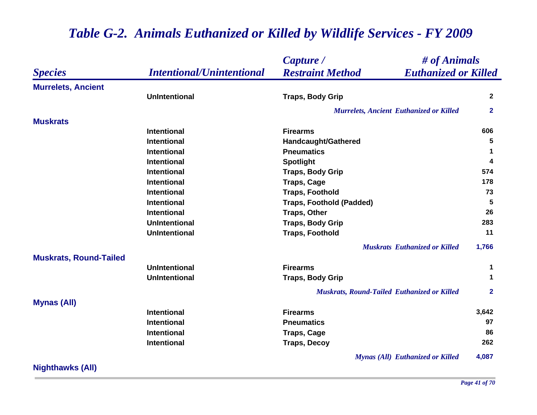|                               | <b>Intentional/Unintentional</b> | Capture /                                              | # of Animals |  |
|-------------------------------|----------------------------------|--------------------------------------------------------|--------------|--|
| <b>Species</b>                |                                  | <b>Restraint Method</b><br><b>Euthanized or Killed</b> |              |  |
| <b>Murrelets, Ancient</b>     |                                  |                                                        |              |  |
|                               | <b>UnIntentional</b>             | <b>Traps, Body Grip</b>                                | $\mathbf{2}$ |  |
|                               |                                  | <b>Murrelets, Ancient Euthanized or Killed</b>         | $\mathbf{2}$ |  |
| <b>Muskrats</b>               |                                  |                                                        |              |  |
|                               | <b>Intentional</b>               | <b>Firearms</b>                                        | 606          |  |
|                               | <b>Intentional</b>               | Handcaught/Gathered                                    | 5            |  |
|                               | <b>Intentional</b>               | <b>Pneumatics</b>                                      | 1            |  |
|                               | <b>Intentional</b>               | <b>Spotlight</b>                                       | 4            |  |
|                               | <b>Intentional</b>               | <b>Traps, Body Grip</b>                                | 574          |  |
|                               | <b>Intentional</b>               | <b>Traps, Cage</b>                                     | 178          |  |
|                               | <b>Intentional</b>               | <b>Traps, Foothold</b>                                 | 73           |  |
|                               | <b>Intentional</b>               | <b>Traps, Foothold (Padded)</b>                        | 5            |  |
|                               | <b>Intentional</b>               | <b>Traps, Other</b>                                    | 26           |  |
|                               | <b>UnIntentional</b>             | <b>Traps, Body Grip</b>                                | 283          |  |
|                               | <b>UnIntentional</b>             | <b>Traps, Foothold</b>                                 | 11           |  |
|                               |                                  | <b>Muskrats</b> Euthanized or Killed                   | 1,766        |  |
| <b>Muskrats, Round-Tailed</b> |                                  |                                                        |              |  |
|                               | <b>UnIntentional</b>             | <b>Firearms</b>                                        | 1            |  |
|                               | <b>UnIntentional</b>             | <b>Traps, Body Grip</b>                                | 1            |  |
|                               |                                  | <b>Muskrats, Round-Tailed Euthanized or Killed</b>     | $\mathbf{2}$ |  |
| <b>Mynas (All)</b>            |                                  |                                                        |              |  |
|                               | <b>Intentional</b>               | <b>Firearms</b>                                        | 3,642        |  |
|                               | <b>Intentional</b>               | <b>Pneumatics</b>                                      | 97           |  |
|                               | <b>Intentional</b>               | <b>Traps, Cage</b>                                     | 86           |  |
|                               | <b>Intentional</b>               | <b>Traps, Decoy</b>                                    | 262          |  |
|                               |                                  | <b>Mynas (All) Euthanized or Killed</b>                | 4,087        |  |

**Nighthawks (All)**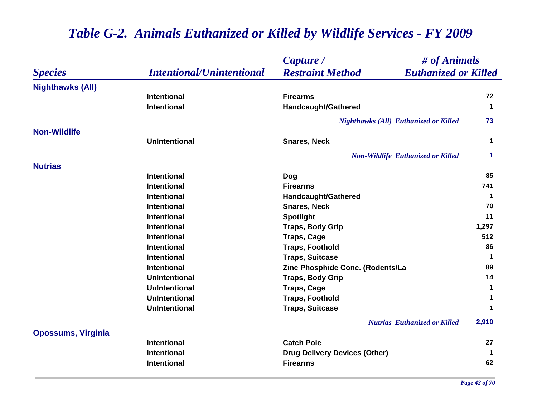|                           |                                  | # of Animals<br>Capture /                              |                         |
|---------------------------|----------------------------------|--------------------------------------------------------|-------------------------|
| <b>Species</b>            | <b>Intentional/Unintentional</b> | <b>Restraint Method</b><br><b>Euthanized or Killed</b> |                         |
| <b>Nighthawks (All)</b>   |                                  |                                                        |                         |
|                           | Intentional                      | <b>Firearms</b>                                        | 72                      |
|                           | <b>Intentional</b>               | Handcaught/Gathered                                    | $\mathbf 1$             |
|                           |                                  | <b>Nighthawks (All) Euthanized or Killed</b>           | 73                      |
| <b>Non-Wildlife</b>       |                                  |                                                        |                         |
|                           | <b>UnIntentional</b>             | <b>Snares, Neck</b>                                    | $\mathbf 1$             |
|                           |                                  | <b>Non-Wildlife Euthanized or Killed</b>               | $\mathbf 1$             |
| <b>Nutrias</b>            |                                  |                                                        |                         |
|                           | <b>Intentional</b>               | Dog                                                    | 85                      |
|                           | <b>Intentional</b>               | <b>Firearms</b>                                        | 741                     |
|                           | <b>Intentional</b>               | <b>Handcaught/Gathered</b>                             | $\mathbf 1$             |
|                           | <b>Intentional</b>               | <b>Snares, Neck</b>                                    | 70                      |
|                           | Intentional                      | <b>Spotlight</b>                                       | 11                      |
|                           | <b>Intentional</b>               | <b>Traps, Body Grip</b>                                | 1,297                   |
|                           | <b>Intentional</b>               | <b>Traps, Cage</b>                                     | 512                     |
|                           | <b>Intentional</b>               | <b>Traps, Foothold</b>                                 | 86                      |
|                           | <b>Intentional</b>               | <b>Traps, Suitcase</b>                                 | $\overline{\mathbf{1}}$ |
|                           | <b>Intentional</b>               | Zinc Phosphide Conc. (Rodents/La                       | 89                      |
|                           | <b>UnIntentional</b>             | <b>Traps, Body Grip</b>                                | 14                      |
|                           | <b>UnIntentional</b>             | <b>Traps, Cage</b>                                     | $\mathbf{1}$            |
|                           | <b>UnIntentional</b>             | <b>Traps, Foothold</b>                                 | 1                       |
|                           | <b>UnIntentional</b>             | <b>Traps, Suitcase</b>                                 | 1                       |
|                           |                                  | <b>Nutrias Euthanized or Killed</b>                    | 2,910                   |
| <b>Opossums, Virginia</b> |                                  |                                                        |                         |
|                           | <b>Intentional</b>               | <b>Catch Pole</b>                                      | 27                      |
|                           | <b>Intentional</b>               | <b>Drug Delivery Devices (Other)</b>                   | $\mathbf 1$             |
|                           | <b>Intentional</b>               | <b>Firearms</b>                                        | 62                      |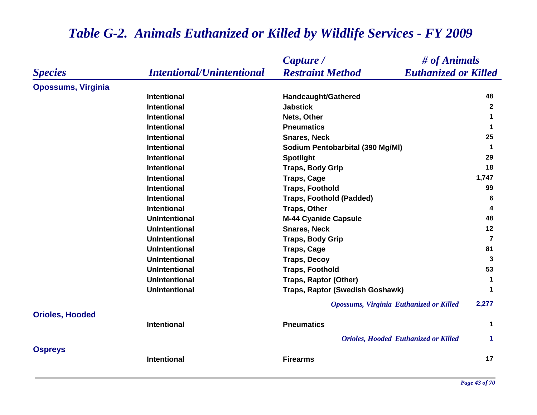|                           |                                  | Capture /<br># of Animals                              |                      |
|---------------------------|----------------------------------|--------------------------------------------------------|----------------------|
| <b>Species</b>            | <b>Intentional/Unintentional</b> | <b>Restraint Method</b><br><b>Euthanized or Killed</b> |                      |
| <b>Opossums, Virginia</b> |                                  |                                                        |                      |
|                           | <b>Intentional</b>               | Handcaught/Gathered                                    | 48                   |
|                           | <b>Intentional</b>               | <b>Jabstick</b>                                        | $\mathbf{2}$         |
|                           | <b>Intentional</b>               | Nets, Other                                            | 1                    |
|                           | <b>Intentional</b>               | <b>Pneumatics</b>                                      | 1                    |
|                           | <b>Intentional</b>               | <b>Snares, Neck</b>                                    | 25                   |
|                           | <b>Intentional</b>               | Sodium Pentobarbital (390 Mg/MI)                       | $\mathbf 1$          |
|                           | <b>Intentional</b>               | <b>Spotlight</b>                                       | 29                   |
|                           | <b>Intentional</b>               | <b>Traps, Body Grip</b>                                | 18                   |
|                           | <b>Intentional</b>               | <b>Traps, Cage</b>                                     | 1,747                |
|                           | <b>Intentional</b>               | <b>Traps, Foothold</b>                                 | 99                   |
|                           | <b>Intentional</b>               | <b>Traps, Foothold (Padded)</b>                        | 6                    |
|                           | <b>Intentional</b>               | <b>Traps, Other</b>                                    | 4                    |
|                           | <b>UnIntentional</b>             | <b>M-44 Cyanide Capsule</b>                            | 48                   |
|                           | <b>UnIntentional</b>             | <b>Snares, Neck</b>                                    | 12                   |
|                           | <b>UnIntentional</b>             | <b>Traps, Body Grip</b>                                | $\overline{7}$       |
|                           | <b>UnIntentional</b>             | <b>Traps, Cage</b>                                     | 81                   |
|                           | <b>UnIntentional</b>             | <b>Traps, Decoy</b>                                    | 3                    |
|                           | <b>UnIntentional</b>             | <b>Traps, Foothold</b>                                 | 53                   |
|                           | <b>UnIntentional</b>             | Traps, Raptor (Other)                                  | 1                    |
|                           | <b>UnIntentional</b>             | Traps, Raptor (Swedish Goshawk)                        | 1                    |
|                           |                                  | <b>Opossums, Virginia Euthanized or Killed</b>         | 2,277                |
| <b>Orioles, Hooded</b>    |                                  |                                                        |                      |
|                           | Intentional                      | <b>Pneumatics</b>                                      | 1                    |
|                           |                                  | <b>Orioles, Hooded Euthanized or Killed</b>            | $\blacktriangleleft$ |
| <b>Ospreys</b>            |                                  |                                                        |                      |
|                           | <b>Intentional</b>               | <b>Firearms</b>                                        | 17                   |
|                           |                                  |                                                        |                      |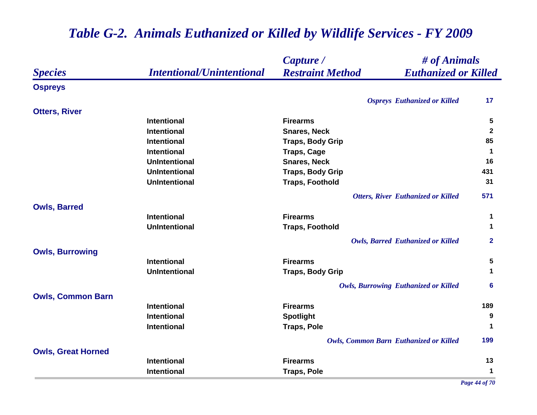|                           |                                  | Capture /                                              | # of Animals         |  |
|---------------------------|----------------------------------|--------------------------------------------------------|----------------------|--|
| <b>Species</b>            | <b>Intentional/Unintentional</b> | <b>Euthanized or Killed</b><br><b>Restraint Method</b> |                      |  |
| <b>Ospreys</b>            |                                  |                                                        |                      |  |
|                           |                                  | <b>Ospreys</b> Euthanized or Killed                    | 17                   |  |
| <b>Otters, River</b>      |                                  |                                                        |                      |  |
|                           | <b>Intentional</b>               | <b>Firearms</b>                                        | 5                    |  |
|                           | <b>Intentional</b>               | <b>Snares, Neck</b>                                    | $\mathbf{2}$         |  |
|                           | <b>Intentional</b>               | <b>Traps, Body Grip</b>                                | 85                   |  |
|                           | <b>Intentional</b>               | <b>Traps, Cage</b>                                     | $\blacktriangleleft$ |  |
|                           | <b>UnIntentional</b>             | <b>Snares, Neck</b>                                    | 16                   |  |
|                           | <b>UnIntentional</b>             | <b>Traps, Body Grip</b>                                | 431                  |  |
|                           | <b>UnIntentional</b>             | <b>Traps, Foothold</b>                                 | 31                   |  |
|                           |                                  | <b>Otters, River Euthanized or Killed</b>              | 571                  |  |
| <b>Owls, Barred</b>       |                                  |                                                        |                      |  |
|                           | <b>Intentional</b>               | <b>Firearms</b>                                        | 1                    |  |
|                           | <b>UnIntentional</b>             | <b>Traps, Foothold</b>                                 | $\mathbf 1$          |  |
|                           |                                  | <b>Owls, Barred Euthanized or Killed</b>               | $\mathbf{2}$         |  |
| <b>Owls, Burrowing</b>    |                                  |                                                        |                      |  |
|                           | <b>Intentional</b>               | <b>Firearms</b>                                        | 5                    |  |
|                           | <b>UnIntentional</b>             | <b>Traps, Body Grip</b>                                | $\mathbf 1$          |  |
|                           |                                  | <b>Owls, Burrowing Euthanized or Killed</b>            | 6                    |  |
| <b>Owls, Common Barn</b>  |                                  |                                                        |                      |  |
|                           | <b>Intentional</b>               | <b>Firearms</b>                                        | 189                  |  |
|                           | <b>Intentional</b>               | <b>Spotlight</b>                                       | 9                    |  |
|                           | <b>Intentional</b>               | <b>Traps, Pole</b>                                     | $\mathbf 1$          |  |
|                           |                                  | <b>Owls, Common Barn Euthanized or Killed</b>          | 199                  |  |
| <b>Owls, Great Horned</b> |                                  |                                                        |                      |  |
|                           | <b>Intentional</b>               | <b>Firearms</b>                                        | 13                   |  |
|                           | <b>Intentional</b>               | <b>Traps, Pole</b>                                     | $\mathbf{1}$         |  |

*Page 44 of 70*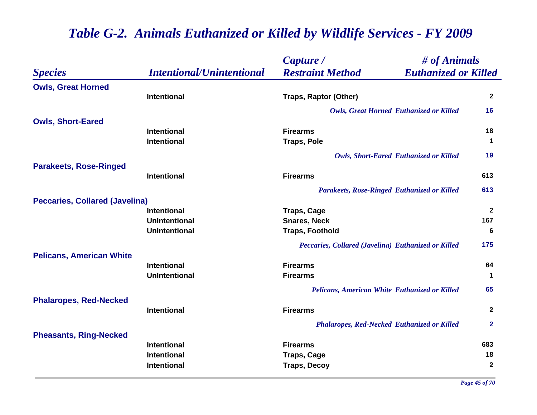|                                       |                                  | Capture /                                              | # of Animals   |  |
|---------------------------------------|----------------------------------|--------------------------------------------------------|----------------|--|
| <b>Species</b>                        | <b>Intentional/Unintentional</b> | <b>Restraint Method</b><br><b>Euthanized or Killed</b> |                |  |
| <b>Owls, Great Horned</b>             |                                  |                                                        |                |  |
|                                       | <b>Intentional</b>               | <b>Traps, Raptor (Other)</b>                           | $\mathbf{2}$   |  |
|                                       |                                  | <b>Owls, Great Horned Euthanized or Killed</b>         | 16             |  |
| <b>Owls, Short-Eared</b>              |                                  |                                                        |                |  |
|                                       | <b>Intentional</b>               | <b>Firearms</b>                                        | 18             |  |
|                                       | <b>Intentional</b>               | <b>Traps, Pole</b>                                     | $\mathbf 1$    |  |
|                                       |                                  | <b>Owls, Short-Eared Euthanized or Killed</b>          | 19             |  |
| <b>Parakeets, Rose-Ringed</b>         |                                  |                                                        |                |  |
|                                       | <b>Intentional</b>               | <b>Firearms</b>                                        | 613            |  |
|                                       |                                  | Parakeets, Rose-Ringed Euthanized or Killed            | 613            |  |
| <b>Peccaries, Collared (Javelina)</b> |                                  |                                                        |                |  |
|                                       | <b>Intentional</b>               | <b>Traps, Cage</b>                                     | $\mathbf{2}$   |  |
|                                       | <b>UnIntentional</b>             | <b>Snares, Neck</b>                                    | 167            |  |
|                                       | <b>UnIntentional</b>             | <b>Traps, Foothold</b>                                 | 6              |  |
|                                       |                                  | Peccaries, Collared (Javelina) Euthanized or Killed    | 175            |  |
| <b>Pelicans, American White</b>       |                                  |                                                        |                |  |
|                                       | <b>Intentional</b>               | <b>Firearms</b>                                        | 64             |  |
|                                       | <b>UnIntentional</b>             | <b>Firearms</b>                                        | $\mathbf 1$    |  |
|                                       |                                  | Pelicans, American White Euthanized or Killed          | 65             |  |
| <b>Phalaropes, Red-Necked</b>         |                                  |                                                        |                |  |
|                                       | <b>Intentional</b>               | <b>Firearms</b>                                        | $\mathbf{2}$   |  |
|                                       |                                  | <b>Phalaropes, Red-Necked Euthanized or Killed</b>     | $\overline{2}$ |  |
| <b>Pheasants, Ring-Necked</b>         |                                  |                                                        |                |  |
|                                       | <b>Intentional</b>               | <b>Firearms</b>                                        | 683            |  |
|                                       | <b>Intentional</b>               | <b>Traps, Cage</b>                                     | 18             |  |
|                                       | Intentional                      | <b>Traps, Decoy</b>                                    | $\mathbf{2}$   |  |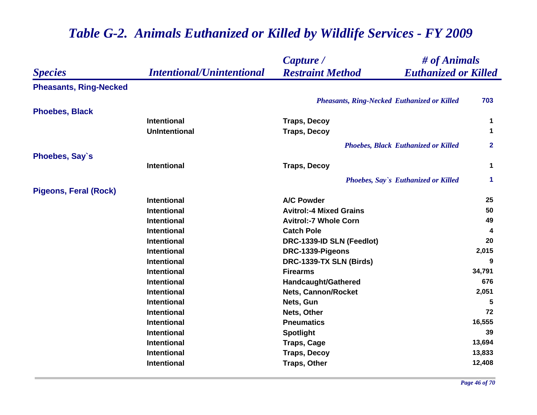|                               |                                  | # of Animals<br>Capture /                              |              |
|-------------------------------|----------------------------------|--------------------------------------------------------|--------------|
| <b>Species</b>                | <b>Intentional/Unintentional</b> | <b>Restraint Method</b><br><b>Euthanized or Killed</b> |              |
| <b>Pheasants, Ring-Necked</b> |                                  |                                                        |              |
|                               |                                  | <b>Pheasants, Ring-Necked Euthanized or Killed</b>     | 703          |
| <b>Phoebes, Black</b>         |                                  |                                                        |              |
|                               | <b>Intentional</b>               | <b>Traps, Decoy</b>                                    | 1            |
|                               | <b>UnIntentional</b>             | <b>Traps, Decoy</b>                                    | $\mathbf 1$  |
|                               |                                  | <b>Phoebes, Black Euthanized or Killed</b>             | $\mathbf{2}$ |
| <b>Phoebes, Say's</b>         |                                  |                                                        |              |
|                               | Intentional                      | <b>Traps, Decoy</b>                                    | $\mathbf 1$  |
|                               |                                  | <b>Phoebes, Say's Euthanized or Killed</b>             | $\mathbf 1$  |
| <b>Pigeons, Feral (Rock)</b>  |                                  |                                                        |              |
|                               | <b>Intentional</b>               | <b>A/C Powder</b>                                      | 25           |
|                               | <b>Intentional</b>               | <b>Avitrol:-4 Mixed Grains</b>                         | 50           |
|                               | <b>Intentional</b>               | <b>Avitrol:-7 Whole Corn</b>                           | 49           |
|                               | Intentional                      | <b>Catch Pole</b>                                      | 4            |
|                               | <b>Intentional</b>               | DRC-1339-ID SLN (Feedlot)                              | 20           |
|                               | <b>Intentional</b>               | DRC-1339-Pigeons                                       | 2,015        |
|                               | <b>Intentional</b>               | DRC-1339-TX SLN (Birds)                                | 9            |
|                               | Intentional                      | <b>Firearms</b>                                        | 34,791       |
|                               | <b>Intentional</b>               | <b>Handcaught/Gathered</b>                             | 676          |
|                               | <b>Intentional</b>               | <b>Nets, Cannon/Rocket</b>                             | 2,051        |
|                               | <b>Intentional</b>               | Nets, Gun                                              | 5            |
|                               | <b>Intentional</b>               | Nets, Other                                            | 72           |
|                               | Intentional                      | <b>Pneumatics</b>                                      | 16,555       |
|                               | Intentional                      | <b>Spotlight</b>                                       | 39           |
|                               | <b>Intentional</b>               | <b>Traps, Cage</b>                                     | 13,694       |
|                               | <b>Intentional</b>               | <b>Traps, Decoy</b>                                    | 13,833       |
|                               | <b>Intentional</b>               | <b>Traps, Other</b>                                    | 12,408       |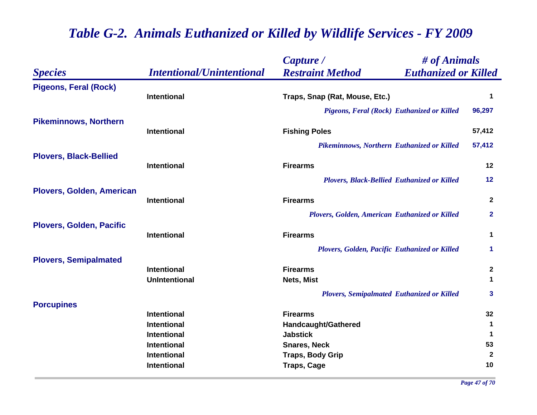|                                  |                                            | Capture /                                              | # of Animals                |  |
|----------------------------------|--------------------------------------------|--------------------------------------------------------|-----------------------------|--|
| <b>Species</b>                   | <b>Intentional/Unintentional</b>           | <b>Euthanized or Killed</b><br><b>Restraint Method</b> |                             |  |
| <b>Pigeons, Feral (Rock)</b>     | <b>Intentional</b>                         | Traps, Snap (Rat, Mouse, Etc.)                         | $\mathbf 1$                 |  |
|                                  |                                            | Pigeons, Feral (Rock) Euthanized or Killed             | 96,297                      |  |
| <b>Pikeminnows, Northern</b>     | <b>Intentional</b>                         | <b>Fishing Poles</b>                                   | 57,412                      |  |
|                                  |                                            | Pikeminnows, Northern Euthanized or Killed             | 57,412                      |  |
| <b>Plovers, Black-Bellied</b>    | <b>Intentional</b>                         | <b>Firearms</b>                                        | 12                          |  |
|                                  |                                            | <b>Plovers, Black-Bellied Euthanized or Killed</b>     | 12                          |  |
| <b>Plovers, Golden, American</b> | <b>Intentional</b>                         | <b>Firearms</b>                                        | $\mathbf{2}$                |  |
|                                  |                                            | Plovers, Golden, American Euthanized or Killed         | $\mathbf{2}$                |  |
| <b>Plovers, Golden, Pacific</b>  | <b>Intentional</b>                         | <b>Firearms</b>                                        | $\mathbf{1}$                |  |
|                                  |                                            | Plovers, Golden, Pacific Euthanized or Killed          | $\blacktriangleleft$        |  |
| <b>Plovers, Semipalmated</b>     | <b>Intentional</b><br><b>UnIntentional</b> | <b>Firearms</b><br>Nets, Mist                          | $\mathbf{2}$<br>$\mathbf 1$ |  |
| <b>Porcupines</b>                |                                            | <b>Plovers, Semipalmated Euthanized or Killed</b>      | $\mathbf{3}$                |  |
|                                  | <b>Intentional</b>                         | <b>Firearms</b>                                        | 32                          |  |
|                                  | <b>Intentional</b><br><b>Intentional</b>   | <b>Handcaught/Gathered</b><br><b>Jabstick</b>          | 1<br>$\mathbf 1$            |  |
|                                  | <b>Intentional</b>                         | <b>Snares, Neck</b>                                    | 53                          |  |
|                                  | <b>Intentional</b><br><b>Intentional</b>   | <b>Traps, Body Grip</b><br><b>Traps, Cage</b>          | $\mathbf{2}$<br>10          |  |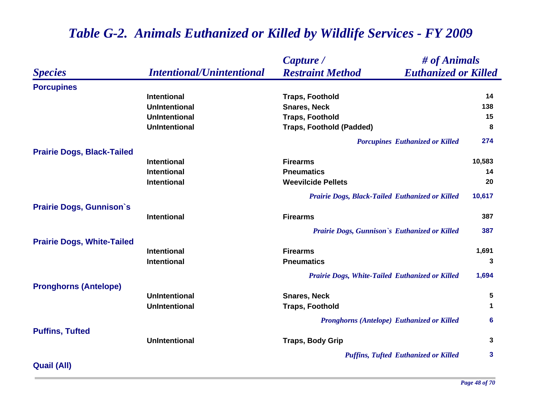|                                   |                                  | # of Animals<br>Capture /                              |              |
|-----------------------------------|----------------------------------|--------------------------------------------------------|--------------|
| <b>Species</b>                    | <b>Intentional/Unintentional</b> | <b>Restraint Method</b><br><b>Euthanized or Killed</b> |              |
| <b>Porcupines</b>                 |                                  |                                                        |              |
|                                   | <b>Intentional</b>               | <b>Traps, Foothold</b>                                 | 14           |
|                                   | <b>UnIntentional</b>             | <b>Snares, Neck</b>                                    | 138          |
|                                   | <b>UnIntentional</b>             | <b>Traps, Foothold</b>                                 | 15           |
|                                   | <b>UnIntentional</b>             | <b>Traps, Foothold (Padded)</b>                        | 8            |
|                                   |                                  | <b>Porcupines Euthanized or Killed</b>                 | 274          |
| <b>Prairie Dogs, Black-Tailed</b> |                                  |                                                        |              |
|                                   | <b>Intentional</b>               | <b>Firearms</b>                                        | 10,583       |
|                                   | <b>Intentional</b>               | <b>Pneumatics</b>                                      | 14           |
|                                   | <b>Intentional</b>               | <b>Weevilcide Pellets</b>                              | 20           |
|                                   |                                  | Prairie Dogs, Black-Tailed Euthanized or Killed        | 10,617       |
| <b>Prairie Dogs, Gunnison's</b>   |                                  |                                                        |              |
|                                   | <b>Intentional</b>               | <b>Firearms</b>                                        | 387          |
|                                   |                                  | Prairie Dogs, Gunnison's Euthanized or Killed          | 387          |
| <b>Prairie Dogs, White-Tailed</b> |                                  |                                                        |              |
|                                   | <b>Intentional</b>               | <b>Firearms</b>                                        | 1,691        |
|                                   | <b>Intentional</b>               | <b>Pneumatics</b>                                      | 3            |
|                                   |                                  | Prairie Dogs, White-Tailed Euthanized or Killed        | 1,694        |
| <b>Pronghorns (Antelope)</b>      |                                  |                                                        |              |
|                                   | <b>UnIntentional</b>             | <b>Snares, Neck</b>                                    | 5            |
|                                   | <b>UnIntentional</b>             | <b>Traps, Foothold</b>                                 | 1            |
|                                   |                                  | <b>Pronghorns (Antelope) Euthanized or Killed</b>      | 6            |
| <b>Puffins, Tufted</b>            |                                  |                                                        |              |
|                                   | <b>UnIntentional</b>             | <b>Traps, Body Grip</b>                                | 3            |
|                                   |                                  | <b>Puffins, Tufted Euthanized or Killed</b>            | $\mathbf{3}$ |
| <b>Quail (All)</b>                |                                  |                                                        |              |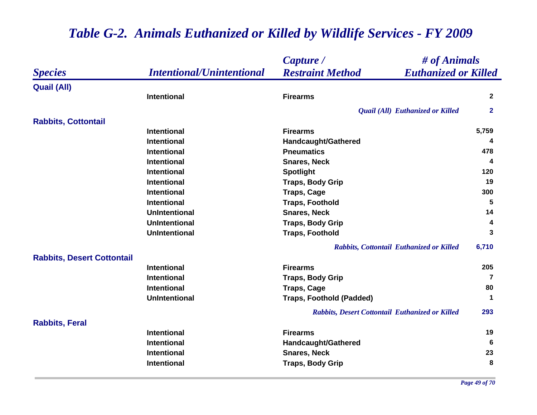|                                   |                                  | Capture /                                              | # of Animals   |  |
|-----------------------------------|----------------------------------|--------------------------------------------------------|----------------|--|
| <b>Species</b>                    | <b>Intentional/Unintentional</b> | <b>Restraint Method</b><br><b>Euthanized or Killed</b> |                |  |
| <b>Quail (All)</b>                |                                  |                                                        |                |  |
|                                   | <b>Intentional</b>               | <b>Firearms</b>                                        | $\overline{2}$ |  |
|                                   |                                  | Quail (All) Euthanized or Killed                       | $\mathbf{2}$   |  |
| <b>Rabbits, Cottontail</b>        |                                  |                                                        |                |  |
|                                   | <b>Intentional</b>               | <b>Firearms</b>                                        | 5,759          |  |
|                                   | <b>Intentional</b>               | Handcaught/Gathered                                    | 4              |  |
|                                   | <b>Intentional</b>               | <b>Pneumatics</b>                                      | 478            |  |
|                                   | <b>Intentional</b>               | <b>Snares, Neck</b>                                    | 4              |  |
|                                   | <b>Intentional</b>               | <b>Spotlight</b>                                       | 120            |  |
|                                   | <b>Intentional</b>               | <b>Traps, Body Grip</b>                                | 19             |  |
|                                   | <b>Intentional</b>               | <b>Traps, Cage</b>                                     | 300            |  |
|                                   | <b>Intentional</b>               | <b>Traps, Foothold</b>                                 | 5              |  |
|                                   | <b>UnIntentional</b>             | <b>Snares, Neck</b>                                    | 14             |  |
|                                   | <b>UnIntentional</b>             | <b>Traps, Body Grip</b>                                | 4              |  |
|                                   | <b>UnIntentional</b>             | <b>Traps, Foothold</b>                                 | 3              |  |
|                                   |                                  | Rabbits, Cottontail Euthanized or Killed               | 6,710          |  |
| <b>Rabbits, Desert Cottontail</b> |                                  |                                                        |                |  |
|                                   | <b>Intentional</b>               | <b>Firearms</b>                                        | 205            |  |
|                                   | <b>Intentional</b>               | <b>Traps, Body Grip</b>                                | 7              |  |
|                                   | <b>Intentional</b>               | <b>Traps, Cage</b>                                     | 80             |  |
|                                   | <b>UnIntentional</b>             | <b>Traps, Foothold (Padded)</b>                        | $\mathbf 1$    |  |
|                                   |                                  | Rabbits, Desert Cottontail Euthanized or Killed        | 293            |  |
| <b>Rabbits, Feral</b>             |                                  |                                                        |                |  |
|                                   | <b>Intentional</b>               | <b>Firearms</b>                                        | 19             |  |
|                                   | <b>Intentional</b>               | Handcaught/Gathered                                    | 6              |  |
|                                   | <b>Intentional</b>               | <b>Snares, Neck</b>                                    | 23             |  |
|                                   | <b>Intentional</b>               | <b>Traps, Body Grip</b>                                | 8              |  |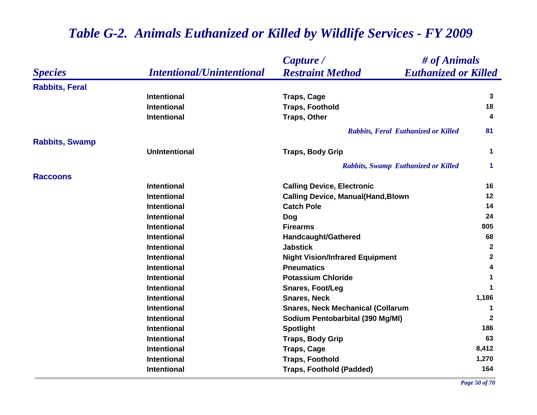|                       | <b>Intentional/Unintentional</b> | Capture /                                              | # of Animals         |  |
|-----------------------|----------------------------------|--------------------------------------------------------|----------------------|--|
| <b>Species</b>        |                                  | <b>Restraint Method</b><br><b>Euthanized or Killed</b> |                      |  |
| <b>Rabbits, Feral</b> |                                  |                                                        |                      |  |
|                       | <b>Intentional</b>               | <b>Traps, Cage</b>                                     | 3                    |  |
|                       | <b>Intentional</b>               | <b>Traps, Foothold</b>                                 | 18                   |  |
|                       | <b>Intentional</b>               | <b>Traps, Other</b>                                    | 4                    |  |
|                       |                                  | <b>Rabbits, Feral Euthanized or Killed</b>             | 81                   |  |
| <b>Rabbits, Swamp</b> |                                  |                                                        |                      |  |
|                       | <b>UnIntentional</b>             | <b>Traps, Body Grip</b>                                | $\mathbf 1$          |  |
|                       |                                  | <b>Rabbits, Swamp Euthanized or Killed</b>             | $\blacktriangleleft$ |  |
| <b>Raccoons</b>       |                                  |                                                        |                      |  |
|                       | <b>Intentional</b>               | <b>Calling Device, Electronic</b>                      | 16                   |  |
|                       | <b>Intentional</b>               | <b>Calling Device, Manual(Hand, Blown</b>              | 12                   |  |
|                       | <b>Intentional</b>               | <b>Catch Pole</b>                                      | 14                   |  |
|                       | <b>Intentional</b>               | <b>Dog</b>                                             | 24                   |  |
|                       | <b>Intentional</b>               | <b>Firearms</b>                                        | 805                  |  |
|                       | <b>Intentional</b>               | <b>Handcaught/Gathered</b>                             | 68                   |  |
|                       | Intentional                      | <b>Jabstick</b>                                        | $\mathbf{2}$         |  |
|                       | <b>Intentional</b>               | <b>Night Vision/Infrared Equipment</b>                 | $\mathbf{2}$         |  |
|                       | <b>Intentional</b>               | <b>Pneumatics</b>                                      | 4                    |  |
|                       | <b>Intentional</b>               | <b>Potassium Chloride</b>                              | $\mathbf 1$          |  |
|                       | <b>Intentional</b>               | <b>Snares, Foot/Leg</b>                                | 1                    |  |
|                       | <b>Intentional</b>               | <b>Snares, Neck</b>                                    | 1,186                |  |
|                       | <b>Intentional</b>               | <b>Snares, Neck Mechanical (Collarum</b>               | 1                    |  |
|                       | <b>Intentional</b>               | Sodium Pentobarbital (390 Mg/MI)                       | $\mathbf{2}$         |  |
|                       | <b>Intentional</b>               | <b>Spotlight</b>                                       | 186                  |  |
|                       | <b>Intentional</b>               | <b>Traps, Body Grip</b>                                | 63                   |  |
|                       | <b>Intentional</b>               | <b>Traps, Cage</b>                                     | 8,412                |  |
|                       | <b>Intentional</b>               | <b>Traps, Foothold</b>                                 | 1,270                |  |
|                       | <b>Intentional</b>               | <b>Traps, Foothold (Padded)</b>                        | 164                  |  |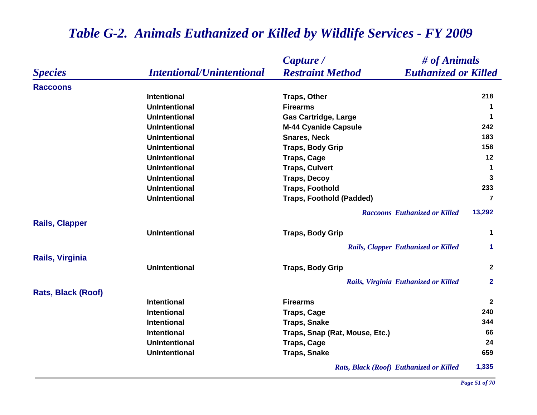|                       |                                  | # of Animals<br>Capture /                  |                             |  |
|-----------------------|----------------------------------|--------------------------------------------|-----------------------------|--|
| <b>Species</b>        | <b>Intentional/Unintentional</b> | <b>Restraint Method</b>                    | <b>Euthanized or Killed</b> |  |
| <b>Raccoons</b>       |                                  |                                            |                             |  |
|                       | <b>Intentional</b>               | <b>Traps, Other</b>                        | 218                         |  |
|                       | <b>UnIntentional</b>             | <b>Firearms</b>                            | 1                           |  |
|                       | <b>UnIntentional</b>             | <b>Gas Cartridge, Large</b>                | $\mathbf 1$                 |  |
|                       | <b>UnIntentional</b>             | <b>M-44 Cyanide Capsule</b>                | 242                         |  |
|                       | <b>UnIntentional</b>             | <b>Snares, Neck</b>                        | 183                         |  |
|                       | <b>UnIntentional</b>             | <b>Traps, Body Grip</b>                    | 158                         |  |
|                       | <b>UnIntentional</b>             | <b>Traps, Cage</b>                         | 12                          |  |
|                       | <b>UnIntentional</b>             | <b>Traps, Culvert</b>                      | $\mathbf 1$                 |  |
|                       | <b>UnIntentional</b>             | <b>Traps, Decoy</b>                        | 3                           |  |
|                       | <b>UnIntentional</b>             | <b>Traps, Foothold</b>                     | 233                         |  |
|                       | <b>UnIntentional</b>             | <b>Traps, Foothold (Padded)</b>            | $\overline{7}$              |  |
|                       |                                  | <b>Raccoons Euthanized or Killed</b>       | 13,292                      |  |
| <b>Rails, Clapper</b> | <b>UnIntentional</b>             | <b>Traps, Body Grip</b>                    | 1                           |  |
|                       |                                  | <b>Rails, Clapper Euthanized or Killed</b> | $\blacktriangleleft$        |  |
| Rails, Virginia       |                                  |                                            |                             |  |
|                       | <b>UnIntentional</b>             | <b>Traps, Body Grip</b>                    | $\mathbf{2}$                |  |
|                       |                                  | Rails, Virginia Euthanized or Killed       | $\mathbf{2}$                |  |
| Rats, Black (Roof)    |                                  |                                            |                             |  |
|                       | <b>Intentional</b>               | <b>Firearms</b>                            | $\mathbf{2}$                |  |
|                       | <b>Intentional</b>               | <b>Traps, Cage</b>                         | 240                         |  |
|                       | <b>Intentional</b>               | <b>Traps, Snake</b>                        | 344                         |  |
|                       | <b>Intentional</b>               | Traps, Snap (Rat, Mouse, Etc.)             | 66                          |  |
|                       | <b>UnIntentional</b>             | <b>Traps, Cage</b>                         | 24                          |  |
|                       | <b>UnIntentional</b>             | <b>Traps, Snake</b>                        | 659                         |  |
|                       |                                  | Rats, Black (Roof) Euthanized or Killed    | 1,335                       |  |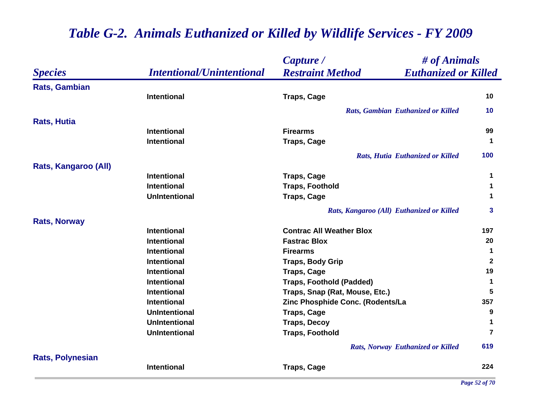|                             |                                  | Capture /                                              | # of Animals   |  |
|-----------------------------|----------------------------------|--------------------------------------------------------|----------------|--|
| <b>Species</b>              | <b>Intentional/Unintentional</b> | <b>Restraint Method</b><br><b>Euthanized or Killed</b> |                |  |
| <b>Rats, Gambian</b>        |                                  |                                                        |                |  |
|                             | <b>Intentional</b>               | <b>Traps, Cage</b>                                     | 10             |  |
|                             |                                  | Rats, Gambian Euthanized or Killed                     | 10             |  |
| <b>Rats, Hutia</b>          |                                  |                                                        |                |  |
|                             | <b>Intentional</b>               | <b>Firearms</b>                                        | 99             |  |
|                             | <b>Intentional</b>               | <b>Traps, Cage</b>                                     | $\mathbf 1$    |  |
|                             |                                  | Rats, Hutia Euthanized or Killed                       | 100            |  |
| <b>Rats, Kangaroo (All)</b> |                                  |                                                        |                |  |
|                             | <b>Intentional</b>               | <b>Traps, Cage</b>                                     | 1              |  |
|                             | <b>Intentional</b>               | <b>Traps, Foothold</b>                                 | 1              |  |
|                             | <b>UnIntentional</b>             | <b>Traps, Cage</b>                                     | 1              |  |
|                             |                                  | Rats, Kangaroo (All) Euthanized or Killed              | 3              |  |
| <b>Rats, Norway</b>         |                                  |                                                        |                |  |
|                             | <b>Intentional</b>               | <b>Contrac All Weather Blox</b>                        | 197            |  |
|                             | <b>Intentional</b>               | <b>Fastrac Blox</b>                                    | 20             |  |
|                             | <b>Intentional</b>               | <b>Firearms</b>                                        | 1              |  |
|                             | <b>Intentional</b>               | <b>Traps, Body Grip</b>                                | $\mathbf{2}$   |  |
|                             | <b>Intentional</b>               | <b>Traps, Cage</b>                                     | 19             |  |
|                             | <b>Intentional</b>               | <b>Traps, Foothold (Padded)</b>                        | $\mathbf 1$    |  |
|                             | <b>Intentional</b>               | Traps, Snap (Rat, Mouse, Etc.)                         | 5              |  |
|                             | <b>Intentional</b>               | Zinc Phosphide Conc. (Rodents/La                       | 357            |  |
|                             | <b>UnIntentional</b>             | <b>Traps, Cage</b>                                     | 9              |  |
|                             | <b>UnIntentional</b>             | <b>Traps, Decoy</b>                                    | 1              |  |
|                             | <b>UnIntentional</b>             | <b>Traps, Foothold</b>                                 | $\overline{7}$ |  |
|                             |                                  | <b>Rats, Norway Euthanized or Killed</b>               | 619            |  |
| <b>Rats, Polynesian</b>     |                                  |                                                        |                |  |
|                             | <b>Intentional</b>               | <b>Traps, Cage</b>                                     | 224            |  |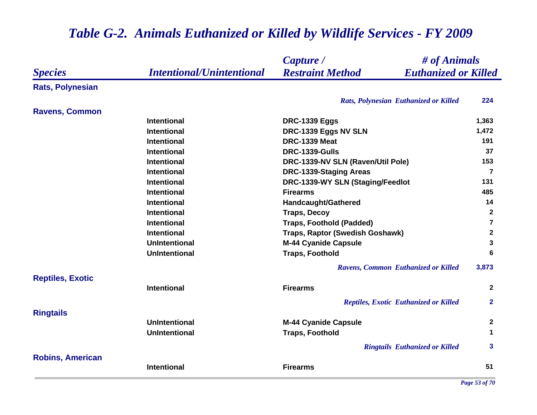|                         |                                  | # of Animals<br>Capture /                              |                |
|-------------------------|----------------------------------|--------------------------------------------------------|----------------|
| <b>Species</b>          | <b>Intentional/Unintentional</b> | <b>Restraint Method</b><br><b>Euthanized or Killed</b> |                |
| <b>Rats, Polynesian</b> |                                  |                                                        |                |
|                         |                                  | Rats, Polynesian Euthanized or Killed                  | 224            |
| <b>Ravens, Common</b>   |                                  |                                                        |                |
|                         | Intentional                      | <b>DRC-1339 Eggs</b>                                   | 1,363          |
|                         | <b>Intentional</b>               | DRC-1339 Eggs NV SLN                                   | 1,472          |
|                         | <b>Intentional</b>               | <b>DRC-1339 Meat</b>                                   | 191            |
|                         | <b>Intentional</b>               | DRC-1339-Gulls                                         | 37             |
|                         | <b>Intentional</b>               | DRC-1339-NV SLN (Raven/Util Pole)                      | 153            |
|                         | <b>Intentional</b>               | DRC-1339-Staging Areas                                 | $\overline{7}$ |
|                         | Intentional                      | DRC-1339-WY SLN (Staging/Feedlot                       | 131            |
|                         | Intentional                      | <b>Firearms</b>                                        | 485            |
|                         | <b>Intentional</b>               | Handcaught/Gathered                                    | 14             |
|                         | <b>Intentional</b>               | <b>Traps, Decoy</b>                                    | $\mathbf{2}$   |
|                         | <b>Intentional</b>               | <b>Traps, Foothold (Padded)</b>                        | $\overline{7}$ |
|                         | Intentional                      | Traps, Raptor (Swedish Goshawk)                        | $\mathbf{2}$   |
|                         | <b>UnIntentional</b>             | <b>M-44 Cyanide Capsule</b>                            | $\mathbf{3}$   |
|                         | <b>UnIntentional</b>             | <b>Traps, Foothold</b>                                 | 6              |
|                         |                                  | Ravens, Common Euthanized or Killed                    | 3,873          |
| <b>Reptiles, Exotic</b> |                                  |                                                        |                |
|                         | <b>Intentional</b>               | <b>Firearms</b>                                        | $\mathbf{2}$   |
|                         |                                  | <b>Reptiles, Exotic Euthanized or Killed</b>           | $\mathbf{2}$   |
| <b>Ringtails</b>        |                                  |                                                        |                |
|                         | <b>UnIntentional</b>             | <b>M-44 Cyanide Capsule</b>                            | $\mathbf{2}$   |
|                         | <b>UnIntentional</b>             | <b>Traps, Foothold</b>                                 | $\mathbf 1$    |
|                         |                                  | <b>Ringtails Euthanized or Killed</b>                  | 3              |
| <b>Robins, American</b> |                                  |                                                        |                |
|                         | <b>Intentional</b>               | <b>Firearms</b>                                        | 51             |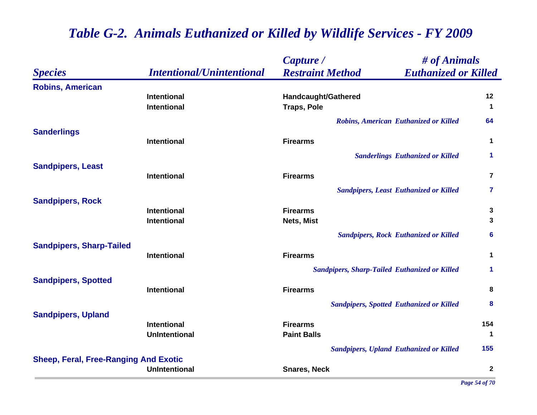|                                              |                                  | # of Animals<br>Capture /                              |                      |
|----------------------------------------------|----------------------------------|--------------------------------------------------------|----------------------|
| <b>Species</b>                               | <b>Intentional/Unintentional</b> | <b>Restraint Method</b><br><b>Euthanized or Killed</b> |                      |
| <b>Robins, American</b>                      |                                  |                                                        |                      |
|                                              | <b>Intentional</b>               | Handcaught/Gathered                                    | 12                   |
|                                              | <b>Intentional</b>               | <b>Traps, Pole</b>                                     | $\mathbf 1$          |
|                                              |                                  | <b>Robins, American Euthanized or Killed</b>           | 64                   |
| <b>Sanderlings</b>                           |                                  |                                                        |                      |
|                                              | <b>Intentional</b>               | <b>Firearms</b>                                        | 1                    |
|                                              |                                  | <b>Sanderlings Euthanized or Killed</b>                | $\blacktriangleleft$ |
| <b>Sandpipers, Least</b>                     |                                  |                                                        |                      |
|                                              | <b>Intentional</b>               | <b>Firearms</b>                                        | $\overline{7}$       |
|                                              |                                  | <b>Sandpipers, Least Euthanized or Killed</b>          | 7                    |
| <b>Sandpipers, Rock</b>                      |                                  |                                                        |                      |
|                                              | <b>Intentional</b>               | <b>Firearms</b>                                        | 3                    |
|                                              | Intentional                      | Nets, Mist                                             | 3                    |
|                                              |                                  | <b>Sandpipers, Rock Euthanized or Killed</b>           | $6\phantom{a}$       |
| <b>Sandpipers, Sharp-Tailed</b>              |                                  |                                                        |                      |
|                                              | <b>Intentional</b>               | <b>Firearms</b>                                        | 1                    |
|                                              |                                  | <b>Sandpipers, Sharp-Tailed Euthanized or Killed</b>   | 1                    |
| <b>Sandpipers, Spotted</b>                   |                                  |                                                        |                      |
|                                              | <b>Intentional</b>               | <b>Firearms</b>                                        | 8                    |
|                                              |                                  | <b>Sandpipers, Spotted Euthanized or Killed</b>        | 8                    |
| <b>Sandpipers, Upland</b>                    |                                  |                                                        |                      |
|                                              | <b>Intentional</b>               | <b>Firearms</b>                                        | 154                  |
|                                              | <b>UnIntentional</b>             | <b>Paint Balls</b>                                     | 1                    |
|                                              |                                  | <b>Sandpipers, Upland Euthanized or Killed</b>         | 155                  |
| <b>Sheep, Feral, Free-Ranging And Exotic</b> |                                  |                                                        |                      |
|                                              | <b>UnIntentional</b>             | <b>Snares, Neck</b>                                    | $\mathbf{2}$         |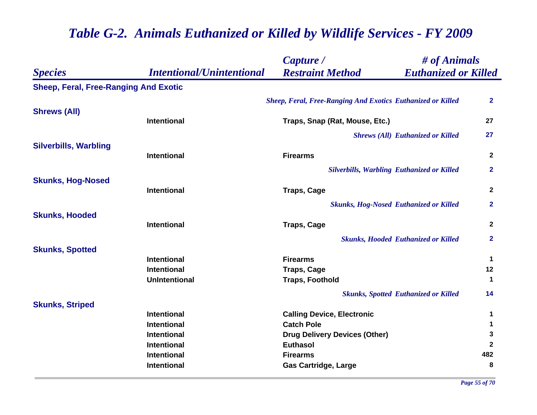|                                       |                                  | Capture /                                                          | # of Animals                                |                         |
|---------------------------------------|----------------------------------|--------------------------------------------------------------------|---------------------------------------------|-------------------------|
| <b>Species</b>                        | <b>Intentional/Unintentional</b> | <b>Restraint Method</b>                                            | <b>Euthanized or Killed</b>                 |                         |
| Sheep, Feral, Free-Ranging And Exotic |                                  |                                                                    |                                             |                         |
|                                       |                                  | <b>Sheep, Feral, Free-Ranging And Exotics Euthanized or Killed</b> |                                             | $\mathbf{2}$            |
| <b>Shrews (All)</b>                   | Intentional                      | Traps, Snap (Rat, Mouse, Etc.)                                     |                                             | 27                      |
|                                       |                                  |                                                                    | <b>Shrews (All) Euthanized or Killed</b>    | 27                      |
| <b>Silverbills, Warbling</b>          |                                  |                                                                    |                                             |                         |
|                                       | Intentional                      | <b>Firearms</b>                                                    |                                             | $\mathbf{2}$            |
|                                       |                                  | <b>Silverbills, Warbling Euthanized or Killed</b>                  |                                             | $\mathbf{2}$            |
| <b>Skunks, Hog-Nosed</b>              |                                  |                                                                    |                                             |                         |
|                                       | Intentional                      | <b>Traps, Cage</b>                                                 |                                             | $\mathbf{2}$            |
|                                       |                                  | <b>Skunks, Hog-Nosed Euthanized or Killed</b>                      |                                             | $\mathbf{2}$            |
| <b>Skunks, Hooded</b>                 |                                  |                                                                    |                                             |                         |
|                                       | Intentional                      | <b>Traps, Cage</b>                                                 |                                             | $\mathbf{2}$            |
|                                       |                                  |                                                                    | <b>Skunks, Hooded Euthanized or Killed</b>  | $\mathbf{2}$            |
| <b>Skunks, Spotted</b>                |                                  |                                                                    |                                             |                         |
|                                       | Intentional                      | <b>Firearms</b>                                                    |                                             | $\mathbf 1$             |
|                                       | <b>Intentional</b>               | <b>Traps, Cage</b>                                                 |                                             | 12                      |
|                                       | <b>UnIntentional</b>             | <b>Traps, Foothold</b>                                             |                                             | $\mathbf 1$             |
|                                       |                                  |                                                                    | <b>Skunks, Spotted Euthanized or Killed</b> | 14                      |
| <b>Skunks, Striped</b>                |                                  |                                                                    |                                             |                         |
|                                       | <b>Intentional</b>               | <b>Calling Device, Electronic</b>                                  |                                             | $\mathbf 1$             |
|                                       | Intentional                      | <b>Catch Pole</b>                                                  |                                             | 1                       |
|                                       | <b>Intentional</b>               | <b>Drug Delivery Devices (Other)</b>                               |                                             | 3                       |
|                                       | <b>Intentional</b>               | <b>Euthasol</b>                                                    |                                             | $\overline{\mathbf{2}}$ |
|                                       | Intentional                      | <b>Firearms</b>                                                    |                                             | 482                     |
|                                       | Intentional                      | <b>Gas Cartridge, Large</b>                                        |                                             | 8                       |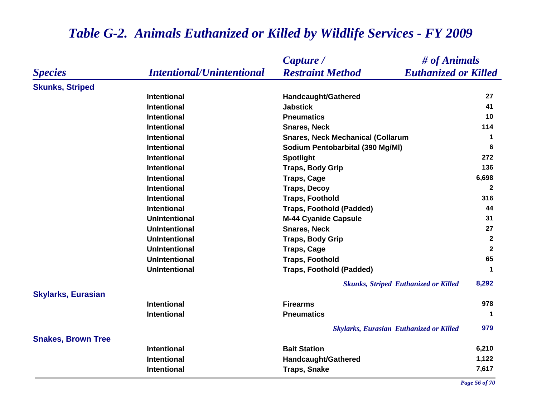#### *Species Capture / Restraint Method # of Animals Intentional/Unintentional Euthanized or Killed* **Skunks, Striped Intentional Handcaught/Gathered <sup>27</sup> Intentional Jabstick 41 Intentional Pneumatics 10 Intentional Snares, Neck 114 Intentional Snares, Neck Mechanical (Collarum <sup>1</sup> Intentional Sodium Pentobarbital (390 Mg/Ml) <sup>6</sup> Intentional Spotlight <sup>272</sup> Intentional Traps, Body Grip <sup>136</sup> Intentional Traps, Cage 6,698 Intentional Traps, Decoy <sup>2</sup> Intentional Traps, Foothold 316 Intentional Traps, Foothold (Padded) <sup>44</sup> UnIntentional M-44 Cyanide Capsule <sup>31</sup> UnIntentional Snares, Neck 27 UnIntentional Traps, Body Grip <sup>2</sup> UnIntentional Traps, Cage <sup>2</sup> UnIntentional Traps, Foothold 65 UnIntentional Traps, Foothold (Padded) <sup>1</sup>** *Skunks, Striped Euthanized or Killed* **8,292 Skylarks, Eurasian Intentional Firearms 978 Intentional Pneumatics 1** *Skylarks, Eurasian Euthanized or Killed* **979 Snakes, Brown Tree Intentional Bait Station 6,210 Intentional Handcaught/Gathered 1,122 Intentional Traps, Snake 7,617**

#### *Table G-2. Animals Euthanized or Killed by Wildlife Services - FY 2009*

*Page 56 of 70*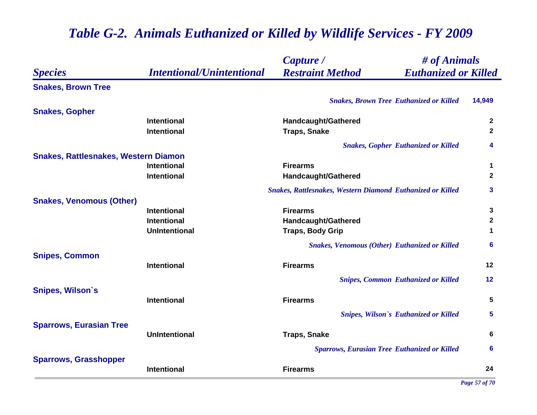|                                             |                                  | Capture /                                                         | # of Animals        |  |
|---------------------------------------------|----------------------------------|-------------------------------------------------------------------|---------------------|--|
| <b>Species</b>                              | <b>Intentional/Unintentional</b> | <b>Restraint Method</b><br><b>Euthanized or Killed</b>            |                     |  |
| <b>Snakes, Brown Tree</b>                   |                                  |                                                                   |                     |  |
|                                             |                                  | <b>Snakes, Brown Tree Euthanized or Killed</b>                    | 14,949              |  |
| <b>Snakes, Gopher</b>                       |                                  |                                                                   |                     |  |
|                                             | <b>Intentional</b>               | <b>Handcaught/Gathered</b>                                        | $\overline{2}$      |  |
|                                             | <b>Intentional</b>               | <b>Traps, Snake</b>                                               | $\mathbf{2}$        |  |
|                                             |                                  | <b>Snakes, Gopher Euthanized or Killed</b>                        | $\overline{\bf{4}}$ |  |
| <b>Snakes, Rattlesnakes, Western Diamon</b> |                                  |                                                                   |                     |  |
|                                             | <b>Intentional</b>               | <b>Firearms</b>                                                   | $\mathbf 1$         |  |
|                                             | <b>Intentional</b>               | <b>Handcaught/Gathered</b>                                        | $\mathbf{2}$        |  |
|                                             |                                  | <b>Snakes, Rattlesnakes, Western Diamond Euthanized or Killed</b> | 3                   |  |
| <b>Snakes, Venomous (Other)</b>             |                                  |                                                                   |                     |  |
|                                             | <b>Intentional</b>               | <b>Firearms</b>                                                   | 3                   |  |
|                                             | <b>Intentional</b>               | Handcaught/Gathered                                               | $\mathbf{2}$        |  |
|                                             | <b>UnIntentional</b>             | <b>Traps, Body Grip</b>                                           | $\mathbf 1$         |  |
|                                             |                                  | <b>Snakes, Venomous (Other) Euthanized or Killed</b>              | $6\phantom{1}6$     |  |
| <b>Snipes, Common</b>                       |                                  |                                                                   |                     |  |
|                                             | <b>Intentional</b>               | <b>Firearms</b>                                                   | 12                  |  |
|                                             |                                  | <b>Snipes, Common Euthanized or Killed</b>                        | 12                  |  |
| <b>Snipes, Wilson's</b>                     |                                  |                                                                   |                     |  |
|                                             | Intentional                      | <b>Firearms</b>                                                   | 5                   |  |
|                                             |                                  | <b>Snipes, Wilson's Euthanized or Killed</b>                      | 5                   |  |
| <b>Sparrows, Eurasian Tree</b>              | <b>UnIntentional</b>             |                                                                   | 6                   |  |
|                                             |                                  | <b>Traps, Snake</b>                                               |                     |  |
|                                             |                                  | <b>Sparrows, Eurasian Tree Euthanized or Killed</b>               | 6                   |  |
| <b>Sparrows, Grasshopper</b>                | <b>Intentional</b>               | <b>Firearms</b>                                                   | 24                  |  |
|                                             |                                  |                                                                   |                     |  |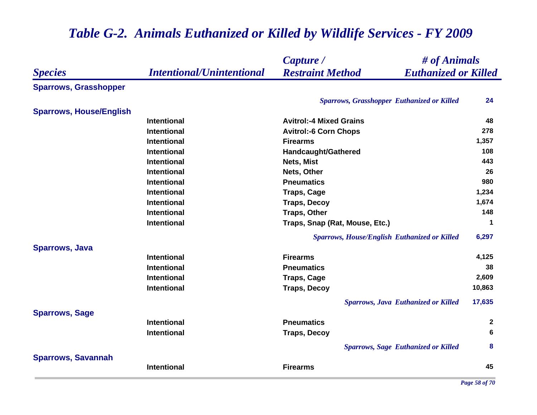|                                |                                  | # of Animals<br>Capture /                              |              |
|--------------------------------|----------------------------------|--------------------------------------------------------|--------------|
| <b>Species</b>                 | <b>Intentional/Unintentional</b> | <b>Restraint Method</b><br><b>Euthanized or Killed</b> |              |
| <b>Sparrows, Grasshopper</b>   |                                  |                                                        |              |
|                                |                                  | <b>Sparrows, Grasshopper Euthanized or Killed</b>      | 24           |
| <b>Sparrows, House/English</b> |                                  |                                                        |              |
|                                | <b>Intentional</b>               | <b>Avitrol:-4 Mixed Grains</b>                         | 48           |
|                                | <b>Intentional</b>               | <b>Avitrol:-6 Corn Chops</b>                           | 278          |
|                                | <b>Intentional</b>               | <b>Firearms</b>                                        | 1,357        |
|                                | <b>Intentional</b>               | Handcaught/Gathered                                    | 108          |
|                                | <b>Intentional</b>               | Nets, Mist                                             | 443          |
|                                | <b>Intentional</b>               | Nets, Other                                            | 26           |
|                                | <b>Intentional</b>               | <b>Pneumatics</b>                                      | 980          |
|                                | <b>Intentional</b>               | <b>Traps, Cage</b>                                     | 1,234        |
|                                | <b>Intentional</b>               | <b>Traps, Decoy</b>                                    | 1,674        |
|                                | <b>Intentional</b>               | <b>Traps, Other</b>                                    | 148          |
|                                | <b>Intentional</b>               | Traps, Snap (Rat, Mouse, Etc.)                         | 1            |
|                                |                                  | <b>Sparrows, House/English Euthanized or Killed</b>    | 6,297        |
| <b>Sparrows, Java</b>          |                                  |                                                        |              |
|                                | <b>Intentional</b>               | <b>Firearms</b>                                        | 4,125        |
|                                | <b>Intentional</b>               | <b>Pneumatics</b>                                      | 38           |
|                                | <b>Intentional</b>               | <b>Traps, Cage</b>                                     | 2,609        |
|                                | <b>Intentional</b>               | <b>Traps, Decoy</b>                                    | 10,863       |
|                                |                                  | <b>Sparrows, Java Euthanized or Killed</b>             | 17,635       |
| <b>Sparrows, Sage</b>          |                                  |                                                        |              |
|                                | <b>Intentional</b>               | <b>Pneumatics</b>                                      | $\mathbf{2}$ |
|                                | <b>Intentional</b>               | <b>Traps, Decoy</b>                                    | 6            |
|                                |                                  | <b>Sparrows, Sage Euthanized or Killed</b>             | 8            |
| <b>Sparrows, Savannah</b>      |                                  |                                                        |              |
|                                | <b>Intentional</b>               | <b>Firearms</b>                                        | 45           |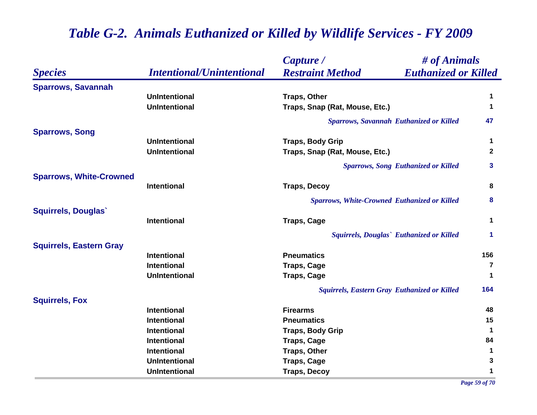|                                |                                  | Capture /                                              | # of Animals         |  |
|--------------------------------|----------------------------------|--------------------------------------------------------|----------------------|--|
| <b>Species</b>                 | <b>Intentional/Unintentional</b> | <b>Euthanized or Killed</b><br><b>Restraint Method</b> |                      |  |
| <b>Sparrows, Savannah</b>      |                                  |                                                        |                      |  |
|                                | <b>UnIntentional</b>             | <b>Traps, Other</b>                                    | 1                    |  |
|                                | <b>UnIntentional</b>             | Traps, Snap (Rat, Mouse, Etc.)                         | 1                    |  |
|                                |                                  | <b>Sparrows, Savannah Euthanized or Killed</b>         | 47                   |  |
| <b>Sparrows, Song</b>          |                                  |                                                        |                      |  |
|                                | <b>UnIntentional</b>             | <b>Traps, Body Grip</b>                                | $\mathbf 1$          |  |
|                                | <b>UnIntentional</b>             | Traps, Snap (Rat, Mouse, Etc.)                         | $\mathbf{2}$         |  |
|                                |                                  | <b>Sparrows, Song Euthanized or Killed</b>             | $\mathbf{3}$         |  |
| <b>Sparrows, White-Crowned</b> |                                  |                                                        |                      |  |
|                                | <b>Intentional</b>               | <b>Traps, Decoy</b>                                    | 8                    |  |
|                                |                                  | <b>Sparrows, White-Crowned Euthanized or Killed</b>    | 8                    |  |
| <b>Squirrels, Douglas</b>      |                                  |                                                        |                      |  |
|                                | <b>Intentional</b>               | <b>Traps, Cage</b>                                     | $\mathbf 1$          |  |
|                                |                                  | Squirrels, Douglas` Euthanized or Killed               | $\blacktriangleleft$ |  |
| <b>Squirrels, Eastern Gray</b> |                                  |                                                        |                      |  |
|                                | <b>Intentional</b>               | <b>Pneumatics</b>                                      | 156                  |  |
|                                | <b>Intentional</b>               | <b>Traps, Cage</b>                                     | $\overline{7}$       |  |
|                                | <b>UnIntentional</b>             | <b>Traps, Cage</b>                                     | $\mathbf 1$          |  |
|                                |                                  | <b>Squirrels, Eastern Gray Euthanized or Killed</b>    | 164                  |  |
| <b>Squirrels, Fox</b>          |                                  |                                                        |                      |  |
|                                | <b>Intentional</b>               | <b>Firearms</b>                                        | 48                   |  |
|                                | <b>Intentional</b>               | <b>Pneumatics</b>                                      | 15                   |  |
|                                | <b>Intentional</b>               | <b>Traps, Body Grip</b>                                | $\mathbf 1$          |  |
|                                | <b>Intentional</b>               | <b>Traps, Cage</b>                                     | 84                   |  |
|                                | <b>Intentional</b>               | <b>Traps, Other</b>                                    | $\mathbf 1$          |  |
|                                | <b>UnIntentional</b>             | <b>Traps, Cage</b>                                     | 3                    |  |
|                                | <b>UnIntentional</b>             | <b>Traps, Decoy</b>                                    | 1                    |  |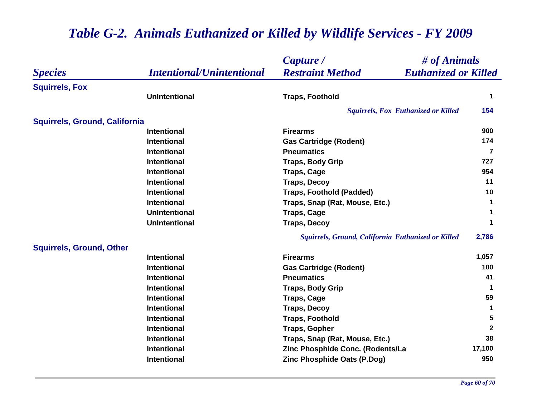|                                      |                                  | Capture /                                              | # of Animals         |  |
|--------------------------------------|----------------------------------|--------------------------------------------------------|----------------------|--|
| <b>Species</b>                       | <b>Intentional/Unintentional</b> | <b>Restraint Method</b><br><b>Euthanized or Killed</b> |                      |  |
| <b>Squirrels, Fox</b>                |                                  |                                                        |                      |  |
|                                      | <b>UnIntentional</b>             | <b>Traps, Foothold</b>                                 | $\mathbf 1$          |  |
|                                      |                                  | <b>Squirrels, Fox Euthanized or Killed</b>             | 154                  |  |
| <b>Squirrels, Ground, California</b> |                                  |                                                        |                      |  |
|                                      | <b>Intentional</b>               | <b>Firearms</b>                                        | 900                  |  |
|                                      | <b>Intentional</b>               | <b>Gas Cartridge (Rodent)</b>                          | 174                  |  |
|                                      | <b>Intentional</b>               | <b>Pneumatics</b>                                      | 7                    |  |
|                                      | <b>Intentional</b>               | <b>Traps, Body Grip</b>                                | 727                  |  |
|                                      | <b>Intentional</b>               | <b>Traps, Cage</b>                                     | 954                  |  |
|                                      | <b>Intentional</b>               | <b>Traps, Decoy</b>                                    | 11                   |  |
|                                      | <b>Intentional</b>               | <b>Traps, Foothold (Padded)</b>                        | 10                   |  |
|                                      | <b>Intentional</b>               | Traps, Snap (Rat, Mouse, Etc.)                         | 1                    |  |
|                                      | <b>UnIntentional</b>             | <b>Traps, Cage</b>                                     | $\blacktriangleleft$ |  |
|                                      | <b>UnIntentional</b>             | <b>Traps, Decoy</b>                                    | 1                    |  |
|                                      |                                  | Squirrels, Ground, California Euthanized or Killed     | 2,786                |  |
| <b>Squirrels, Ground, Other</b>      |                                  |                                                        |                      |  |
|                                      | <b>Intentional</b>               | <b>Firearms</b>                                        | 1,057                |  |
|                                      | <b>Intentional</b>               | <b>Gas Cartridge (Rodent)</b>                          | 100                  |  |
|                                      | <b>Intentional</b>               | <b>Pneumatics</b>                                      | 41                   |  |
|                                      | <b>Intentional</b>               | <b>Traps, Body Grip</b>                                | $\mathbf 1$          |  |
|                                      | <b>Intentional</b>               | <b>Traps, Cage</b>                                     | 59                   |  |
|                                      | <b>Intentional</b>               | <b>Traps, Decoy</b>                                    | $\mathbf 1$          |  |
|                                      | <b>Intentional</b>               | <b>Traps, Foothold</b>                                 | 5                    |  |
|                                      | <b>Intentional</b>               | <b>Traps, Gopher</b>                                   | $\mathbf{2}$         |  |
|                                      | <b>Intentional</b>               | Traps, Snap (Rat, Mouse, Etc.)                         | 38                   |  |
|                                      | <b>Intentional</b>               | Zinc Phosphide Conc. (Rodents/La                       | 17,100               |  |
|                                      | <b>Intentional</b>               | Zinc Phosphide Oats (P.Dog)                            | 950                  |  |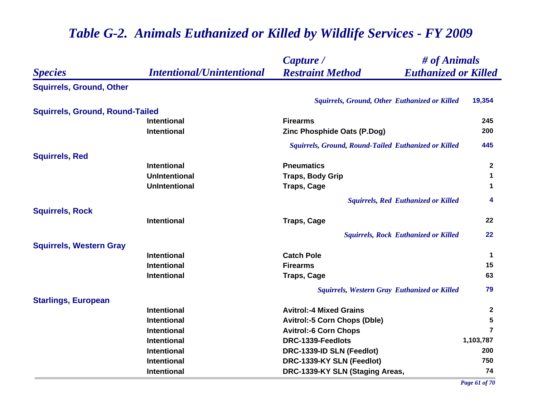|                                        |                                  | Capture /                                              | # of Animals         |  |
|----------------------------------------|----------------------------------|--------------------------------------------------------|----------------------|--|
| <b>Species</b>                         | <b>Intentional/Unintentional</b> | <b>Restraint Method</b><br><b>Euthanized or Killed</b> |                      |  |
| <b>Squirrels, Ground, Other</b>        |                                  |                                                        |                      |  |
|                                        |                                  | Squirrels, Ground, Other Euthanized or Killed          | 19,354               |  |
| <b>Squirrels, Ground, Round-Tailed</b> |                                  |                                                        |                      |  |
|                                        | <b>Intentional</b>               | <b>Firearms</b>                                        | 245                  |  |
|                                        | <b>Intentional</b>               | Zinc Phosphide Oats (P.Dog)                            | 200                  |  |
|                                        |                                  | Squirrels, Ground, Round-Tailed Euthanized or Killed   | 445                  |  |
| <b>Squirrels, Red</b>                  |                                  |                                                        |                      |  |
|                                        | <b>Intentional</b>               | <b>Pneumatics</b>                                      | $\mathbf{2}$         |  |
|                                        | <b>UnIntentional</b>             | <b>Traps, Body Grip</b>                                | $\mathbf 1$          |  |
|                                        | <b>UnIntentional</b>             | <b>Traps, Cage</b>                                     | $\blacktriangleleft$ |  |
|                                        |                                  | <b>Squirrels, Red Euthanized or Killed</b>             | $\overline{\bf{4}}$  |  |
| <b>Squirrels, Rock</b>                 |                                  |                                                        |                      |  |
|                                        | <b>Intentional</b>               | <b>Traps, Cage</b>                                     | 22                   |  |
|                                        |                                  | <b>Squirrels, Rock Euthanized or Killed</b>            | 22                   |  |
| <b>Squirrels, Western Gray</b>         |                                  |                                                        |                      |  |
|                                        | <b>Intentional</b>               | <b>Catch Pole</b>                                      | $\mathbf 1$          |  |
|                                        | <b>Intentional</b>               | <b>Firearms</b>                                        | 15                   |  |
|                                        | <b>Intentional</b>               | <b>Traps, Cage</b>                                     | 63                   |  |
|                                        |                                  | Squirrels, Western Gray Euthanized or Killed           | 79                   |  |
| <b>Starlings, European</b>             |                                  |                                                        |                      |  |
|                                        | <b>Intentional</b>               | <b>Avitrol:-4 Mixed Grains</b>                         | $\mathbf{2}$         |  |
|                                        | <b>Intentional</b>               | <b>Avitrol:-5 Corn Chops (Dble)</b>                    | 5                    |  |
|                                        | <b>Intentional</b>               | <b>Avitrol:-6 Corn Chops</b>                           | $\overline{7}$       |  |
|                                        | <b>Intentional</b>               | DRC-1339-Feedlots                                      | 1,103,787            |  |
|                                        | <b>Intentional</b>               | DRC-1339-ID SLN (Feedlot)                              | 200                  |  |
|                                        | <b>Intentional</b>               | DRC-1339-KY SLN (Feedlot)                              | 750                  |  |
|                                        | <b>Intentional</b>               | DRC-1339-KY SLN (Staging Areas,                        | 74                   |  |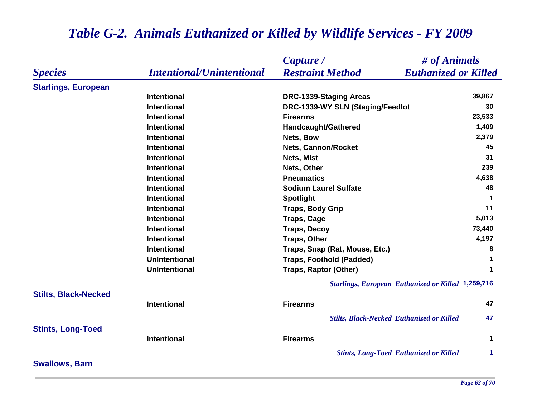|                             |                                  | Capture /                                        | # of Animals                                              |
|-----------------------------|----------------------------------|--------------------------------------------------|-----------------------------------------------------------|
| <b>Species</b>              | <b>Intentional/Unintentional</b> | <b>Restraint Method</b>                          | <b>Euthanized or Killed</b>                               |
| <b>Starlings, European</b>  |                                  |                                                  |                                                           |
|                             | <b>Intentional</b>               | <b>DRC-1339-Staging Areas</b>                    | 39,867                                                    |
|                             | <b>Intentional</b>               | DRC-1339-WY SLN (Staging/Feedlot                 | 30                                                        |
|                             | <b>Intentional</b>               | <b>Firearms</b>                                  | 23,533                                                    |
|                             | <b>Intentional</b>               | Handcaught/Gathered                              | 1,409                                                     |
|                             | <b>Intentional</b>               | Nets, Bow                                        | 2,379                                                     |
|                             | <b>Intentional</b>               | <b>Nets, Cannon/Rocket</b>                       | 45                                                        |
|                             | <b>Intentional</b>               | Nets, Mist                                       | 31                                                        |
|                             | <b>Intentional</b>               | Nets, Other                                      | 239                                                       |
|                             | <b>Intentional</b>               | <b>Pneumatics</b>                                | 4,638                                                     |
|                             | <b>Intentional</b>               | <b>Sodium Laurel Sulfate</b>                     | 48                                                        |
|                             | <b>Intentional</b>               | <b>Spotlight</b>                                 | $\blacktriangleleft$                                      |
|                             | <b>Intentional</b>               | <b>Traps, Body Grip</b>                          | 11                                                        |
|                             | <b>Intentional</b>               | <b>Traps, Cage</b>                               | 5,013                                                     |
|                             | <b>Intentional</b>               | <b>Traps, Decoy</b>                              | 73,440                                                    |
|                             | <b>Intentional</b>               | <b>Traps, Other</b>                              | 4,197                                                     |
|                             | <b>Intentional</b>               | Traps, Snap (Rat, Mouse, Etc.)                   | 8                                                         |
|                             | <b>UnIntentional</b>             | <b>Traps, Foothold (Padded)</b>                  | $\mathbf 1$                                               |
|                             | <b>UnIntentional</b>             | <b>Traps, Raptor (Other)</b>                     | $\mathbf 1$                                               |
|                             |                                  |                                                  | <b>Starlings, European Euthanized or Killed 1,259,716</b> |
| <b>Stilts, Black-Necked</b> |                                  |                                                  |                                                           |
|                             | <b>Intentional</b>               | <b>Firearms</b>                                  | 47                                                        |
|                             |                                  | <b>Stilts, Black-Necked Euthanized or Killed</b> | 47                                                        |
| <b>Stints, Long-Toed</b>    |                                  |                                                  |                                                           |
|                             | <b>Intentional</b>               | <b>Firearms</b>                                  | $\mathbf{1}$                                              |
|                             |                                  | <b>Stints, Long-Toed Euthanized or Killed</b>    | $\blacktriangleleft$                                      |
| <b>Swallows, Barn</b>       |                                  |                                                  |                                                           |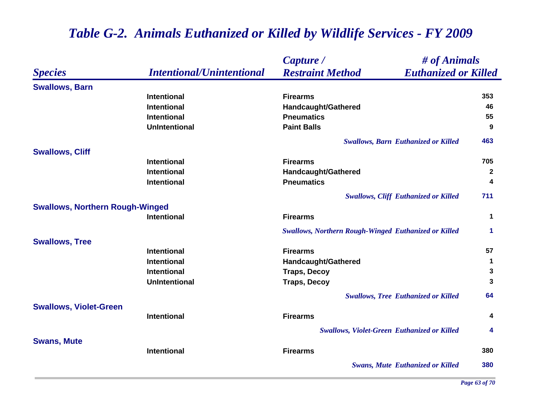|                                        |                                  | # of Animals<br>Capture /                                   |                         |
|----------------------------------------|----------------------------------|-------------------------------------------------------------|-------------------------|
| <b>Species</b>                         | <b>Intentional/Unintentional</b> | <b>Restraint Method</b><br><b>Euthanized or Killed</b>      |                         |
| <b>Swallows, Barn</b>                  |                                  |                                                             |                         |
|                                        | Intentional                      | <b>Firearms</b>                                             | 353                     |
|                                        | <b>Intentional</b>               | Handcaught/Gathered                                         | 46                      |
|                                        | <b>Intentional</b>               | <b>Pneumatics</b>                                           | 55                      |
|                                        | <b>UnIntentional</b>             | <b>Paint Balls</b>                                          | 9                       |
|                                        |                                  | <b>Swallows, Barn Euthanized or Killed</b>                  | 463                     |
| <b>Swallows, Cliff</b>                 |                                  |                                                             |                         |
|                                        | <b>Intentional</b>               | <b>Firearms</b>                                             | 705                     |
|                                        | <b>Intentional</b>               | Handcaught/Gathered                                         | $\mathbf{2}$            |
|                                        | Intentional                      | <b>Pneumatics</b>                                           | $\overline{\mathbf{4}}$ |
|                                        |                                  | <b>Swallows, Cliff Euthanized or Killed</b>                 | 711                     |
| <b>Swallows, Northern Rough-Winged</b> |                                  |                                                             |                         |
|                                        | <b>Intentional</b>               | <b>Firearms</b>                                             | $\mathbf 1$             |
|                                        |                                  | <b>Swallows, Northern Rough-Winged Euthanized or Killed</b> | $\mathbf{1}$            |
| <b>Swallows, Tree</b>                  |                                  |                                                             |                         |
|                                        | Intentional                      | <b>Firearms</b>                                             | 57                      |
|                                        | <b>Intentional</b>               | <b>Handcaught/Gathered</b>                                  | 1                       |
|                                        | Intentional                      | <b>Traps, Decoy</b>                                         | $\mathbf 3$             |
|                                        | <b>UnIntentional</b>             | <b>Traps, Decoy</b>                                         | $\mathbf{3}$            |
|                                        |                                  | <b>Swallows, Tree Euthanized or Killed</b>                  | 64                      |
| <b>Swallows, Violet-Green</b>          |                                  |                                                             |                         |
|                                        | <b>Intentional</b>               | <b>Firearms</b>                                             | 4                       |
|                                        |                                  | <b>Swallows, Violet-Green Euthanized or Killed</b>          | 4                       |
| <b>Swans, Mute</b>                     |                                  |                                                             |                         |
|                                        | Intentional                      | <b>Firearms</b>                                             | 380                     |
|                                        |                                  | <b>Swans, Mute Euthanized or Killed</b>                     | 380                     |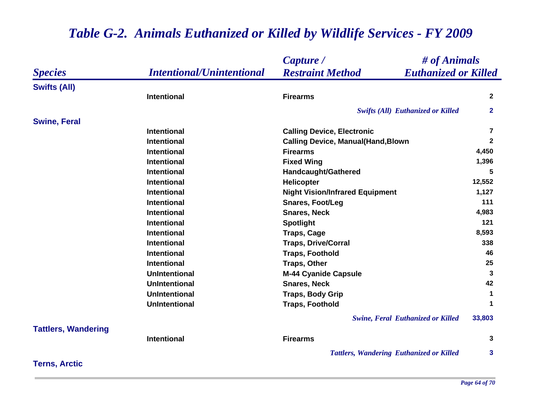|                            |                                  | $\#$ of Animals<br>Capture /                           |                      |
|----------------------------|----------------------------------|--------------------------------------------------------|----------------------|
| <b>Species</b>             | <b>Intentional/Unintentional</b> | <b>Restraint Method</b><br><b>Euthanized or Killed</b> |                      |
| <b>Swifts (All)</b>        |                                  |                                                        |                      |
|                            | <b>Intentional</b>               | <b>Firearms</b>                                        | $\mathbf{2}$         |
|                            |                                  | <b>Swifts (All) Euthanized or Killed</b>               | $\mathbf{2}$         |
| <b>Swine, Feral</b>        |                                  |                                                        |                      |
|                            | <b>Intentional</b>               | <b>Calling Device, Electronic</b>                      | $\overline{7}$       |
|                            | <b>Intentional</b>               | <b>Calling Device, Manual(Hand, Blown</b>              | $\mathbf{2}$         |
|                            | <b>Intentional</b>               | <b>Firearms</b>                                        | 4,450                |
|                            | <b>Intentional</b>               | <b>Fixed Wing</b>                                      | 1,396                |
|                            | <b>Intentional</b>               | Handcaught/Gathered                                    | 5                    |
|                            | <b>Intentional</b>               | Helicopter                                             | 12,552               |
|                            | <b>Intentional</b>               | <b>Night Vision/Infrared Equipment</b>                 | 1,127                |
|                            | <b>Intentional</b>               | <b>Snares, Foot/Leg</b>                                | 111                  |
|                            | <b>Intentional</b>               | <b>Snares, Neck</b>                                    | 4,983                |
|                            | <b>Intentional</b>               | <b>Spotlight</b>                                       | 121                  |
|                            | <b>Intentional</b>               | <b>Traps, Cage</b>                                     | 8,593                |
|                            | <b>Intentional</b>               | <b>Traps, Drive/Corral</b>                             | 338                  |
|                            | <b>Intentional</b>               | <b>Traps, Foothold</b>                                 | 46                   |
|                            | <b>Intentional</b>               | <b>Traps, Other</b>                                    | 25                   |
|                            | <b>UnIntentional</b>             | <b>M-44 Cyanide Capsule</b>                            | 3                    |
|                            | <b>UnIntentional</b>             | <b>Snares, Neck</b>                                    | 42                   |
|                            | <b>UnIntentional</b>             | <b>Traps, Body Grip</b>                                | 1                    |
|                            | <b>UnIntentional</b>             | <b>Traps, Foothold</b>                                 | $\blacktriangleleft$ |
|                            |                                  | <b>Swine, Feral Euthanized or Killed</b>               | 33,803               |
| <b>Tattlers, Wandering</b> |                                  |                                                        |                      |
|                            | <b>Intentional</b>               | <b>Firearms</b>                                        | 3                    |
|                            |                                  | <b>Tattlers, Wandering Euthanized or Killed</b>        | 3                    |
| <b>Terns, Arctic</b>       |                                  |                                                        |                      |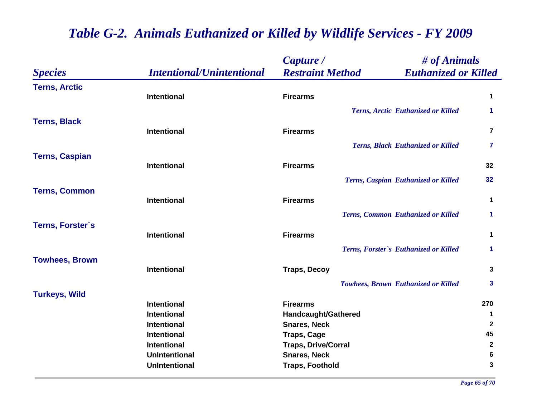|                       |                                  | Capture /                  |                                            | # of Animals            |  |
|-----------------------|----------------------------------|----------------------------|--------------------------------------------|-------------------------|--|
| <b>Species</b>        | <b>Intentional/Unintentional</b> | <b>Restraint Method</b>    | <b>Euthanized or Killed</b>                |                         |  |
| <b>Terns, Arctic</b>  | <b>Intentional</b>               | <b>Firearms</b>            |                                            | 1                       |  |
|                       |                                  |                            | Terns, Arctic Euthanized or Killed         | 1                       |  |
| <b>Terns, Black</b>   | Intentional                      | <b>Firearms</b>            |                                            | $\overline{\mathbf{7}}$ |  |
|                       |                                  |                            | <b>Terns, Black Euthanized or Killed</b>   | 7                       |  |
| <b>Terns, Caspian</b> | Intentional                      | <b>Firearms</b>            |                                            | 32                      |  |
|                       |                                  |                            | Terns, Caspian Euthanized or Killed        | 32                      |  |
| <b>Terns, Common</b>  | Intentional                      | <b>Firearms</b>            |                                            | 1                       |  |
|                       |                                  |                            | <b>Terns, Common Euthanized or Killed</b>  | 1                       |  |
| Terns, Forster's      | <b>Intentional</b>               | <b>Firearms</b>            |                                            | 1                       |  |
|                       |                                  |                            | Terns, Forster's Euthanized or Killed      | $\mathbf{1}$            |  |
| <b>Towhees, Brown</b> | Intentional                      | <b>Traps, Decoy</b>        |                                            | 3                       |  |
|                       |                                  |                            | <b>Towhees, Brown Euthanized or Killed</b> | 3                       |  |
| <b>Turkeys, Wild</b>  | <b>Intentional</b>               | <b>Firearms</b>            |                                            | 270                     |  |
|                       | <b>Intentional</b>               | Handcaught/Gathered        |                                            | 1                       |  |
|                       | Intentional                      | <b>Snares, Neck</b>        |                                            | $\mathbf 2$             |  |
|                       | Intentional                      | <b>Traps, Cage</b>         |                                            | 45                      |  |
|                       | Intentional                      | <b>Traps, Drive/Corral</b> |                                            | $\mathbf{2}$            |  |
|                       | <b>UnIntentional</b>             | <b>Snares, Neck</b>        |                                            | 6                       |  |
|                       | <b>UnIntentional</b>             | <b>Traps, Foothold</b>     |                                            | $\mathbf{3}$            |  |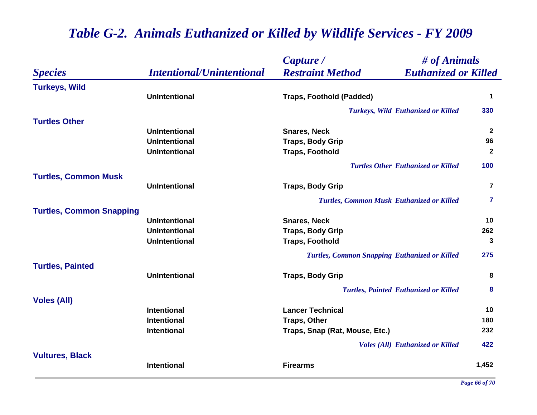|                                 |                                  | Capture /                                              | # of Animals            |  |
|---------------------------------|----------------------------------|--------------------------------------------------------|-------------------------|--|
| <b>Species</b>                  | <b>Intentional/Unintentional</b> | <b>Restraint Method</b><br><b>Euthanized or Killed</b> |                         |  |
| <b>Turkeys, Wild</b>            |                                  |                                                        |                         |  |
|                                 | <b>UnIntentional</b>             | <b>Traps, Foothold (Padded)</b>                        | $\mathbf 1$             |  |
|                                 |                                  | <b>Turkeys, Wild Euthanized or Killed</b>              | 330                     |  |
| <b>Turtles Other</b>            |                                  |                                                        |                         |  |
|                                 | <b>UnIntentional</b>             | <b>Snares, Neck</b>                                    | $\mathbf{2}$            |  |
|                                 | <b>UnIntentional</b>             | <b>Traps, Body Grip</b>                                | 96                      |  |
|                                 | <b>UnIntentional</b>             | <b>Traps, Foothold</b>                                 | $\mathbf{2}$            |  |
|                                 |                                  | <b>Turtles Other Euthanized or Killed</b>              | 100                     |  |
| <b>Turtles, Common Musk</b>     |                                  |                                                        |                         |  |
|                                 | <b>UnIntentional</b>             | <b>Traps, Body Grip</b>                                | $\overline{7}$          |  |
|                                 |                                  | <b>Turtles, Common Musk Euthanized or Killed</b>       | $\overline{\mathbf{7}}$ |  |
| <b>Turtles, Common Snapping</b> |                                  |                                                        |                         |  |
|                                 | <b>UnIntentional</b>             | <b>Snares, Neck</b>                                    | 10                      |  |
|                                 | <b>UnIntentional</b>             | <b>Traps, Body Grip</b>                                | 262                     |  |
|                                 | <b>UnIntentional</b>             | <b>Traps, Foothold</b>                                 | 3                       |  |
|                                 |                                  | <b>Turtles, Common Snapping Euthanized or Killed</b>   | 275                     |  |
| <b>Turtles, Painted</b>         |                                  |                                                        |                         |  |
|                                 | <b>UnIntentional</b>             | <b>Traps, Body Grip</b>                                | 8                       |  |
|                                 |                                  | <b>Turtles, Painted Euthanized or Killed</b>           | 8                       |  |
| <b>Voles (All)</b>              |                                  |                                                        |                         |  |
|                                 | Intentional                      | <b>Lancer Technical</b>                                | 10                      |  |
|                                 | <b>Intentional</b>               | <b>Traps, Other</b>                                    | 180                     |  |
|                                 | <b>Intentional</b>               | Traps, Snap (Rat, Mouse, Etc.)                         | 232                     |  |
|                                 |                                  | <b>Voles (All) Euthanized or Killed</b>                | 422                     |  |
| <b>Vultures, Black</b>          |                                  |                                                        |                         |  |
|                                 | <b>Intentional</b>               | <b>Firearms</b>                                        | 1,452                   |  |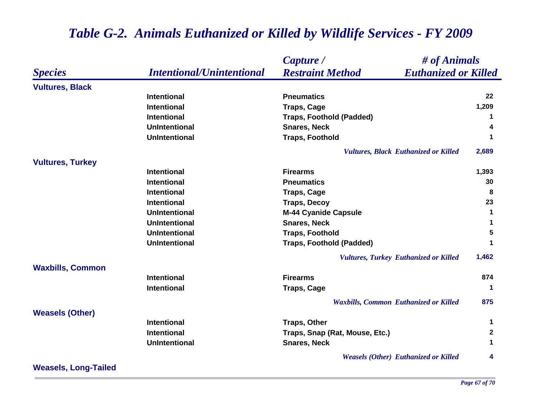|                         |                                  | # of Animals<br>Capture /                              |                  |
|-------------------------|----------------------------------|--------------------------------------------------------|------------------|
| <b>Species</b>          | <b>Intentional/Unintentional</b> | <b>Euthanized or Killed</b><br><b>Restraint Method</b> |                  |
| <b>Vultures, Black</b>  |                                  |                                                        |                  |
|                         | <b>Intentional</b>               | <b>Pneumatics</b>                                      | 22               |
|                         | <b>Intentional</b>               | <b>Traps, Cage</b>                                     | 1,209            |
|                         | <b>Intentional</b>               | <b>Traps, Foothold (Padded)</b>                        | 1                |
|                         | <b>UnIntentional</b>             | <b>Snares, Neck</b>                                    | 4                |
|                         | <b>UnIntentional</b>             | <b>Traps, Foothold</b>                                 | 1                |
|                         |                                  | <b>Vultures, Black Euthanized or Killed</b>            | 2,689            |
| <b>Vultures, Turkey</b> |                                  |                                                        |                  |
|                         | <b>Intentional</b>               | <b>Firearms</b>                                        | 1,393            |
|                         | <b>Intentional</b>               | <b>Pneumatics</b>                                      | 30               |
|                         | <b>Intentional</b>               | <b>Traps, Cage</b>                                     | 8                |
|                         | <b>Intentional</b>               | <b>Traps, Decoy</b>                                    | 23               |
|                         | <b>UnIntentional</b>             | <b>M-44 Cyanide Capsule</b>                            | $\mathbf 1$      |
|                         | <b>UnIntentional</b>             | <b>Snares, Neck</b>                                    | 1                |
|                         | <b>UnIntentional</b>             | <b>Traps, Foothold</b>                                 | 5                |
|                         | <b>UnIntentional</b>             | <b>Traps, Foothold (Padded)</b>                        | 1                |
|                         |                                  | <b>Vultures, Turkey Euthanized or Killed</b>           | 1,462            |
| <b>Waxbills, Common</b> |                                  |                                                        |                  |
|                         | <b>Intentional</b>               | <b>Firearms</b>                                        | 874              |
|                         | <b>Intentional</b>               | <b>Traps, Cage</b>                                     | 1                |
|                         |                                  | <b>Waxbills, Common Euthanized or Killed</b>           | 875              |
| <b>Weasels (Other)</b>  |                                  |                                                        |                  |
|                         | <b>Intentional</b>               | <b>Traps, Other</b>                                    | 1                |
|                         | <b>Intentional</b>               | Traps, Snap (Rat, Mouse, Etc.)                         | $\boldsymbol{2}$ |
|                         | <b>UnIntentional</b>             | <b>Snares, Neck</b>                                    | 1                |
|                         |                                  | <b>Weasels (Other) Euthanized or Killed</b>            | 4                |

**Weasels, Long-Tailed**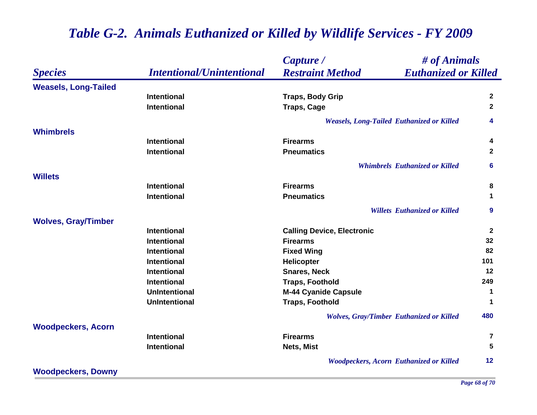| <b>Species</b>              | <b>Intentional/Unintentional</b> | Capture /                                              | # of Animals   |  |
|-----------------------------|----------------------------------|--------------------------------------------------------|----------------|--|
|                             |                                  | <b>Restraint Method</b><br><b>Euthanized or Killed</b> |                |  |
| <b>Weasels, Long-Tailed</b> |                                  |                                                        |                |  |
|                             | <b>Intentional</b>               | <b>Traps, Body Grip</b>                                | $\overline{2}$ |  |
|                             | <b>Intentional</b>               | <b>Traps, Cage</b>                                     | $\mathbf{2}$   |  |
|                             |                                  | <b>Weasels, Long-Tailed Euthanized or Killed</b>       | 4              |  |
| <b>Whimbrels</b>            |                                  |                                                        |                |  |
|                             | <b>Intentional</b>               | <b>Firearms</b>                                        | 4              |  |
|                             | <b>Intentional</b>               | <b>Pneumatics</b>                                      | $\mathbf{2}$   |  |
|                             |                                  | <b>Whimbrels Euthanized or Killed</b>                  | 6              |  |
| <b>Willets</b>              |                                  |                                                        |                |  |
|                             | <b>Intentional</b>               | <b>Firearms</b>                                        | 8              |  |
|                             | <b>Intentional</b>               | <b>Pneumatics</b>                                      | 1              |  |
|                             |                                  | <b>Willets Euthanized or Killed</b>                    | 9              |  |
| <b>Wolves, Gray/Timber</b>  |                                  |                                                        |                |  |
|                             | Intentional                      | <b>Calling Device, Electronic</b>                      | $\mathbf{2}$   |  |
|                             | Intentional                      | <b>Firearms</b>                                        | 32             |  |
|                             | Intentional                      | <b>Fixed Wing</b>                                      | 82             |  |
|                             | <b>Intentional</b>               | <b>Helicopter</b>                                      | 101            |  |
|                             | <b>Intentional</b>               | <b>Snares, Neck</b>                                    | 12             |  |
|                             | Intentional                      | <b>Traps, Foothold</b>                                 | 249            |  |
|                             | <b>UnIntentional</b>             | <b>M-44 Cyanide Capsule</b>                            | 1              |  |
|                             | <b>UnIntentional</b>             | <b>Traps, Foothold</b>                                 | $\mathbf 1$    |  |
|                             |                                  | <b>Wolves, Gray/Timber Euthanized or Killed</b>        | 480            |  |
| <b>Woodpeckers, Acorn</b>   |                                  |                                                        |                |  |
|                             | <b>Intentional</b>               | <b>Firearms</b>                                        | 7              |  |
|                             | Intentional                      | Nets, Mist                                             | 5              |  |
|                             |                                  | <b>Woodpeckers, Acorn Euthanized or Killed</b>         | 12             |  |
| <b>Woodpeckers, Downy</b>   |                                  |                                                        |                |  |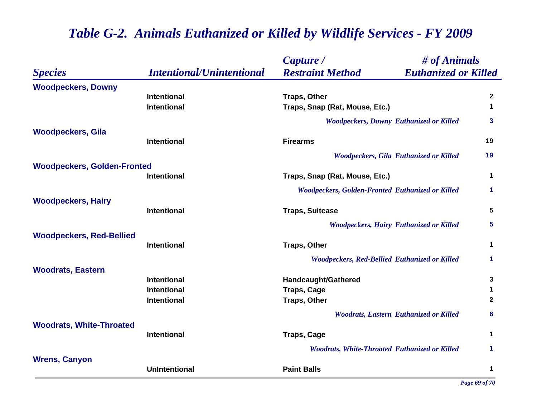| <b>Species</b>                     | <b>Intentional/Unintentional</b> | Capture /                                               | # of Animals                |              |
|------------------------------------|----------------------------------|---------------------------------------------------------|-----------------------------|--------------|
|                                    |                                  | <b>Restraint Method</b>                                 | <b>Euthanized or Killed</b> |              |
| <b>Woodpeckers, Downy</b>          |                                  |                                                         |                             |              |
|                                    | <b>Intentional</b>               | <b>Traps, Other</b>                                     |                             | $\mathbf{2}$ |
|                                    | <b>Intentional</b>               | Traps, Snap (Rat, Mouse, Etc.)                          |                             | $\mathbf 1$  |
|                                    |                                  | <b>Woodpeckers, Downy Euthanized or Killed</b>          |                             | 3            |
| <b>Woodpeckers, Gila</b>           |                                  |                                                         |                             |              |
|                                    | Intentional                      | <b>Firearms</b>                                         |                             | 19           |
|                                    |                                  | <b>Woodpeckers, Gila Euthanized or Killed</b>           |                             | 19           |
| <b>Woodpeckers, Golden-Fronted</b> |                                  |                                                         |                             |              |
|                                    | <b>Intentional</b>               | Traps, Snap (Rat, Mouse, Etc.)                          |                             | $\mathbf 1$  |
|                                    |                                  | <b>Woodpeckers, Golden-Fronted Euthanized or Killed</b> |                             | $\mathbf 1$  |
| <b>Woodpeckers, Hairy</b>          |                                  |                                                         |                             |              |
|                                    | Intentional                      | <b>Traps, Suitcase</b>                                  |                             | 5            |
|                                    |                                  | <b>Woodpeckers, Hairy Euthanized or Killed</b>          |                             | 5            |
| <b>Woodpeckers, Red-Bellied</b>    |                                  |                                                         |                             |              |
|                                    | <b>Intentional</b>               | <b>Traps, Other</b>                                     |                             | 1            |
|                                    |                                  | <b>Woodpeckers, Red-Bellied Euthanized or Killed</b>    |                             | 1            |
| <b>Woodrats, Eastern</b>           |                                  |                                                         |                             |              |
|                                    | <b>Intentional</b>               | <b>Handcaught/Gathered</b>                              |                             | 3            |
|                                    | <b>Intentional</b>               | <b>Traps, Cage</b>                                      |                             | 1            |
|                                    | Intentional                      | <b>Traps, Other</b>                                     |                             | $\mathbf{2}$ |
|                                    |                                  | <b>Woodrats, Eastern Euthanized or Killed</b>           |                             | 6            |
| <b>Woodrats, White-Throated</b>    |                                  |                                                         |                             |              |
|                                    | <b>Intentional</b>               | <b>Traps, Cage</b>                                      |                             | 1            |
|                                    |                                  | <b>Woodrats, White-Throated Euthanized or Killed</b>    |                             | 1            |
| <b>Wrens, Canyon</b>               |                                  |                                                         |                             |              |
|                                    | <b>UnIntentional</b>             | <b>Paint Balls</b>                                      |                             | 1            |